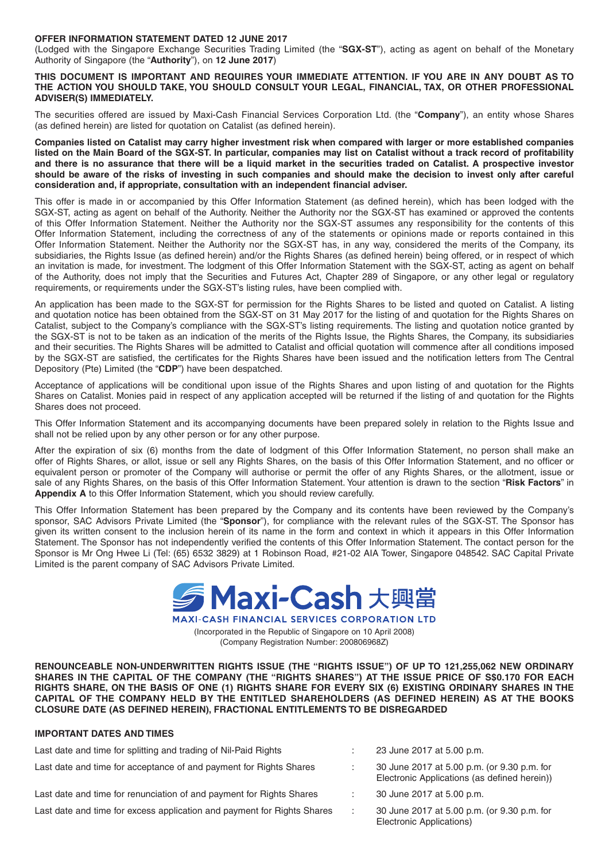#### **OFFER INFORMATION STATEMENT DATED 12 JUNE 2017**

(Lodged with the Singapore Exchange Securities Trading Limited (the "**SGX-ST**"), acting as agent on behalf of the Monetary Authority of Singapore (the "**Authority**"), on **12 June 2017**)

**THIS DOCUMENT IS IMPORTANT AND REQUIRES YOUR IMMEDIATE ATTENTION. IF YOU ARE IN ANY DOUBT AS TO THE ACTION YOU SHOULD TAKE, YOU SHOULD CONSULT YOUR LEGAL, FINANCIAL, TAX, OR OTHER PROFESSIONAL ADVISER(S) IMMEDIATELY.**

The securities offered are issued by Maxi-Cash Financial Services Corporation Ltd. (the "**Company**"), an entity whose Shares (as defined herein) are listed for quotation on Catalist (as defined herein).

**Companies listed on Catalist may carry higher investment risk when compared with larger or more established companies listed on the Main Board of the SGX-ST. In particular, companies may list on Catalist without a track record of profi tability and there is no assurance that there will be a liquid market in the securities traded on Catalist. A prospective investor should be aware of the risks of investing in such companies and should make the decision to invest only after careful**  consideration and, if appropriate, consultation with an independent financial adviser.

This offer is made in or accompanied by this Offer Information Statement (as defined herein), which has been lodged with the SGX-ST, acting as agent on behalf of the Authority. Neither the Authority nor the SGX-ST has examined or approved the contents of this Offer Information Statement. Neither the Authority nor the SGX-ST assumes any responsibility for the contents of this Offer Information Statement, including the correctness of any of the statements or opinions made or reports contained in this Offer Information Statement. Neither the Authority nor the SGX-ST has, in any way, considered the merits of the Company, its subsidiaries, the Rights Issue (as defined herein) and/or the Rights Shares (as defined herein) being offered, or in respect of which an invitation is made, for investment. The lodgment of this Offer Information Statement with the SGX-ST, acting as agent on behalf of the Authority, does not imply that the Securities and Futures Act, Chapter 289 of Singapore, or any other legal or regulatory requirements, or requirements under the SGX-ST's listing rules, have been complied with.

An application has been made to the SGX-ST for permission for the Rights Shares to be listed and quoted on Catalist. A listing and quotation notice has been obtained from the SGX-ST on 31 May 2017 for the listing of and quotation for the Rights Shares on Catalist, subject to the Company's compliance with the SGX-ST's listing requirements. The listing and quotation notice granted by the SGX-ST is not to be taken as an indication of the merits of the Rights Issue, the Rights Shares, the Company, its subsidiaries and their securities. The Rights Shares will be admitted to Catalist and official quotation will commence after all conditions imposed by the SGX-ST are satisfied, the certificates for the Rights Shares have been issued and the notification letters from The Central Depository (Pte) Limited (the "**CDP**") have been despatched.

Acceptance of applications will be conditional upon issue of the Rights Shares and upon listing of and quotation for the Rights Shares on Catalist. Monies paid in respect of any application accepted will be returned if the listing of and quotation for the Rights Shares does not proceed.

This Offer Information Statement and its accompanying documents have been prepared solely in relation to the Rights Issue and shall not be relied upon by any other person or for any other purpose.

After the expiration of six (6) months from the date of lodgment of this Offer Information Statement, no person shall make an offer of Rights Shares, or allot, issue or sell any Rights Shares, on the basis of this Offer Information Statement, and no officer or equivalent person or promoter of the Company will authorise or permit the offer of any Rights Shares, or the allotment, issue or sale of any Rights Shares, on the basis of this Offer Information Statement. Your attention is drawn to the section "**Risk Factors**" in **Appendix A** to this Offer Information Statement, which you should review carefully.

This Offer Information Statement has been prepared by the Company and its contents have been reviewed by the Company's sponsor, SAC Advisors Private Limited (the "**Sponsor**"), for compliance with the relevant rules of the SGX-ST. The Sponsor has given its written consent to the inclusion herein of its name in the form and context in which it appears in this Offer Information Statement. The Sponsor has not independently verified the contents of this Offer Information Statement. The contact person for the Sponsor is Mr Ong Hwee Li (Tel: (65) 6532 3829) at 1 Robinson Road, #21-02 AIA Tower, Singapore 048542. SAC Capital Private Limited is the parent company of SAC Advisors Private Limited.

> 5 Maxi-Cash 大興當 **MAXI-CASH FINANCIAL SERVICES CORPORATION LTD**

(Incorporated in the Republic of Singapore on 10 April 2008) (Company Registration Number: 200806968Z)

**RENOUNCEABLE NON-UNDERWRITTEN RIGHTS ISSUE (THE "RIGHTS ISSUE") OF UP TO 121,255,062 NEW ORDINARY**  SHARES IN THE CAPITAL OF THE COMPANY (THE "RIGHTS SHARES") AT THE ISSUE PRICE OF S\$0.170 FOR EACH **RIGHTS SHARE, ON THE BASIS OF ONE (1) RIGHTS SHARE FOR EVERY SIX (6) EXISTING ORDINARY SHARES IN THE CAPITAL OF THE COMPANY HELD BY THE ENTITLED SHAREHOLDERS (AS DEFINED HEREIN) AS AT THE BOOKS CLOSURE DATE (AS DEFINED HEREIN), FRACTIONAL ENTITLEMENTS TO BE DISREGARDED**

#### **IMPORTANT DATES AND TIMES**

| Last date and time for splitting and trading of Nil-Paid Rights         | 23 June 2017 at 5.00 p.m.                                                                   |
|-------------------------------------------------------------------------|---------------------------------------------------------------------------------------------|
| Last date and time for acceptance of and payment for Rights Shares      | 30 June 2017 at 5.00 p.m. (or 9.30 p.m. for<br>Electronic Applications (as defined herein)) |
| Last date and time for renunciation of and payment for Rights Shares    | 30 June 2017 at 5.00 p.m.                                                                   |
| Last date and time for excess application and payment for Rights Shares | 30 June 2017 at 5.00 p.m. (or 9.30 p.m. for<br>Electronic Applications)                     |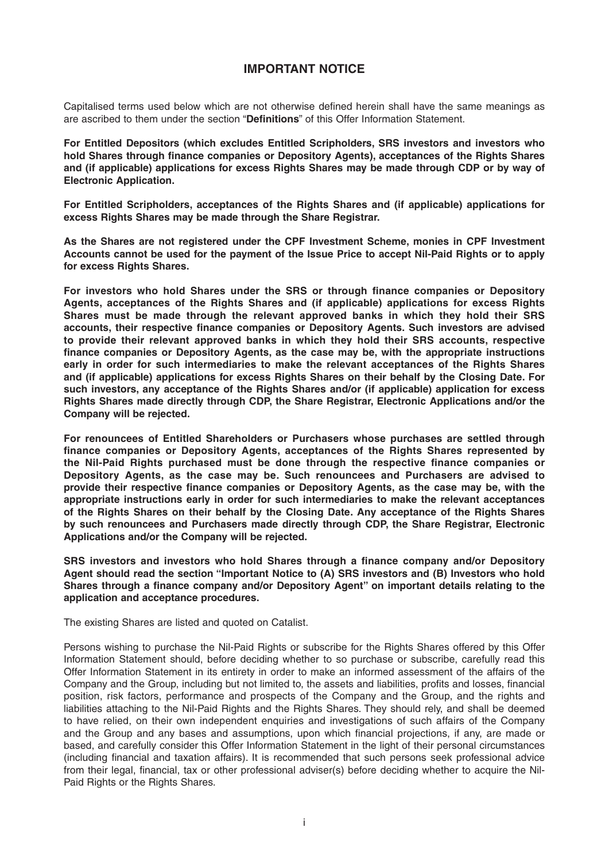## **IMPORTANT NOTICE**

Capitalised terms used below which are not otherwise defined herein shall have the same meanings as are ascribed to them under the section "**Defi nitions**" of this Offer Information Statement.

**For Entitled Depositors (which excludes Entitled Scripholders, SRS investors and investors who**  hold Shares through finance companies or Depository Agents), acceptances of the Rights Shares **and (if applicable) applications for excess Rights Shares may be made through CDP or by way of Electronic Application.**

**For Entitled Scripholders, acceptances of the Rights Shares and (if applicable) applications for excess Rights Shares may be made through the Share Registrar.**

**As the Shares are not registered under the CPF Investment Scheme, monies in CPF Investment Accounts cannot be used for the payment of the Issue Price to accept Nil-Paid Rights or to apply for excess Rights Shares.**

For investors who hold Shares under the SRS or through finance companies or Depository **Agents, acceptances of the Rights Shares and (if applicable) applications for excess Rights Shares must be made through the relevant approved banks in which they hold their SRS**  accounts, their respective finance companies or Depository Agents. Such investors are advised **to provide their relevant approved banks in which they hold their SRS accounts, respective**  finance companies or Depository Agents, as the case may be, with the appropriate instructions **early in order for such intermediaries to make the relevant acceptances of the Rights Shares and (if applicable) applications for excess Rights Shares on their behalf by the Closing Date. For such investors, any acceptance of the Rights Shares and/or (if applicable) application for excess Rights Shares made directly through CDP, the Share Registrar, Electronic Applications and/or the Company will be rejected.**

**For renouncees of Entitled Shareholders or Purchasers whose purchases are settled through**  finance companies or Depository Agents, acceptances of the Rights Shares represented by the Nil-Paid Rights purchased must be done through the respective finance companies or **Depository Agents, as the case may be. Such renouncees and Purchasers are advised to**  provide their respective finance companies or Depository Agents, as the case may be, with the **appropriate instructions early in order for such intermediaries to make the relevant acceptances of the Rights Shares on their behalf by the Closing Date. Any acceptance of the Rights Shares by such renouncees and Purchasers made directly through CDP, the Share Registrar, Electronic Applications and/or the Company will be rejected.**

SRS investors and investors who hold Shares through a finance company and/or Depository **Agent should read the section "Important Notice to (A) SRS investors and (B) Investors who hold**  Shares through a finance company and/or Depository Agent" on important details relating to the **application and acceptance procedures.**

The existing Shares are listed and quoted on Catalist.

Persons wishing to purchase the Nil-Paid Rights or subscribe for the Rights Shares offered by this Offer Information Statement should, before deciding whether to so purchase or subscribe, carefully read this Offer Information Statement in its entirety in order to make an informed assessment of the affairs of the Company and the Group, including but not limited to, the assets and liabilities, profits and losses, financial position, risk factors, performance and prospects of the Company and the Group, and the rights and liabilities attaching to the Nil-Paid Rights and the Rights Shares. They should rely, and shall be deemed to have relied, on their own independent enquiries and investigations of such affairs of the Company and the Group and any bases and assumptions, upon which financial projections, if any, are made or based, and carefully consider this Offer Information Statement in the light of their personal circumstances (including financial and taxation affairs). It is recommended that such persons seek professional advice from their legal, financial, tax or other professional adviser(s) before deciding whether to acquire the Nil-Paid Rights or the Rights Shares.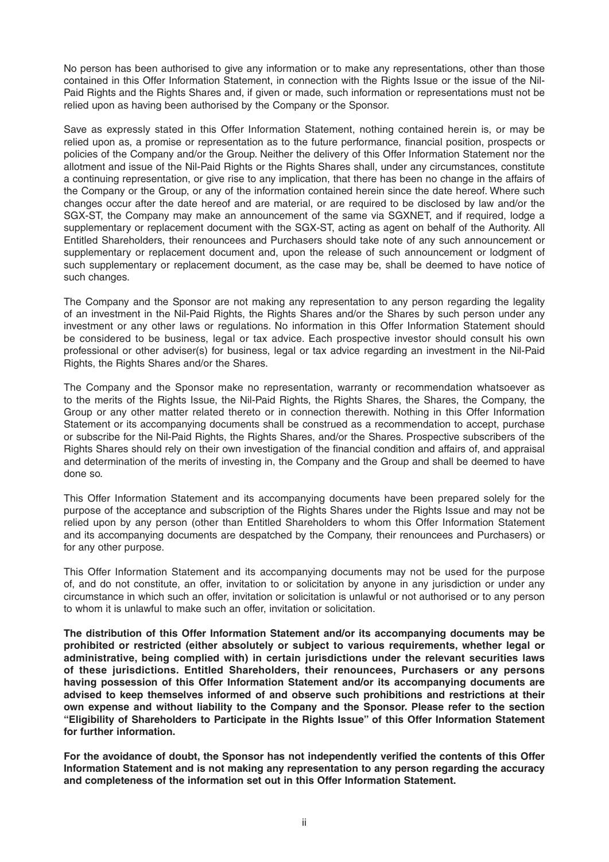No person has been authorised to give any information or to make any representations, other than those contained in this Offer Information Statement, in connection with the Rights Issue or the issue of the Nil-Paid Rights and the Rights Shares and, if given or made, such information or representations must not be relied upon as having been authorised by the Company or the Sponsor.

Save as expressly stated in this Offer Information Statement, nothing contained herein is, or may be relied upon as, a promise or representation as to the future performance, financial position, prospects or policies of the Company and/or the Group. Neither the delivery of this Offer Information Statement nor the allotment and issue of the Nil-Paid Rights or the Rights Shares shall, under any circumstances, constitute a continuing representation, or give rise to any implication, that there has been no change in the affairs of the Company or the Group, or any of the information contained herein since the date hereof. Where such changes occur after the date hereof and are material, or are required to be disclosed by law and/or the SGX-ST, the Company may make an announcement of the same via SGXNET, and if required, lodge a supplementary or replacement document with the SGX-ST, acting as agent on behalf of the Authority. All Entitled Shareholders, their renouncees and Purchasers should take note of any such announcement or supplementary or replacement document and, upon the release of such announcement or lodgment of such supplementary or replacement document, as the case may be, shall be deemed to have notice of such changes.

The Company and the Sponsor are not making any representation to any person regarding the legality of an investment in the Nil-Paid Rights, the Rights Shares and/or the Shares by such person under any investment or any other laws or regulations. No information in this Offer Information Statement should be considered to be business, legal or tax advice. Each prospective investor should consult his own professional or other adviser(s) for business, legal or tax advice regarding an investment in the Nil-Paid Rights, the Rights Shares and/or the Shares.

The Company and the Sponsor make no representation, warranty or recommendation whatsoever as to the merits of the Rights Issue, the Nil-Paid Rights, the Rights Shares, the Shares, the Company, the Group or any other matter related thereto or in connection therewith. Nothing in this Offer Information Statement or its accompanying documents shall be construed as a recommendation to accept, purchase or subscribe for the Nil-Paid Rights, the Rights Shares, and/or the Shares. Prospective subscribers of the Rights Shares should rely on their own investigation of the financial condition and affairs of, and appraisal and determination of the merits of investing in, the Company and the Group and shall be deemed to have done so.

This Offer Information Statement and its accompanying documents have been prepared solely for the purpose of the acceptance and subscription of the Rights Shares under the Rights Issue and may not be relied upon by any person (other than Entitled Shareholders to whom this Offer Information Statement and its accompanying documents are despatched by the Company, their renouncees and Purchasers) or for any other purpose.

This Offer Information Statement and its accompanying documents may not be used for the purpose of, and do not constitute, an offer, invitation to or solicitation by anyone in any jurisdiction or under any circumstance in which such an offer, invitation or solicitation is unlawful or not authorised or to any person to whom it is unlawful to make such an offer, invitation or solicitation.

**The distribution of this Offer Information Statement and/or its accompanying documents may be prohibited or restricted (either absolutely or subject to various requirements, whether legal or administrative, being complied with) in certain jurisdictions under the relevant securities laws of these jurisdictions. Entitled Shareholders, their renouncees, Purchasers or any persons having possession of this Offer Information Statement and/or its accompanying documents are advised to keep themselves informed of and observe such prohibitions and restrictions at their own expense and without liability to the Company and the Sponsor. Please refer to the section "Eligibility of Shareholders to Participate in the Rights Issue" of this Offer Information Statement for further information.**

For the avoidance of doubt, the Sponsor has not independently verified the contents of this Offer **Information Statement and is not making any representation to any person regarding the accuracy and completeness of the information set out in this Offer Information Statement.**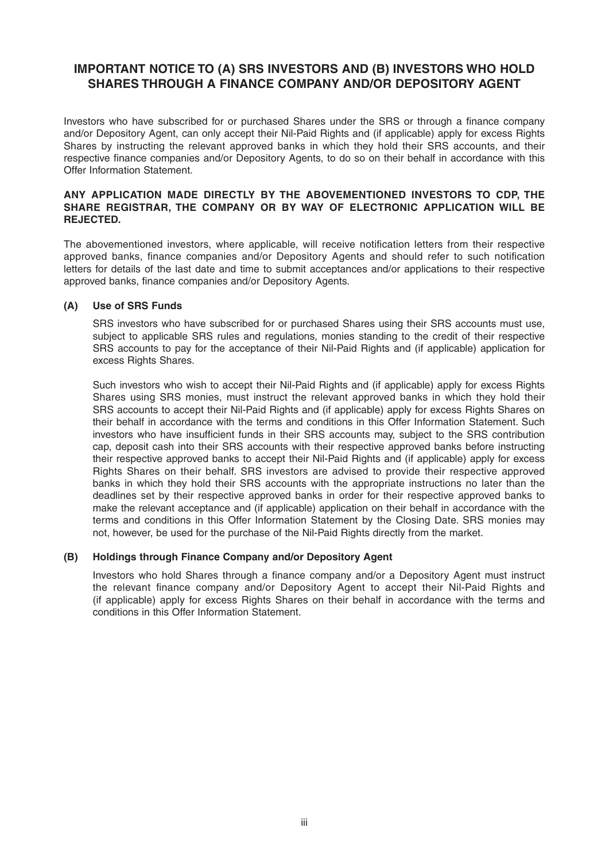## **IMPORTANT NOTICE TO (A) SRS INVESTORS AND (B) INVESTORS WHO HOLD SHARES THROUGH A FINANCE COMPANY AND/OR DEPOSITORY AGENT**

Investors who have subscribed for or purchased Shares under the SRS or through a finance company and/or Depository Agent, can only accept their Nil-Paid Rights and (if applicable) apply for excess Rights Shares by instructing the relevant approved banks in which they hold their SRS accounts, and their respective finance companies and/or Depository Agents, to do so on their behalf in accordance with this Offer Information Statement.

### **ANY APPLICATION MADE DIRECTLY BY THE ABOVEMENTIONED INVESTORS TO CDP, THE SHARE REGISTRAR, THE COMPANY OR BY WAY OF ELECTRONIC APPLICATION WILL BE REJECTED.**

The abovementioned investors, where applicable, will receive notification letters from their respective approved banks, finance companies and/or Depository Agents and should refer to such notification letters for details of the last date and time to submit acceptances and/or applications to their respective approved banks, finance companies and/or Depository Agents.

### **(A) Use of SRS Funds**

 SRS investors who have subscribed for or purchased Shares using their SRS accounts must use, subject to applicable SRS rules and regulations, monies standing to the credit of their respective SRS accounts to pay for the acceptance of their Nil-Paid Rights and (if applicable) application for excess Rights Shares.

 Such investors who wish to accept their Nil-Paid Rights and (if applicable) apply for excess Rights Shares using SRS monies, must instruct the relevant approved banks in which they hold their SRS accounts to accept their Nil-Paid Rights and (if applicable) apply for excess Rights Shares on their behalf in accordance with the terms and conditions in this Offer Information Statement. Such investors who have insufficient funds in their SRS accounts may, subject to the SRS contribution cap, deposit cash into their SRS accounts with their respective approved banks before instructing their respective approved banks to accept their Nil-Paid Rights and (if applicable) apply for excess Rights Shares on their behalf. SRS investors are advised to provide their respective approved banks in which they hold their SRS accounts with the appropriate instructions no later than the deadlines set by their respective approved banks in order for their respective approved banks to make the relevant acceptance and (if applicable) application on their behalf in accordance with the terms and conditions in this Offer Information Statement by the Closing Date. SRS monies may not, however, be used for the purchase of the Nil-Paid Rights directly from the market.

### **(B)** Holdings through Finance Company and/or Depository Agent

Investors who hold Shares through a finance company and/or a Depository Agent must instruct the relevant finance company and/or Depository Agent to accept their Nil-Paid Rights and (if applicable) apply for excess Rights Shares on their behalf in accordance with the terms and conditions in this Offer Information Statement.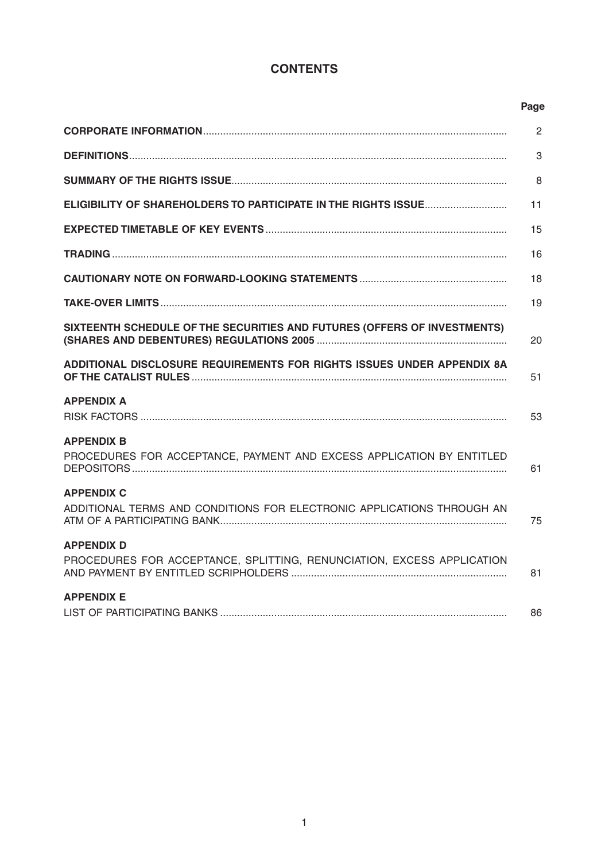# **CONTENTS**

|                                                                                             | Page |
|---------------------------------------------------------------------------------------------|------|
|                                                                                             | 2    |
|                                                                                             | 3    |
|                                                                                             | 8    |
| ELIGIBILITY OF SHAREHOLDERS TO PARTICIPATE IN THE RIGHTS ISSUE                              | 11   |
|                                                                                             | 15   |
|                                                                                             | 16   |
|                                                                                             | 18   |
|                                                                                             | 19   |
| SIXTEENTH SCHEDULE OF THE SECURITIES AND FUTURES (OFFERS OF INVESTMENTS)                    | 20   |
| ADDITIONAL DISCLOSURE REQUIREMENTS FOR RIGHTS ISSUES UNDER APPENDIX 8A                      | 51   |
| <b>APPENDIX A</b>                                                                           | 53   |
| <b>APPENDIX B</b><br>PROCEDURES FOR ACCEPTANCE, PAYMENT AND EXCESS APPLICATION BY ENTITLED  | 61   |
| <b>APPENDIX C</b><br>ADDITIONAL TERMS AND CONDITIONS FOR ELECTRONIC APPLICATIONS THROUGH AN | 75   |
| <b>APPENDIX D</b><br>PROCEDURES FOR ACCEPTANCE, SPLITTING, RENUNCIATION, EXCESS APPLICATION | 81   |
| <b>APPENDIX E</b>                                                                           | 86   |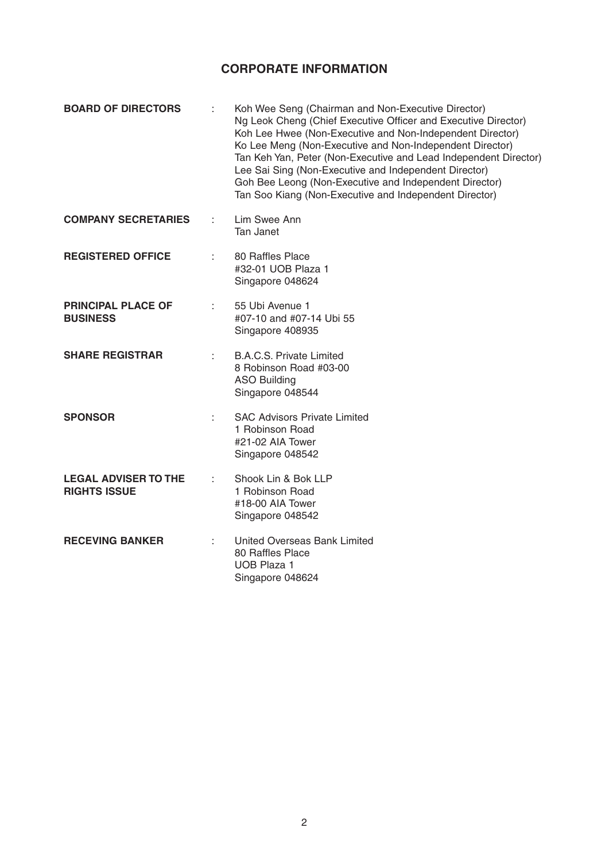## **CORPORATE INFORMATION**

| <b>BOARD OF DIRECTORS</b>                          | Koh Wee Seng (Chairman and Non-Executive Director)<br>Ng Leok Cheng (Chief Executive Officer and Executive Director)<br>Koh Lee Hwee (Non-Executive and Non-Independent Director)<br>Ko Lee Meng (Non-Executive and Non-Independent Director)<br>Tan Keh Yan, Peter (Non-Executive and Lead Independent Director)<br>Lee Sai Sing (Non-Executive and Independent Director)<br>Goh Bee Leong (Non-Executive and Independent Director)<br>Tan Soo Kiang (Non-Executive and Independent Director) |
|----------------------------------------------------|------------------------------------------------------------------------------------------------------------------------------------------------------------------------------------------------------------------------------------------------------------------------------------------------------------------------------------------------------------------------------------------------------------------------------------------------------------------------------------------------|
| <b>COMPANY SECRETARIES</b>                         | Lim Swee Ann<br><b>Tan Janet</b>                                                                                                                                                                                                                                                                                                                                                                                                                                                               |
| <b>REGISTERED OFFICE</b>                           | 80 Raffles Place<br>#32-01 UOB Plaza 1<br>Singapore 048624                                                                                                                                                                                                                                                                                                                                                                                                                                     |
| <b>PRINCIPAL PLACE OF</b><br><b>BUSINESS</b>       | 55 Ubi Avenue 1<br>#07-10 and #07-14 Ubi 55<br>Singapore 408935                                                                                                                                                                                                                                                                                                                                                                                                                                |
| <b>SHARE REGISTRAR</b>                             | <b>B.A.C.S. Private Limited</b><br>8 Robinson Road #03-00<br><b>ASO Building</b><br>Singapore 048544                                                                                                                                                                                                                                                                                                                                                                                           |
| <b>SPONSOR</b>                                     | <b>SAC Advisors Private Limited</b><br>1 Robinson Road<br>#21-02 AIA Tower<br>Singapore 048542                                                                                                                                                                                                                                                                                                                                                                                                 |
| <b>LEGAL ADVISER TO THE</b><br><b>RIGHTS ISSUE</b> | Shook Lin & Bok LLP<br>1 Robinson Road<br>#18-00 AIA Tower<br>Singapore 048542                                                                                                                                                                                                                                                                                                                                                                                                                 |
| <b>RECEVING BANKER</b>                             | United Overseas Bank Limited<br>80 Raffles Place<br><b>UOB Plaza 1</b><br>Singapore 048624                                                                                                                                                                                                                                                                                                                                                                                                     |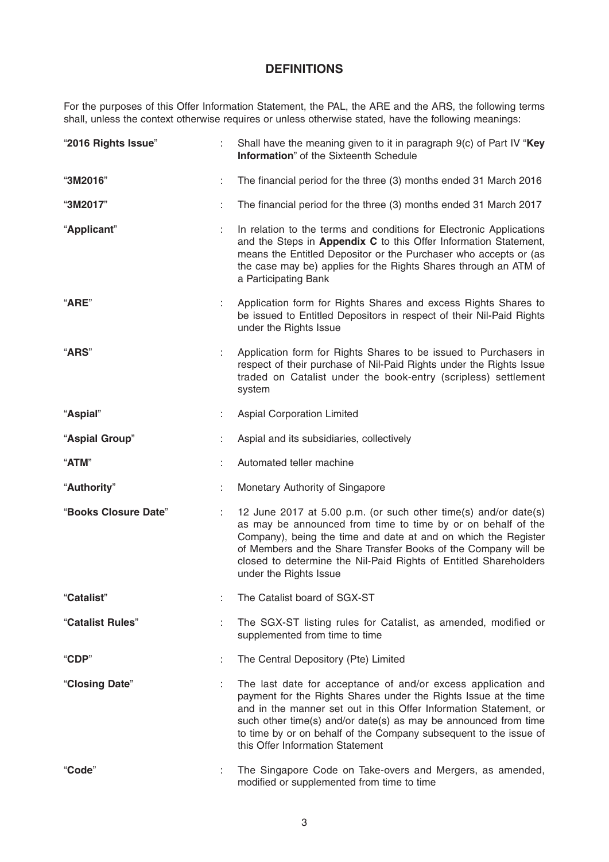## **DEFINITIONS**

For the purposes of this Offer Information Statement, the PAL, the ARE and the ARS, the following terms shall, unless the context otherwise requires or unless otherwise stated, have the following meanings:

| "2016 Rights Issue"  |   | Shall have the meaning given to it in paragraph 9(c) of Part IV "Key<br><b>Information</b> " of the Sixteenth Schedule                                                                                                                                                                                                                                                             |
|----------------------|---|------------------------------------------------------------------------------------------------------------------------------------------------------------------------------------------------------------------------------------------------------------------------------------------------------------------------------------------------------------------------------------|
| "3M2016"             | ÷ | The financial period for the three (3) months ended 31 March 2016                                                                                                                                                                                                                                                                                                                  |
| "3M2017"             |   | The financial period for the three (3) months ended 31 March 2017                                                                                                                                                                                                                                                                                                                  |
| "Applicant"          |   | In relation to the terms and conditions for Electronic Applications<br>and the Steps in Appendix C to this Offer Information Statement,<br>means the Entitled Depositor or the Purchaser who accepts or (as<br>the case may be) applies for the Rights Shares through an ATM of<br>a Participating Bank                                                                            |
| "ARE"                |   | Application form for Rights Shares and excess Rights Shares to<br>be issued to Entitled Depositors in respect of their Nil-Paid Rights<br>under the Rights Issue                                                                                                                                                                                                                   |
| <b>"ARS"</b>         |   | Application form for Rights Shares to be issued to Purchasers in<br>respect of their purchase of Nil-Paid Rights under the Rights Issue<br>traded on Catalist under the book-entry (scripless) settlement<br>system                                                                                                                                                                |
| "Aspial"             |   | <b>Aspial Corporation Limited</b>                                                                                                                                                                                                                                                                                                                                                  |
| "Aspial Group"       |   | Aspial and its subsidiaries, collectively                                                                                                                                                                                                                                                                                                                                          |
| "ATM"                |   | Automated teller machine                                                                                                                                                                                                                                                                                                                                                           |
| "Authority"          |   | Monetary Authority of Singapore                                                                                                                                                                                                                                                                                                                                                    |
| "Books Closure Date" | ÷ | 12 June 2017 at 5.00 p.m. (or such other time(s) and/or date(s)<br>as may be announced from time to time by or on behalf of the<br>Company), being the time and date at and on which the Register<br>of Members and the Share Transfer Books of the Company will be<br>closed to determine the Nil-Paid Rights of Entitled Shareholders<br>under the Rights Issue                  |
| "Catalist"           |   | The Catalist board of SGX-ST                                                                                                                                                                                                                                                                                                                                                       |
| "Catalist Rules"     |   | The SGX-ST listing rules for Catalist, as amended, modified or<br>supplemented from time to time                                                                                                                                                                                                                                                                                   |
| "CDP"                | t | The Central Depository (Pte) Limited                                                                                                                                                                                                                                                                                                                                               |
| "Closing Date"       |   | The last date for acceptance of and/or excess application and<br>payment for the Rights Shares under the Rights Issue at the time<br>and in the manner set out in this Offer Information Statement, or<br>such other time(s) and/or date(s) as may be announced from time<br>to time by or on behalf of the Company subsequent to the issue of<br>this Offer Information Statement |
| "Code"               | ÷ | The Singapore Code on Take-overs and Mergers, as amended,<br>modified or supplemented from time to time                                                                                                                                                                                                                                                                            |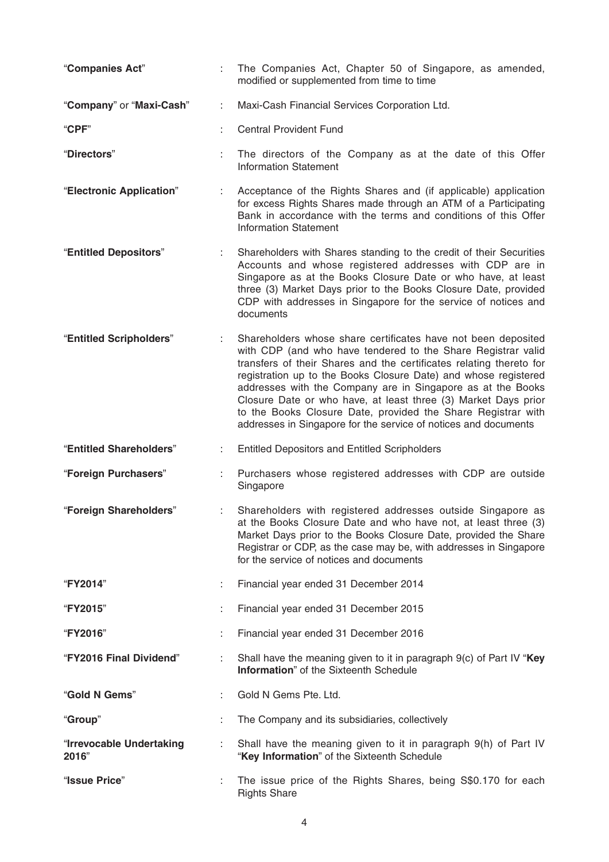| "Companies Act"                   |   | The Companies Act, Chapter 50 of Singapore, as amended,<br>modified or supplemented from time to time                                                                                                                                                                                                                                                                                                                                                                                                                                       |
|-----------------------------------|---|---------------------------------------------------------------------------------------------------------------------------------------------------------------------------------------------------------------------------------------------------------------------------------------------------------------------------------------------------------------------------------------------------------------------------------------------------------------------------------------------------------------------------------------------|
| "Company" or "Maxi-Cash"          | ÷ | Maxi-Cash Financial Services Corporation Ltd.                                                                                                                                                                                                                                                                                                                                                                                                                                                                                               |
| "CPF"                             |   | <b>Central Provident Fund</b>                                                                                                                                                                                                                                                                                                                                                                                                                                                                                                               |
| "Directors"                       |   | The directors of the Company as at the date of this Offer<br><b>Information Statement</b>                                                                                                                                                                                                                                                                                                                                                                                                                                                   |
| "Electronic Application"          |   | Acceptance of the Rights Shares and (if applicable) application<br>for excess Rights Shares made through an ATM of a Participating<br>Bank in accordance with the terms and conditions of this Offer<br><b>Information Statement</b>                                                                                                                                                                                                                                                                                                        |
| "Entitled Depositors"             | ÷ | Shareholders with Shares standing to the credit of their Securities<br>Accounts and whose registered addresses with CDP are in<br>Singapore as at the Books Closure Date or who have, at least<br>three (3) Market Days prior to the Books Closure Date, provided<br>CDP with addresses in Singapore for the service of notices and<br>documents                                                                                                                                                                                            |
| "Entitled Scripholders"           |   | Shareholders whose share certificates have not been deposited<br>with CDP (and who have tendered to the Share Registrar valid<br>transfers of their Shares and the certificates relating thereto for<br>registration up to the Books Closure Date) and whose registered<br>addresses with the Company are in Singapore as at the Books<br>Closure Date or who have, at least three (3) Market Days prior<br>to the Books Closure Date, provided the Share Registrar with<br>addresses in Singapore for the service of notices and documents |
| "Entitled Shareholders"           | ÷ | <b>Entitled Depositors and Entitled Scripholders</b>                                                                                                                                                                                                                                                                                                                                                                                                                                                                                        |
| "Foreign Purchasers"              |   | Purchasers whose registered addresses with CDP are outside<br>Singapore                                                                                                                                                                                                                                                                                                                                                                                                                                                                     |
| "Foreign Shareholders"            |   | Shareholders with registered addresses outside Singapore as<br>at the Books Closure Date and who have not, at least three (3)<br>Market Days prior to the Books Closure Date, provided the Share<br>Registrar or CDP, as the case may be, with addresses in Singapore<br>for the service of notices and documents                                                                                                                                                                                                                           |
| "FY2014"                          |   | Financial year ended 31 December 2014                                                                                                                                                                                                                                                                                                                                                                                                                                                                                                       |
| "FY2015"                          |   | Financial year ended 31 December 2015                                                                                                                                                                                                                                                                                                                                                                                                                                                                                                       |
| "FY2016"                          |   | Financial year ended 31 December 2016                                                                                                                                                                                                                                                                                                                                                                                                                                                                                                       |
| "FY2016 Final Dividend"           |   | Shall have the meaning given to it in paragraph 9(c) of Part IV "Key<br><b>Information</b> " of the Sixteenth Schedule                                                                                                                                                                                                                                                                                                                                                                                                                      |
| "Gold N Gems"                     |   | Gold N Gems Pte. Ltd.                                                                                                                                                                                                                                                                                                                                                                                                                                                                                                                       |
| "Group"                           |   | The Company and its subsidiaries, collectively                                                                                                                                                                                                                                                                                                                                                                                                                                                                                              |
| "Irrevocable Undertaking<br>2016" |   | Shall have the meaning given to it in paragraph 9(h) of Part IV<br>"Key Information" of the Sixteenth Schedule                                                                                                                                                                                                                                                                                                                                                                                                                              |
| "Issue Price"                     |   | The issue price of the Rights Shares, being S\$0.170 for each<br><b>Rights Share</b>                                                                                                                                                                                                                                                                                                                                                                                                                                                        |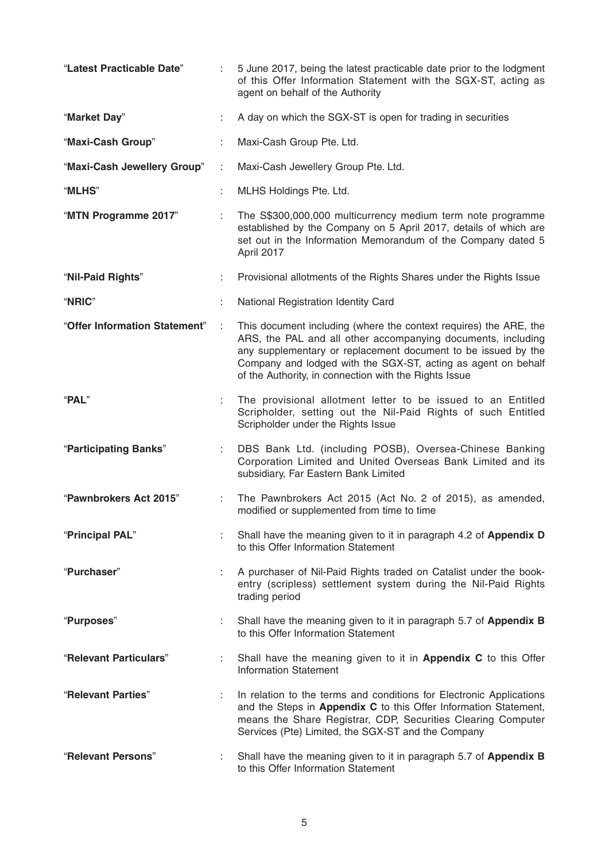| "Latest Practicable Date"     |   | 5 June 2017, being the latest practicable date prior to the lodgment<br>of this Offer Information Statement with the SGX-ST, acting as<br>agent on behalf of the Authority                                                                                                                                                   |
|-------------------------------|---|------------------------------------------------------------------------------------------------------------------------------------------------------------------------------------------------------------------------------------------------------------------------------------------------------------------------------|
| "Market Day"                  |   | A day on which the SGX-ST is open for trading in securities                                                                                                                                                                                                                                                                  |
| "Maxi-Cash Group"             |   | Maxi-Cash Group Pte. Ltd.                                                                                                                                                                                                                                                                                                    |
| "Maxi-Cash Jewellery Group"   | ÷ | Maxi-Cash Jewellery Group Pte. Ltd.                                                                                                                                                                                                                                                                                          |
| "MLHS"                        |   | MLHS Holdings Pte. Ltd.                                                                                                                                                                                                                                                                                                      |
| "MTN Programme 2017"          |   | The S\$300,000,000 multicurrency medium term note programme<br>established by the Company on 5 April 2017, details of which are<br>set out in the Information Memorandum of the Company dated 5<br>April 2017                                                                                                                |
| "Nil-Paid Rights"             |   | Provisional allotments of the Rights Shares under the Rights Issue                                                                                                                                                                                                                                                           |
| "NRIC"                        |   | National Registration Identity Card                                                                                                                                                                                                                                                                                          |
| "Offer Information Statement" |   | This document including (where the context requires) the ARE, the<br>ARS, the PAL and all other accompanying documents, including<br>any supplementary or replacement document to be issued by the<br>Company and lodged with the SGX-ST, acting as agent on behalf<br>of the Authority, in connection with the Rights Issue |
| "PAL"                         |   | The provisional allotment letter to be issued to an Entitled<br>Scripholder, setting out the Nil-Paid Rights of such Entitled<br>Scripholder under the Rights Issue                                                                                                                                                          |
| "Participating Banks"         |   | DBS Bank Ltd. (including POSB), Oversea-Chinese Banking<br>Corporation Limited and United Overseas Bank Limited and its<br>subsidiary, Far Eastern Bank Limited                                                                                                                                                              |
| "Pawnbrokers Act 2015"        | ÷ | The Pawnbrokers Act 2015 (Act No. 2 of 2015), as amended,<br>modified or supplemented from time to time                                                                                                                                                                                                                      |
| "Principal PAL"               |   | Shall have the meaning given to it in paragraph 4.2 of Appendix D<br>to this Offer Information Statement                                                                                                                                                                                                                     |
| "Purchaser"                   |   | A purchaser of Nil-Paid Rights traded on Catalist under the book-<br>entry (scripless) settlement system during the Nil-Paid Rights<br>trading period                                                                                                                                                                        |
| "Purposes"                    |   | Shall have the meaning given to it in paragraph 5.7 of Appendix B<br>to this Offer Information Statement                                                                                                                                                                                                                     |
| "Relevant Particulars"        |   | Shall have the meaning given to it in Appendix C to this Offer<br><b>Information Statement</b>                                                                                                                                                                                                                               |
| "Relevant Parties"            |   | In relation to the terms and conditions for Electronic Applications<br>and the Steps in Appendix C to this Offer Information Statement,<br>means the Share Registrar, CDP, Securities Clearing Computer<br>Services (Pte) Limited, the SGX-ST and the Company                                                                |
| "Relevant Persons"            |   | Shall have the meaning given to it in paragraph 5.7 of Appendix B<br>to this Offer Information Statement                                                                                                                                                                                                                     |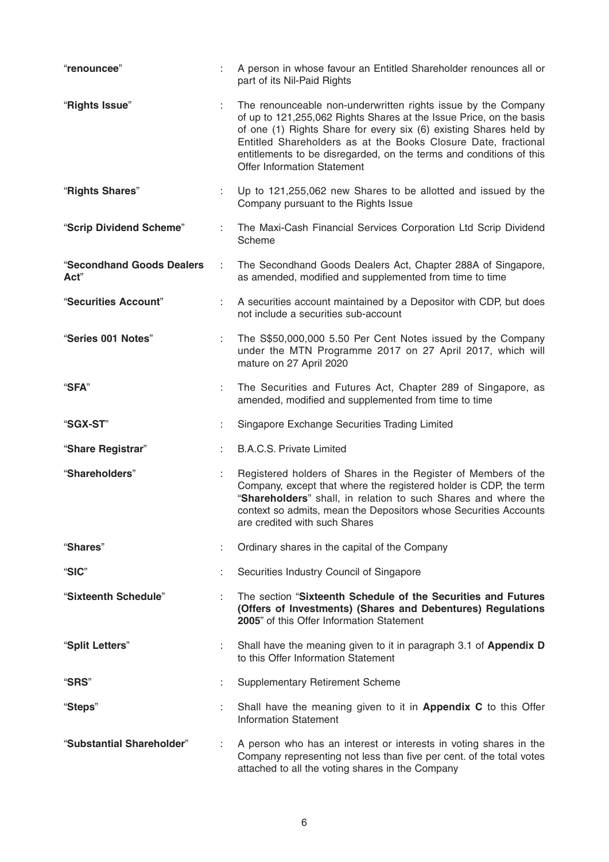| "renouncee"                       | ÷  | A person in whose favour an Entitled Shareholder renounces all or<br>part of its Nil-Paid Rights                                                                                                                                                                                                                                                                                         |
|-----------------------------------|----|------------------------------------------------------------------------------------------------------------------------------------------------------------------------------------------------------------------------------------------------------------------------------------------------------------------------------------------------------------------------------------------|
| "Rights Issue"                    |    | The renounceable non-underwritten rights issue by the Company<br>of up to 121,255,062 Rights Shares at the Issue Price, on the basis<br>of one (1) Rights Share for every six (6) existing Shares held by<br>Entitled Shareholders as at the Books Closure Date, fractional<br>entitlements to be disregarded, on the terms and conditions of this<br><b>Offer Information Statement</b> |
| "Rights Shares"                   | ÷. | Up to 121,255,062 new Shares to be allotted and issued by the<br>Company pursuant to the Rights Issue                                                                                                                                                                                                                                                                                    |
| "Scrip Dividend Scheme"           | ÷  | The Maxi-Cash Financial Services Corporation Ltd Scrip Dividend<br>Scheme                                                                                                                                                                                                                                                                                                                |
| "Secondhand Goods Dealers<br>Act" | ÷  | The Secondhand Goods Dealers Act, Chapter 288A of Singapore,<br>as amended, modified and supplemented from time to time                                                                                                                                                                                                                                                                  |
| "Securities Account"              | ÷  | A securities account maintained by a Depositor with CDP, but does<br>not include a securities sub-account                                                                                                                                                                                                                                                                                |
| "Series 001 Notes"                | ÷  | The S\$50,000,000 5.50 Per Cent Notes issued by the Company<br>under the MTN Programme 2017 on 27 April 2017, which will<br>mature on 27 April 2020                                                                                                                                                                                                                                      |
| "SFA"                             | ÷  | The Securities and Futures Act, Chapter 289 of Singapore, as<br>amended, modified and supplemented from time to time                                                                                                                                                                                                                                                                     |
| "SGX-ST"                          |    | Singapore Exchange Securities Trading Limited                                                                                                                                                                                                                                                                                                                                            |
| "Share Registrar"                 |    | <b>B.A.C.S. Private Limited</b>                                                                                                                                                                                                                                                                                                                                                          |
| "Shareholders"                    | ÷  | Registered holders of Shares in the Register of Members of the<br>Company, except that where the registered holder is CDP, the term<br>"Shareholders" shall, in relation to such Shares and where the<br>context so admits, mean the Depositors whose Securities Accounts<br>are credited with such Shares                                                                               |
| "Shares"                          | t  | Ordinary shares in the capital of the Company                                                                                                                                                                                                                                                                                                                                            |
| "SIC"                             |    | Securities Industry Council of Singapore                                                                                                                                                                                                                                                                                                                                                 |
| "Sixteenth Schedule"              | ÷  | The section "Sixteenth Schedule of the Securities and Futures"<br>(Offers of Investments) (Shares and Debentures) Regulations<br>2005" of this Offer Information Statement                                                                                                                                                                                                               |
| "Split Letters"                   | ÷. | Shall have the meaning given to it in paragraph 3.1 of Appendix D<br>to this Offer Information Statement                                                                                                                                                                                                                                                                                 |
| "SRS"                             | t  | <b>Supplementary Retirement Scheme</b>                                                                                                                                                                                                                                                                                                                                                   |
| "Steps"                           |    | Shall have the meaning given to it in <b>Appendix C</b> to this Offer<br><b>Information Statement</b>                                                                                                                                                                                                                                                                                    |
| "Substantial Shareholder"         | ÷  | A person who has an interest or interests in voting shares in the<br>Company representing not less than five per cent. of the total votes<br>attached to all the voting shares in the Company                                                                                                                                                                                            |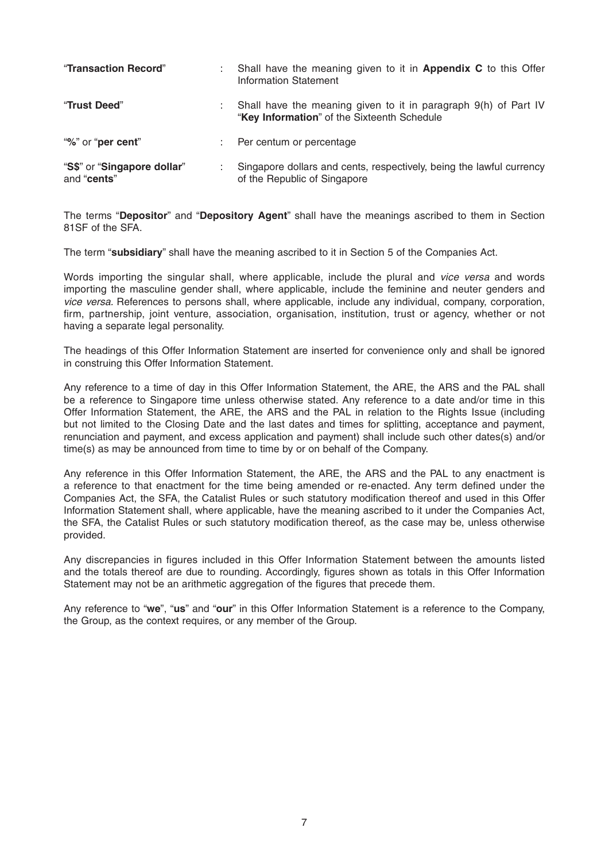| "Transaction Record"                       | ٠. | Shall have the meaning given to it in <b>Appendix C</b> to this Offer<br>Information Statement                 |
|--------------------------------------------|----|----------------------------------------------------------------------------------------------------------------|
| "Trust Deed"                               |    | Shall have the meaning given to it in paragraph 9(h) of Part IV<br>"Key Information" of the Sixteenth Schedule |
| "%" or "per cent"                          |    | Per centum or percentage                                                                                       |
| "S\$" or "Singapore dollar"<br>and "cents" |    | Singapore dollars and cents, respectively, being the lawful currency<br>of the Republic of Singapore           |

The terms "**Depositor**" and "**Depository Agent**" shall have the meanings ascribed to them in Section 81SF of the SFA.

The term "**subsidiary**" shall have the meaning ascribed to it in Section 5 of the Companies Act.

Words importing the singular shall, where applicable, include the plural and *vice versa* and words importing the masculine gender shall, where applicable, include the feminine and neuter genders and *vice versa.* References to persons shall, where applicable, include any individual, company, corporation, firm, partnership, joint venture, association, organisation, institution, trust or agency, whether or not having a separate legal personality.

The headings of this Offer Information Statement are inserted for convenience only and shall be ignored in construing this Offer Information Statement.

Any reference to a time of day in this Offer Information Statement, the ARE, the ARS and the PAL shall be a reference to Singapore time unless otherwise stated. Any reference to a date and/or time in this Offer Information Statement, the ARE, the ARS and the PAL in relation to the Rights Issue (including but not limited to the Closing Date and the last dates and times for splitting, acceptance and payment, renunciation and payment, and excess application and payment) shall include such other dates(s) and/or time(s) as may be announced from time to time by or on behalf of the Company.

Any reference in this Offer Information Statement, the ARE, the ARS and the PAL to any enactment is a reference to that enactment for the time being amended or re-enacted. Any term defined under the Companies Act, the SFA, the Catalist Rules or such statutory modification thereof and used in this Offer Information Statement shall, where applicable, have the meaning ascribed to it under the Companies Act, the SFA, the Catalist Rules or such statutory modification thereof, as the case may be, unless otherwise provided.

Any discrepancies in figures included in this Offer Information Statement between the amounts listed and the totals thereof are due to rounding. Accordingly, figures shown as totals in this Offer Information Statement may not be an arithmetic aggregation of the figures that precede them.

Any reference to "**we**", "**us**" and "**our**" in this Offer Information Statement is a reference to the Company, the Group, as the context requires, or any member of the Group.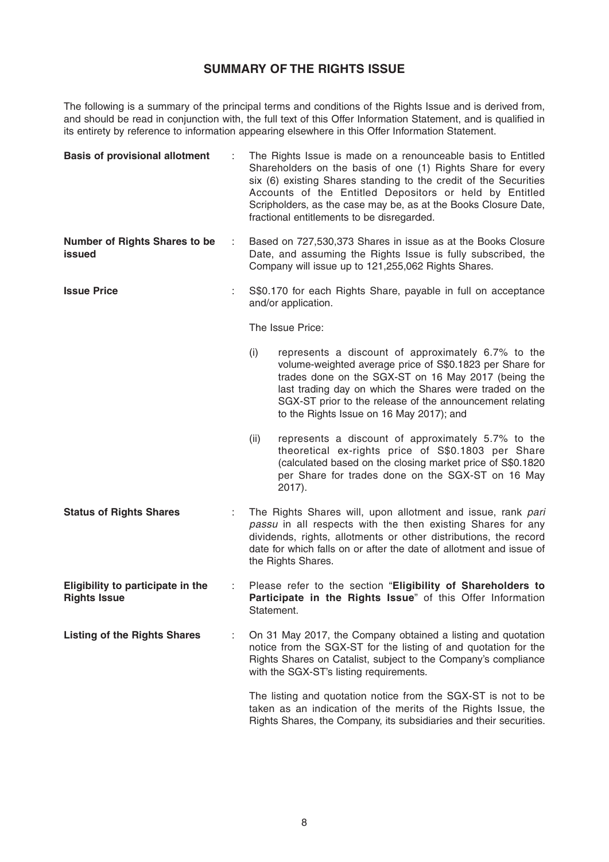## **SUMMARY OF THE RIGHTS ISSUE**

The following is a summary of the principal terms and conditions of the Rights Issue and is derived from, and should be read in conjunction with, the full text of this Offer Information Statement, and is qualified in its entirety by reference to information appearing elsewhere in this Offer Information Statement.

| <b>Basis of provisional allotment</b>                    |   | The Rights Issue is made on a renounceable basis to Entitled<br>Shareholders on the basis of one (1) Rights Share for every<br>six (6) existing Shares standing to the credit of the Securities<br>Accounts of the Entitled Depositors or held by Entitled<br>Scripholders, as the case may be, as at the Books Closure Date,<br>fractional entitlements to be disregarded. |  |
|----------------------------------------------------------|---|-----------------------------------------------------------------------------------------------------------------------------------------------------------------------------------------------------------------------------------------------------------------------------------------------------------------------------------------------------------------------------|--|
| <b>Number of Rights Shares to be</b><br>issued           | ÷ | Based on 727,530,373 Shares in issue as at the Books Closure<br>Date, and assuming the Rights Issue is fully subscribed, the<br>Company will issue up to 121,255,062 Rights Shares.                                                                                                                                                                                         |  |
| <b>Issue Price</b>                                       |   | S\$0.170 for each Rights Share, payable in full on acceptance<br>and/or application.                                                                                                                                                                                                                                                                                        |  |
|                                                          |   | The Issue Price:                                                                                                                                                                                                                                                                                                                                                            |  |
|                                                          |   | (i)<br>represents a discount of approximately 6.7% to the<br>volume-weighted average price of S\$0.1823 per Share for<br>trades done on the SGX-ST on 16 May 2017 (being the<br>last trading day on which the Shares were traded on the<br>SGX-ST prior to the release of the announcement relating<br>to the Rights Issue on 16 May 2017); and                             |  |
|                                                          |   | (ii)<br>represents a discount of approximately 5.7% to the<br>theoretical ex-rights price of S\$0.1803 per Share<br>(calculated based on the closing market price of S\$0.1820<br>per Share for trades done on the SGX-ST on 16 May<br>2017).                                                                                                                               |  |
| <b>Status of Rights Shares</b>                           |   | The Rights Shares will, upon allotment and issue, rank pari<br>passu in all respects with the then existing Shares for any<br>dividends, rights, allotments or other distributions, the record<br>date for which falls on or after the date of allotment and issue of<br>the Rights Shares.                                                                                 |  |
| Eligibility to participate in the<br><b>Rights Issue</b> |   | Please refer to the section "Eligibility of Shareholders to<br>Participate in the Rights Issue" of this Offer Information<br>Statement.                                                                                                                                                                                                                                     |  |
| <b>Listing of the Rights Shares</b>                      |   | On 31 May 2017, the Company obtained a listing and quotation<br>notice from the SGX-ST for the listing of and quotation for the<br>Rights Shares on Catalist, subject to the Company's compliance<br>with the SGX-ST's listing requirements.                                                                                                                                |  |
|                                                          |   | The listing and quotation notice from the SGX-ST is not to be<br>taken as an indication of the merits of the Rights Issue, the<br>Rights Shares, the Company, its subsidiaries and their securities.                                                                                                                                                                        |  |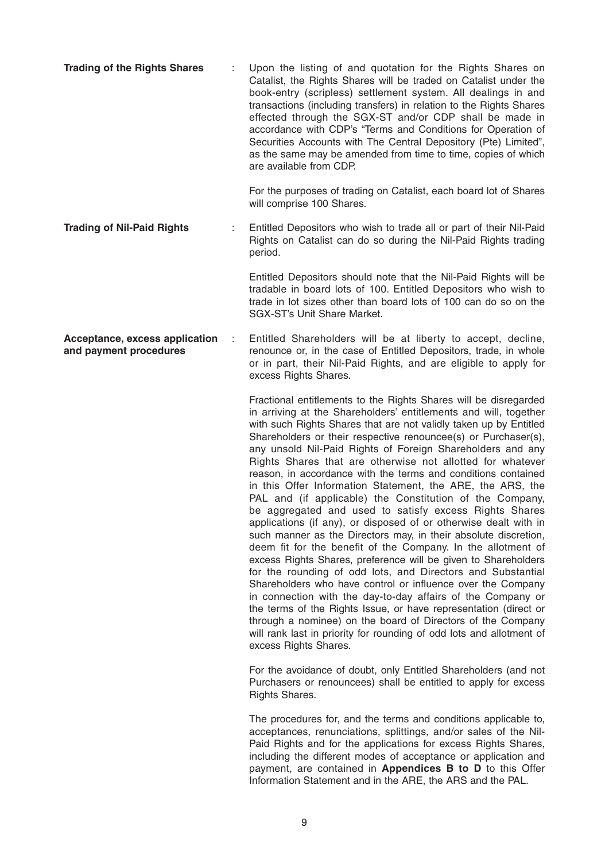**Trading of the Rights Shares** : Upon the listing of and quotation for the Rights Shares on Catalist, the Rights Shares will be traded on Catalist under the book-entry (scripless) settlement system. All dealings in and transactions (including transfers) in relation to the Rights Shares effected through the SGX-ST and/or CDP shall be made in accordance with CDP's "Terms and Conditions for Operation of Securities Accounts with The Central Depository (Pte) Limited", as the same may be amended from time to time, copies of which are available from CDP.

> For the purposes of trading on Catalist, each board lot of Shares will comprise 100 Shares.

**Trading of Nil-Paid Rights** : Entitled Depositors who wish to trade all or part of their Nil-Paid Rights on Catalist can do so during the Nil-Paid Rights trading period.

> Entitled Depositors should note that the Nil-Paid Rights will be tradable in board lots of 100. Entitled Depositors who wish to trade in lot sizes other than board lots of 100 can do so on the SGX-ST's Unit Share Market.

**Acceptance, excess application** : Entitled Shareholders will be at liberty to accept, decline, **and payment procedures renounce or, in the case of Entitled Depositors, trade, in whole** or in part, their Nil-Paid Rights, and are eligible to apply for excess Rights Shares.

> Fractional entitlements to the Rights Shares will be disregarded in arriving at the Shareholders' entitlements and will, together with such Rights Shares that are not validly taken up by Entitled Shareholders or their respective renouncee(s) or Purchaser(s), any unsold Nil-Paid Rights of Foreign Shareholders and any Rights Shares that are otherwise not allotted for whatever reason, in accordance with the terms and conditions contained in this Offer Information Statement, the ARE, the ARS, the PAL and (if applicable) the Constitution of the Company, be aggregated and used to satisfy excess Rights Shares applications (if any), or disposed of or otherwise dealt with in such manner as the Directors may, in their absolute discretion, deem fit for the benefit of the Company. In the allotment of excess Rights Shares, preference will be given to Shareholders for the rounding of odd lots, and Directors and Substantial Shareholders who have control or influence over the Company in connection with the day-to-day affairs of the Company or the terms of the Rights Issue, or have representation (direct or through a nominee) on the board of Directors of the Company will rank last in priority for rounding of odd lots and allotment of excess Rights Shares.

> For the avoidance of doubt, only Entitled Shareholders (and not Purchasers or renouncees) shall be entitled to apply for excess Rights Shares.

> The procedures for, and the terms and conditions applicable to, acceptances, renunciations, splittings, and/or sales of the Nil-Paid Rights and for the applications for excess Rights Shares, including the different modes of acceptance or application and payment, are contained in **Appendices B to D** to this Offer Information Statement and in the ARE, the ARS and the PAL.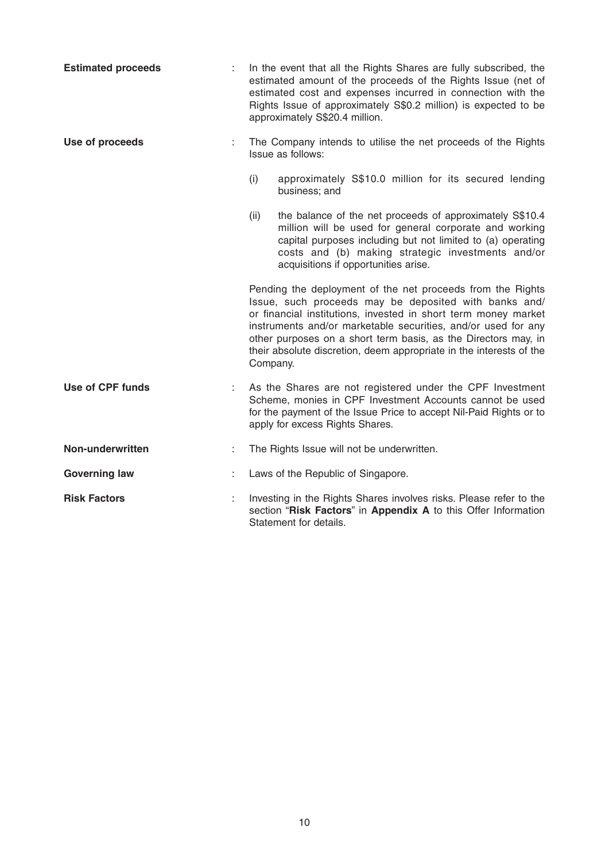| <b>Estimated proceeds</b> |   | In the event that all the Rights Shares are fully subscribed, the<br>estimated amount of the proceeds of the Rights Issue (net of<br>estimated cost and expenses incurred in connection with the<br>Rights Issue of approximately S\$0.2 million) is expected to be<br>approximately S\$20.4 million.                                                                                                       |  |
|---------------------------|---|-------------------------------------------------------------------------------------------------------------------------------------------------------------------------------------------------------------------------------------------------------------------------------------------------------------------------------------------------------------------------------------------------------------|--|
| Use of proceeds           |   | The Company intends to utilise the net proceeds of the Rights<br>Issue as follows:                                                                                                                                                                                                                                                                                                                          |  |
|                           |   | (i)<br>approximately S\$10.0 million for its secured lending<br>business; and                                                                                                                                                                                                                                                                                                                               |  |
|                           |   | (ii)<br>the balance of the net proceeds of approximately S\$10.4<br>million will be used for general corporate and working<br>capital purposes including but not limited to (a) operating<br>costs and (b) making strategic investments and/or<br>acquisitions if opportunities arise.                                                                                                                      |  |
|                           |   | Pending the deployment of the net proceeds from the Rights<br>Issue, such proceeds may be deposited with banks and/<br>or financial institutions, invested in short term money market<br>instruments and/or marketable securities, and/or used for any<br>other purposes on a short term basis, as the Directors may, in<br>their absolute discretion, deem appropriate in the interests of the<br>Company. |  |
| <b>Use of CPF funds</b>   |   | As the Shares are not registered under the CPF Investment<br>Scheme, monies in CPF Investment Accounts cannot be used<br>for the payment of the Issue Price to accept Nil-Paid Rights or to<br>apply for excess Rights Shares.                                                                                                                                                                              |  |
| Non-underwritten          | ÷ | The Rights Issue will not be underwritten.                                                                                                                                                                                                                                                                                                                                                                  |  |
| <b>Governing law</b>      |   | Laws of the Republic of Singapore.                                                                                                                                                                                                                                                                                                                                                                          |  |
| <b>Risk Factors</b>       |   | Investing in the Rights Shares involves risks. Please refer to the<br>section "Risk Factors" in Appendix A to this Offer Information<br>Statement for details.                                                                                                                                                                                                                                              |  |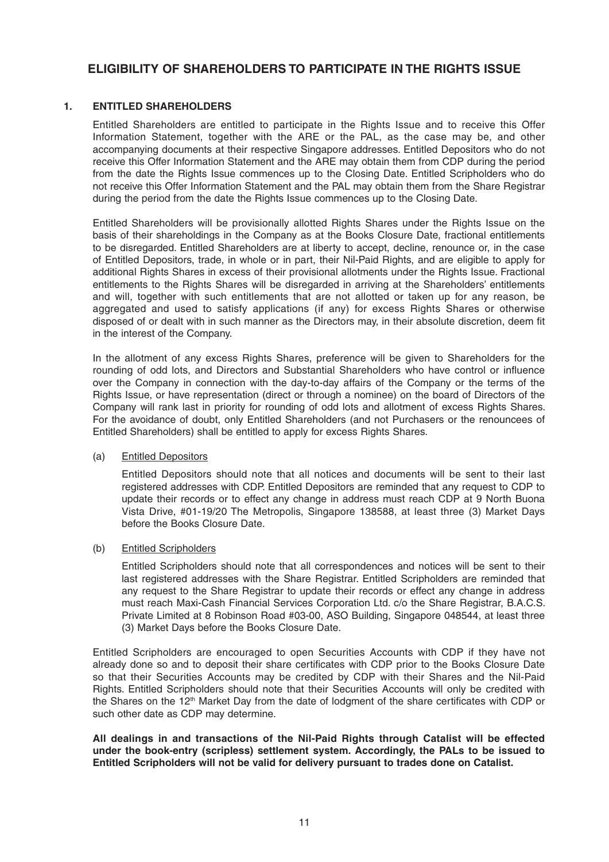## **ELIGIBILITY OF SHAREHOLDERS TO PARTICIPATE IN THE RIGHTS ISSUE**

### **1. ENTITLED SHAREHOLDERS**

 Entitled Shareholders are entitled to participate in the Rights Issue and to receive this Offer Information Statement, together with the ARE or the PAL, as the case may be, and other accompanying documents at their respective Singapore addresses. Entitled Depositors who do not receive this Offer Information Statement and the ARE may obtain them from CDP during the period from the date the Rights Issue commences up to the Closing Date. Entitled Scripholders who do not receive this Offer Information Statement and the PAL may obtain them from the Share Registrar during the period from the date the Rights Issue commences up to the Closing Date.

 Entitled Shareholders will be provisionally allotted Rights Shares under the Rights Issue on the basis of their shareholdings in the Company as at the Books Closure Date, fractional entitlements to be disregarded. Entitled Shareholders are at liberty to accept, decline, renounce or, in the case of Entitled Depositors, trade, in whole or in part, their Nil-Paid Rights, and are eligible to apply for additional Rights Shares in excess of their provisional allotments under the Rights Issue. Fractional entitlements to the Rights Shares will be disregarded in arriving at the Shareholders' entitlements and will, together with such entitlements that are not allotted or taken up for any reason, be aggregated and used to satisfy applications (if any) for excess Rights Shares or otherwise disposed of or dealt with in such manner as the Directors may, in their absolute discretion, deem fit in the interest of the Company.

 In the allotment of any excess Rights Shares, preference will be given to Shareholders for the rounding of odd lots, and Directors and Substantial Shareholders who have control or influence over the Company in connection with the day-to-day affairs of the Company or the terms of the Rights Issue, or have representation (direct or through a nominee) on the board of Directors of the Company will rank last in priority for rounding of odd lots and allotment of excess Rights Shares. For the avoidance of doubt, only Entitled Shareholders (and not Purchasers or the renouncees of Entitled Shareholders) shall be entitled to apply for excess Rights Shares.

### (a) Entitled Depositors

 Entitled Depositors should note that all notices and documents will be sent to their last registered addresses with CDP. Entitled Depositors are reminded that any request to CDP to update their records or to effect any change in address must reach CDP at 9 North Buona Vista Drive, #01-19/20 The Metropolis, Singapore 138588, at least three (3) Market Days before the Books Closure Date.

### (b) Entitled Scripholders

 Entitled Scripholders should note that all correspondences and notices will be sent to their last registered addresses with the Share Registrar. Entitled Scripholders are reminded that any request to the Share Registrar to update their records or effect any change in address must reach Maxi-Cash Financial Services Corporation Ltd. c/o the Share Registrar, B.A.C.S. Private Limited at 8 Robinson Road #03-00, ASO Building, Singapore 048544, at least three (3) Market Days before the Books Closure Date.

 Entitled Scripholders are encouraged to open Securities Accounts with CDP if they have not already done so and to deposit their share certificates with CDP prior to the Books Closure Date so that their Securities Accounts may be credited by CDP with their Shares and the Nil-Paid Rights. Entitled Scripholders should note that their Securities Accounts will only be credited with the Shares on the 12<sup>th</sup> Market Day from the date of lodgment of the share certificates with CDP or such other date as CDP may determine.

 **All dealings in and transactions of the Nil-Paid Rights through Catalist will be effected under the book-entry (scripless) settlement system. Accordingly, the PALs to be issued to Entitled Scripholders will not be valid for delivery pursuant to trades done on Catalist.**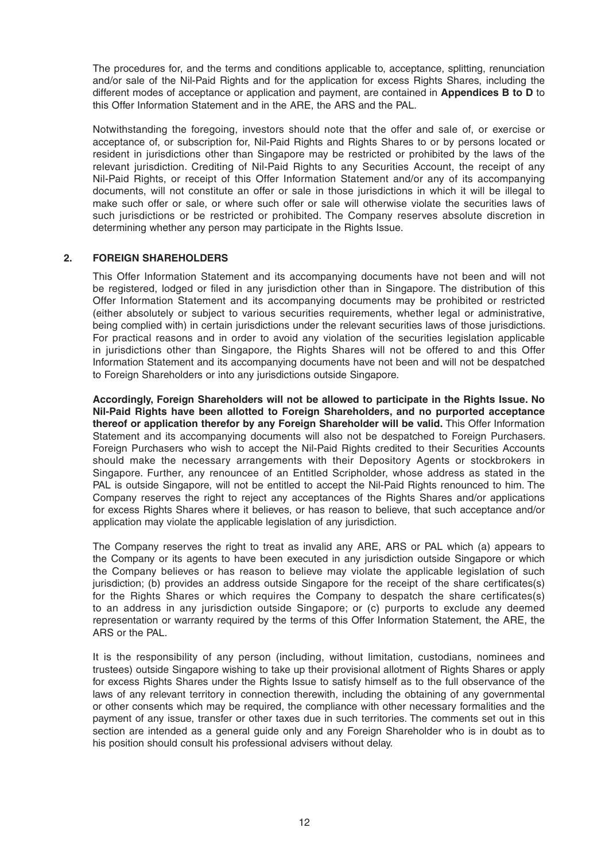The procedures for, and the terms and conditions applicable to, acceptance, splitting, renunciation and/or sale of the Nil-Paid Rights and for the application for excess Rights Shares, including the different modes of acceptance or application and payment, are contained in **Appendices B to D** to this Offer Information Statement and in the ARE, the ARS and the PAL.

 Notwithstanding the foregoing, investors should note that the offer and sale of, or exercise or acceptance of, or subscription for, Nil-Paid Rights and Rights Shares to or by persons located or resident in jurisdictions other than Singapore may be restricted or prohibited by the laws of the relevant jurisdiction. Crediting of Nil-Paid Rights to any Securities Account, the receipt of any Nil-Paid Rights, or receipt of this Offer Information Statement and/or any of its accompanying documents, will not constitute an offer or sale in those jurisdictions in which it will be illegal to make such offer or sale, or where such offer or sale will otherwise violate the securities laws of such jurisdictions or be restricted or prohibited. The Company reserves absolute discretion in determining whether any person may participate in the Rights Issue.

### **2. FOREIGN SHAREHOLDERS**

 This Offer Information Statement and its accompanying documents have not been and will not be registered, lodged or filed in any jurisdiction other than in Singapore. The distribution of this Offer Information Statement and its accompanying documents may be prohibited or restricted (either absolutely or subject to various securities requirements, whether legal or administrative, being complied with) in certain jurisdictions under the relevant securities laws of those jurisdictions. For practical reasons and in order to avoid any violation of the securities legislation applicable in jurisdictions other than Singapore, the Rights Shares will not be offered to and this Offer Information Statement and its accompanying documents have not been and will not be despatched to Foreign Shareholders or into any jurisdictions outside Singapore.

 **Accordingly, Foreign Shareholders will not be allowed to participate in the Rights Issue. No Nil-Paid Rights have been allotted to Foreign Shareholders, and no purported acceptance thereof or application therefor by any Foreign Shareholder will be valid.** This Offer Information Statement and its accompanying documents will also not be despatched to Foreign Purchasers. Foreign Purchasers who wish to accept the Nil-Paid Rights credited to their Securities Accounts should make the necessary arrangements with their Depository Agents or stockbrokers in Singapore. Further, any renouncee of an Entitled Scripholder, whose address as stated in the PAL is outside Singapore, will not be entitled to accept the Nil-Paid Rights renounced to him. The Company reserves the right to reject any acceptances of the Rights Shares and/or applications for excess Rights Shares where it believes, or has reason to believe, that such acceptance and/or application may violate the applicable legislation of any jurisdiction.

 The Company reserves the right to treat as invalid any ARE, ARS or PAL which (a) appears to the Company or its agents to have been executed in any jurisdiction outside Singapore or which the Company believes or has reason to believe may violate the applicable legislation of such jurisdiction; (b) provides an address outside Singapore for the receipt of the share certificates(s) for the Rights Shares or which requires the Company to despatch the share certificates(s) to an address in any jurisdiction outside Singapore; or (c) purports to exclude any deemed representation or warranty required by the terms of this Offer Information Statement, the ARE, the ARS or the PAL.

 It is the responsibility of any person (including, without limitation, custodians, nominees and trustees) outside Singapore wishing to take up their provisional allotment of Rights Shares or apply for excess Rights Shares under the Rights Issue to satisfy himself as to the full observance of the laws of any relevant territory in connection therewith, including the obtaining of any governmental or other consents which may be required, the compliance with other necessary formalities and the payment of any issue, transfer or other taxes due in such territories. The comments set out in this section are intended as a general guide only and any Foreign Shareholder who is in doubt as to his position should consult his professional advisers without delay.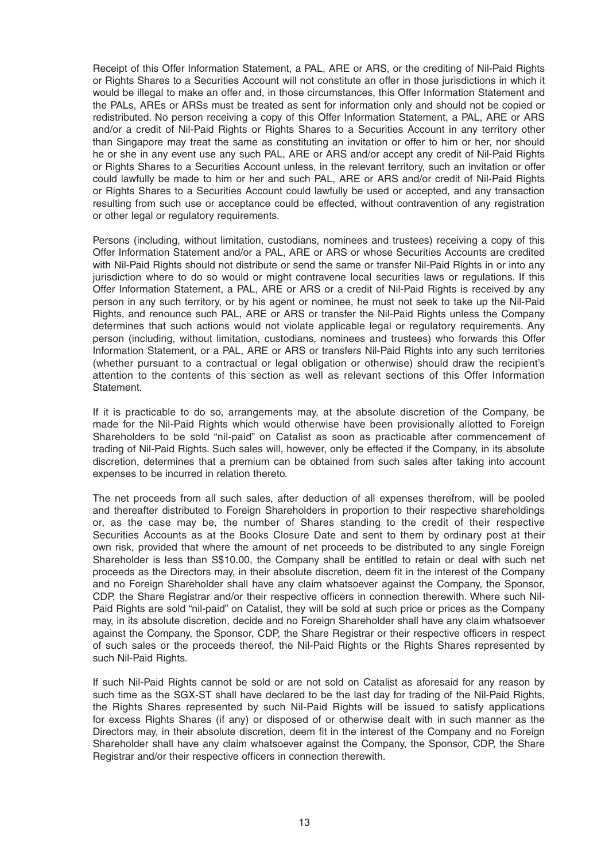Receipt of this Offer Information Statement, a PAL, ARE or ARS, or the crediting of Nil-Paid Rights or Rights Shares to a Securities Account will not constitute an offer in those jurisdictions in which it would be illegal to make an offer and, in those circumstances, this Offer Information Statement and the PALs, AREs or ARSs must be treated as sent for information only and should not be copied or redistributed. No person receiving a copy of this Offer Information Statement, a PAL, ARE or ARS and/or a credit of Nil-Paid Rights or Rights Shares to a Securities Account in any territory other than Singapore may treat the same as constituting an invitation or offer to him or her, nor should he or she in any event use any such PAL, ARE or ARS and/or accept any credit of Nil-Paid Rights or Rights Shares to a Securities Account unless, in the relevant territory, such an invitation or offer could lawfully be made to him or her and such PAL, ARE or ARS and/or credit of Nil-Paid Rights or Rights Shares to a Securities Account could lawfully be used or accepted, and any transaction resulting from such use or acceptance could be effected, without contravention of any registration or other legal or regulatory requirements.

 Persons (including, without limitation, custodians, nominees and trustees) receiving a copy of this Offer Information Statement and/or a PAL, ARE or ARS or whose Securities Accounts are credited with Nil-Paid Rights should not distribute or send the same or transfer Nil-Paid Rights in or into any jurisdiction where to do so would or might contravene local securities laws or regulations. If this Offer Information Statement, a PAL, ARE or ARS or a credit of Nil-Paid Rights is received by any person in any such territory, or by his agent or nominee, he must not seek to take up the Nil-Paid Rights, and renounce such PAL, ARE or ARS or transfer the Nil-Paid Rights unless the Company determines that such actions would not violate applicable legal or regulatory requirements. Any person (including, without limitation, custodians, nominees and trustees) who forwards this Offer Information Statement, or a PAL, ARE or ARS or transfers Nil-Paid Rights into any such territories (whether pursuant to a contractual or legal obligation or otherwise) should draw the recipient's attention to the contents of this section as well as relevant sections of this Offer Information Statement.

 If it is practicable to do so, arrangements may, at the absolute discretion of the Company, be made for the Nil-Paid Rights which would otherwise have been provisionally allotted to Foreign Shareholders to be sold "nil-paid" on Catalist as soon as practicable after commencement of trading of Nil-Paid Rights. Such sales will, however, only be effected if the Company, in its absolute discretion, determines that a premium can be obtained from such sales after taking into account expenses to be incurred in relation thereto.

 The net proceeds from all such sales, after deduction of all expenses therefrom, will be pooled and thereafter distributed to Foreign Shareholders in proportion to their respective shareholdings or, as the case may be, the number of Shares standing to the credit of their respective Securities Accounts as at the Books Closure Date and sent to them by ordinary post at their own risk, provided that where the amount of net proceeds to be distributed to any single Foreign Shareholder is less than S\$10.00, the Company shall be entitled to retain or deal with such net proceeds as the Directors may, in their absolute discretion, deem fit in the interest of the Company and no Foreign Shareholder shall have any claim whatsoever against the Company, the Sponsor, CDP, the Share Registrar and/or their respective officers in connection therewith. Where such Nil-Paid Rights are sold "nil-paid" on Catalist, they will be sold at such price or prices as the Company may, in its absolute discretion, decide and no Foreign Shareholder shall have any claim whatsoever against the Company, the Sponsor, CDP, the Share Registrar or their respective officers in respect of such sales or the proceeds thereof, the Nil-Paid Rights or the Rights Shares represented by such Nil-Paid Rights.

 If such Nil-Paid Rights cannot be sold or are not sold on Catalist as aforesaid for any reason by such time as the SGX-ST shall have declared to be the last day for trading of the Nil-Paid Rights, the Rights Shares represented by such Nil-Paid Rights will be issued to satisfy applications for excess Rights Shares (if any) or disposed of or otherwise dealt with in such manner as the Directors may, in their absolute discretion, deem fit in the interest of the Company and no Foreign Shareholder shall have any claim whatsoever against the Company, the Sponsor, CDP, the Share Registrar and/or their respective officers in connection therewith.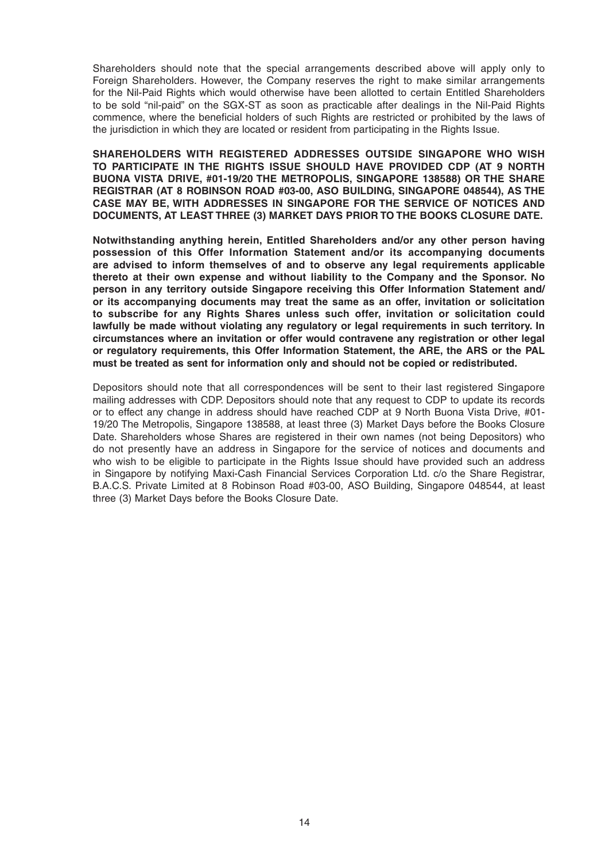Shareholders should note that the special arrangements described above will apply only to Foreign Shareholders. However, the Company reserves the right to make similar arrangements for the Nil-Paid Rights which would otherwise have been allotted to certain Entitled Shareholders to be sold "nil-paid" on the SGX-ST as soon as practicable after dealings in the Nil-Paid Rights commence, where the beneficial holders of such Rights are restricted or prohibited by the laws of the jurisdiction in which they are located or resident from participating in the Rights Issue.

 **SHAREHOLDERS WITH REGISTERED ADDRESSES OUTSIDE SINGAPORE WHO WISH TO PARTICIPATE IN THE RIGHTS ISSUE SHOULD HAVE PROVIDED CDP (AT 9 NORTH BUONA VISTA DRIVE, #01-19/20 THE METROPOLIS, SINGAPORE 138588) OR THE SHARE REGISTRAR (AT 8 ROBINSON ROAD #03-00, ASO BUILDING, SINGAPORE 048544), AS THE CASE MAY BE, WITH ADDRESSES IN SINGAPORE FOR THE SERVICE OF NOTICES AND DOCUMENTS, AT LEAST THREE (3) MARKET DAYS PRIOR TO THE BOOKS CLOSURE DATE.**

 **Notwithstanding anything herein, Entitled Shareholders and/or any other person having possession of this Offer Information Statement and/or its accompanying documents are advised to inform themselves of and to observe any legal requirements applicable thereto at their own expense and without liability to the Company and the Sponsor. No person in any territory outside Singapore receiving this Offer Information Statement and/ or its accompanying documents may treat the same as an offer, invitation or solicitation to subscribe for any Rights Shares unless such offer, invitation or solicitation could lawfully be made without violating any regulatory or legal requirements in such territory. In circumstances where an invitation or offer would contravene any registration or other legal or regulatory requirements, this Offer Information Statement, the ARE, the ARS or the PAL must be treated as sent for information only and should not be copied or redistributed.**

 Depositors should note that all correspondences will be sent to their last registered Singapore mailing addresses with CDP. Depositors should note that any request to CDP to update its records or to effect any change in address should have reached CDP at 9 North Buona Vista Drive, #01- 19/20 The Metropolis, Singapore 138588, at least three (3) Market Days before the Books Closure Date. Shareholders whose Shares are registered in their own names (not being Depositors) who do not presently have an address in Singapore for the service of notices and documents and who wish to be eligible to participate in the Rights Issue should have provided such an address in Singapore by notifying Maxi-Cash Financial Services Corporation Ltd. c/o the Share Registrar, B.A.C.S. Private Limited at 8 Robinson Road #03-00, ASO Building, Singapore 048544, at least three (3) Market Days before the Books Closure Date.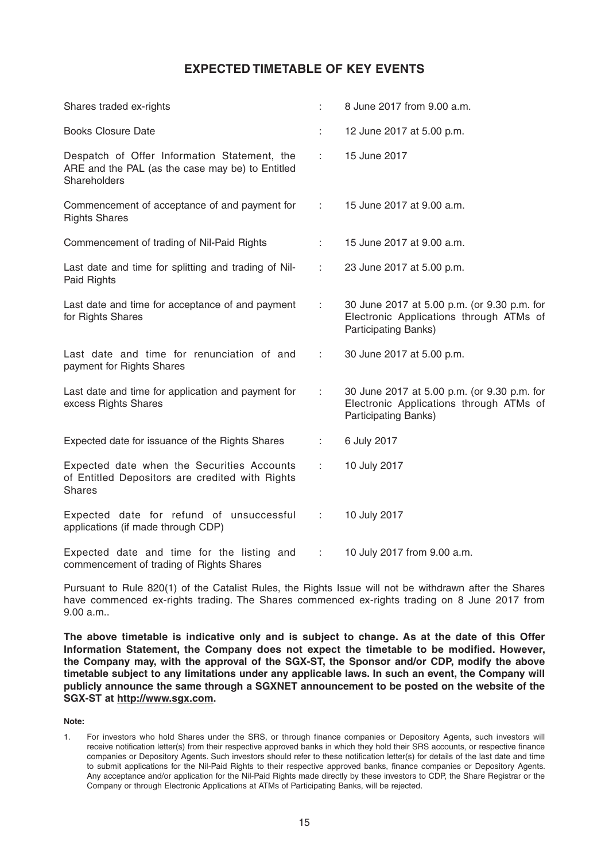## **EXPECTED TIMETABLE OF KEY EVENTS**

| Shares traded ex-rights                                                                                          |                                          | 8 June 2017 from 9.00 a.m.                                                                                            |
|------------------------------------------------------------------------------------------------------------------|------------------------------------------|-----------------------------------------------------------------------------------------------------------------------|
| <b>Books Closure Date</b>                                                                                        |                                          | 12 June 2017 at 5.00 p.m.                                                                                             |
| Despatch of Offer Information Statement, the<br>ARE and the PAL (as the case may be) to Entitled<br>Shareholders | tion is                                  | 15 June 2017                                                                                                          |
| Commencement of acceptance of and payment for<br><b>Rights Shares</b>                                            | $1 - 1$                                  | 15 June 2017 at 9.00 a.m.                                                                                             |
| Commencement of trading of Nil-Paid Rights                                                                       | t in                                     | 15 June 2017 at 9.00 a.m.                                                                                             |
| Last date and time for splitting and trading of Nil-<br>Paid Rights                                              | $1 - 1$                                  | 23 June 2017 at 5.00 p.m.                                                                                             |
| Last date and time for acceptance of and payment<br>for Rights Shares                                            | $1 - 1$                                  | 30 June 2017 at 5.00 p.m. (or 9.30 p.m. for<br>Electronic Applications through ATMs of<br><b>Participating Banks)</b> |
| Last date and time for renunciation of and<br>payment for Rights Shares                                          | $1 - 1$                                  | 30 June 2017 at 5.00 p.m.                                                                                             |
| Last date and time for application and payment for<br>excess Rights Shares                                       | $1 - 1$                                  | 30 June 2017 at 5.00 p.m. (or 9.30 p.m. for<br>Electronic Applications through ATMs of<br>Participating Banks)        |
| Expected date for issuance of the Rights Shares                                                                  | ÷                                        | 6 July 2017                                                                                                           |
| Expected date when the Securities Accounts<br>of Entitled Depositors are credited with Rights<br><b>Shares</b>   | $1 - 1$                                  | 10 July 2017                                                                                                          |
| Expected date for refund of unsuccessful<br>applications (if made through CDP)                                   | $\mathbb{E}[\mathbf{r}_i, \mathbf{r}_j]$ | 10 July 2017                                                                                                          |
| Expected date and time for the listing and<br>commencement of trading of Rights Shares                           | D.                                       | 10 July 2017 from 9.00 a.m.                                                                                           |

Pursuant to Rule 820(1) of the Catalist Rules, the Rights Issue will not be withdrawn after the Shares have commenced ex-rights trading. The Shares commenced ex-rights trading on 8 June 2017 from 9.00 a.m. .

**The above timetable is indicative only and is subject to change. As at the date of this Offer**  Information Statement, the Company does not expect the timetable to be modified. However, **the Company may, with the approval of the SGX-ST, the Sponsor and/or CDP, modify the above timetable subject to any limitations under any applicable laws. In such an event, the Company will publicly announce the same through a SGXNET announcement to be posted on the website of the SGX-ST at http://www.sgx.com.**

**Note:**

<sup>1.</sup> For investors who hold Shares under the SRS, or through finance companies or Depository Agents, such investors will receive notification letter(s) from their respective approved banks in which they hold their SRS accounts, or respective finance companies or Depository Agents. Such investors should refer to these notification letter(s) for details of the last date and time to submit applications for the Nil-Paid Rights to their respective approved banks, finance companies or Depository Agents. Any acceptance and/or application for the Nil-Paid Rights made directly by these investors to CDP, the Share Registrar or the Company or through Electronic Applications at ATMs of Participating Banks, will be rejected.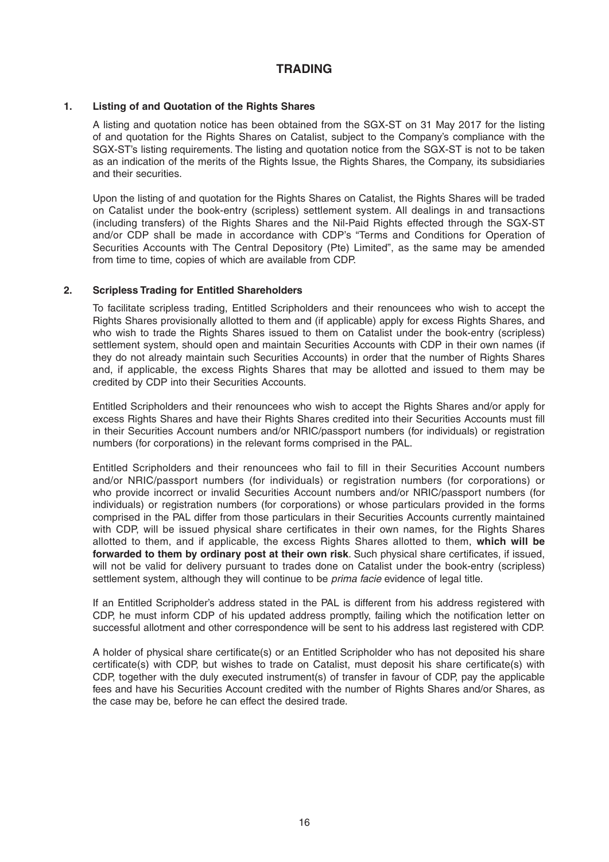## **TRADING**

### **1. Listing of and Quotation of the Rights Shares**

 A listing and quotation notice has been obtained from the SGX-ST on 31 May 2017 for the listing of and quotation for the Rights Shares on Catalist, subject to the Company's compliance with the SGX-ST's listing requirements. The listing and quotation notice from the SGX-ST is not to be taken as an indication of the merits of the Rights Issue, the Rights Shares, the Company, its subsidiaries and their securities.

 Upon the listing of and quotation for the Rights Shares on Catalist, the Rights Shares will be traded on Catalist under the book-entry (scripless) settlement system. All dealings in and transactions (including transfers) of the Rights Shares and the Nil-Paid Rights effected through the SGX-ST and/or CDP shall be made in accordance with CDP's "Terms and Conditions for Operation of Securities Accounts with The Central Depository (Pte) Limited", as the same may be amended from time to time, copies of which are available from CDP.

### **2. Scripless Trading for Entitled Shareholders**

 To facilitate scripless trading, Entitled Scripholders and their renouncees who wish to accept the Rights Shares provisionally allotted to them and (if applicable) apply for excess Rights Shares, and who wish to trade the Rights Shares issued to them on Catalist under the book-entry (scripless) settlement system, should open and maintain Securities Accounts with CDP in their own names (if they do not already maintain such Securities Accounts) in order that the number of Rights Shares and, if applicable, the excess Rights Shares that may be allotted and issued to them may be credited by CDP into their Securities Accounts.

 Entitled Scripholders and their renouncees who wish to accept the Rights Shares and/or apply for excess Rights Shares and have their Rights Shares credited into their Securities Accounts must fill in their Securities Account numbers and/or NRIC/passport numbers (for individuals) or registration numbers (for corporations) in the relevant forms comprised in the PAL.

Entitled Scripholders and their renouncees who fail to fill in their Securities Account numbers and/or NRIC/passport numbers (for individuals) or registration numbers (for corporations) or who provide incorrect or invalid Securities Account numbers and/or NRIC/passport numbers (for individuals) or registration numbers (for corporations) or whose particulars provided in the forms comprised in the PAL differ from those particulars in their Securities Accounts currently maintained with CDP, will be issued physical share certificates in their own names, for the Rights Shares allotted to them, and if applicable, the excess Rights Shares allotted to them, **which will be**  forwarded to them by ordinary post at their own risk. Such physical share certificates, if issued, will not be valid for delivery pursuant to trades done on Catalist under the book-entry (scripless) settlement system, although they will continue to be *prima facie* evidence of legal title.

 If an Entitled Scripholder's address stated in the PAL is different from his address registered with CDP, he must inform CDP of his updated address promptly, failing which the notification letter on successful allotment and other correspondence will be sent to his address last registered with CDP.

A holder of physical share certificate(s) or an Entitled Scripholder who has not deposited his share certificate(s) with CDP, but wishes to trade on Catalist, must deposit his share certificate(s) with CDP, together with the duly executed instrument(s) of transfer in favour of CDP, pay the applicable fees and have his Securities Account credited with the number of Rights Shares and/or Shares, as the case may be, before he can effect the desired trade.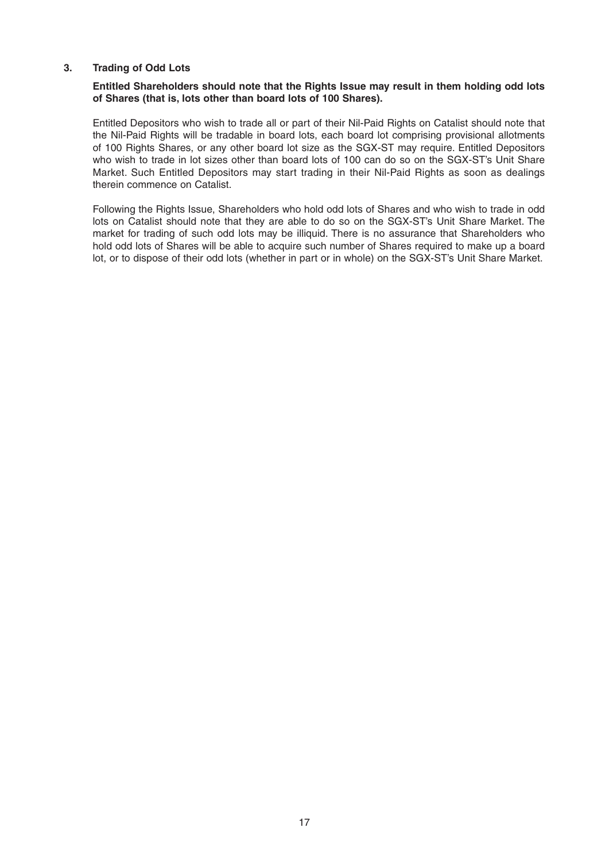### **3. Trading of Odd Lots**

### **Entitled Shareholders should note that the Rights Issue may result in them holding odd lots of Shares (that is, lots other than board lots of 100 Shares).**

 Entitled Depositors who wish to trade all or part of their Nil-Paid Rights on Catalist should note that the Nil-Paid Rights will be tradable in board lots, each board lot comprising provisional allotments of 100 Rights Shares, or any other board lot size as the SGX-ST may require. Entitled Depositors who wish to trade in lot sizes other than board lots of 100 can do so on the SGX-ST's Unit Share Market. Such Entitled Depositors may start trading in their Nil-Paid Rights as soon as dealings therein commence on Catalist.

 Following the Rights Issue, Shareholders who hold odd lots of Shares and who wish to trade in odd lots on Catalist should note that they are able to do so on the SGX-ST's Unit Share Market. The market for trading of such odd lots may be illiquid. There is no assurance that Shareholders who hold odd lots of Shares will be able to acquire such number of Shares required to make up a board lot, or to dispose of their odd lots (whether in part or in whole) on the SGX-ST's Unit Share Market.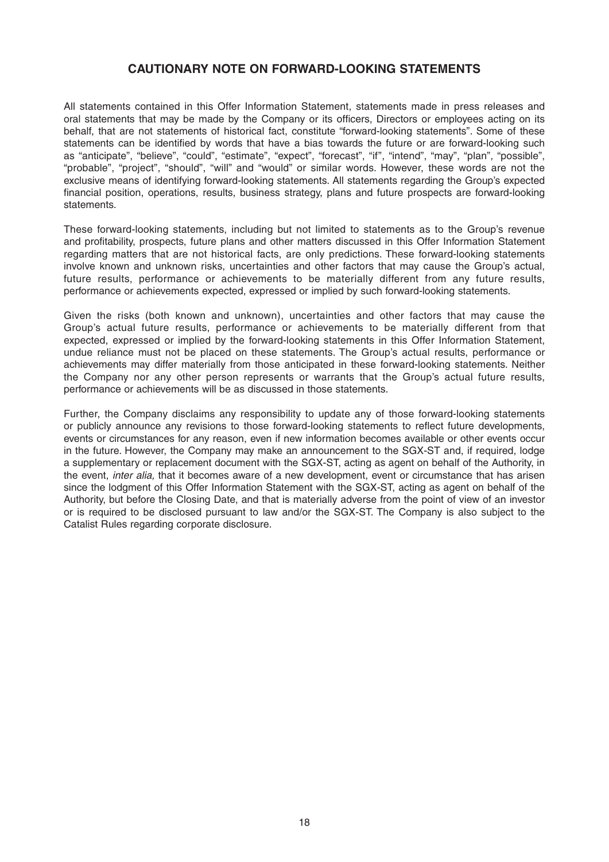## **CAUTIONARY NOTE ON FORWARD-LOOKING STATEMENTS**

All statements contained in this Offer Information Statement, statements made in press releases and oral statements that may be made by the Company or its officers, Directors or employees acting on its behalf, that are not statements of historical fact, constitute "forward-looking statements". Some of these statements can be identified by words that have a bias towards the future or are forward-looking such as "anticipate", "believe", "could", "estimate", "expect", "forecast", "if", "intend", "may", "plan", "possible", "probable", "project", "should", "will" and "would" or similar words. However, these words are not the exclusive means of identifying forward-looking statements. All statements regarding the Group's expected financial position, operations, results, business strategy, plans and future prospects are forward-looking statements.

These forward-looking statements, including but not limited to statements as to the Group's revenue and profitability, prospects, future plans and other matters discussed in this Offer Information Statement regarding matters that are not historical facts, are only predictions. These forward-looking statements involve known and unknown risks, uncertainties and other factors that may cause the Group's actual, future results, performance or achievements to be materially different from any future results, performance or achievements expected, expressed or implied by such forward-looking statements.

Given the risks (both known and unknown), uncertainties and other factors that may cause the Group's actual future results, performance or achievements to be materially different from that expected, expressed or implied by the forward-looking statements in this Offer Information Statement, undue reliance must not be placed on these statements. The Group's actual results, performance or achievements may differ materially from those anticipated in these forward-looking statements. Neither the Company nor any other person represents or warrants that the Group's actual future results, performance or achievements will be as discussed in those statements.

Further, the Company disclaims any responsibility to update any of those forward-looking statements or publicly announce any revisions to those forward-looking statements to reflect future developments, events or circumstances for any reason, even if new information becomes available or other events occur in the future. However, the Company may make an announcement to the SGX-ST and, if required, lodge a supplementary or replacement document with the SGX-ST, acting as agent on behalf of the Authority, in the event, *inter alia,* that it becomes aware of a new development, event or circumstance that has arisen since the lodgment of this Offer Information Statement with the SGX-ST, acting as agent on behalf of the Authority, but before the Closing Date, and that is materially adverse from the point of view of an investor or is required to be disclosed pursuant to law and/or the SGX-ST. The Company is also subject to the Catalist Rules regarding corporate disclosure.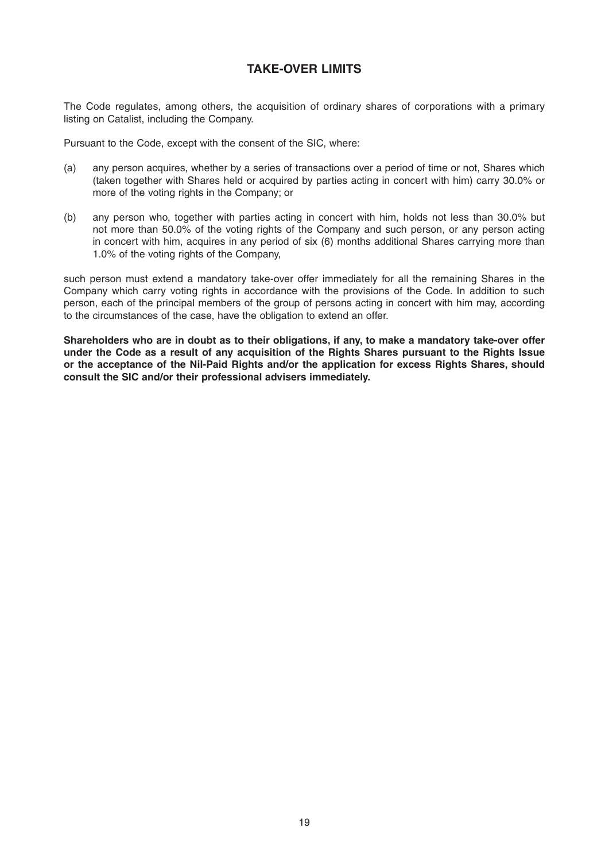## **TAKE-OVER LIMITS**

The Code regulates, among others, the acquisition of ordinary shares of corporations with a primary listing on Catalist, including the Company.

Pursuant to the Code, except with the consent of the SIC, where:

- (a) any person acquires, whether by a series of transactions over a period of time or not, Shares which (taken together with Shares held or acquired by parties acting in concert with him) carry 30.0% or more of the voting rights in the Company; or
- (b) any person who, together with parties acting in concert with him, holds not less than 30.0% but not more than 50.0% of the voting rights of the Company and such person, or any person acting in concert with him, acquires in any period of six (6) months additional Shares carrying more than 1.0% of the voting rights of the Company,

such person must extend a mandatory take-over offer immediately for all the remaining Shares in the Company which carry voting rights in accordance with the provisions of the Code. In addition to such person, each of the principal members of the group of persons acting in concert with him may, according to the circumstances of the case, have the obligation to extend an offer.

**Shareholders who are in doubt as to their obligations, if any, to make a mandatory take-over offer under the Code as a result of any acquisition of the Rights Shares pursuant to the Rights Issue or the acceptance of the Nil-Paid Rights and/or the application for excess Rights Shares, should consult the SIC and/or their professional advisers immediately.**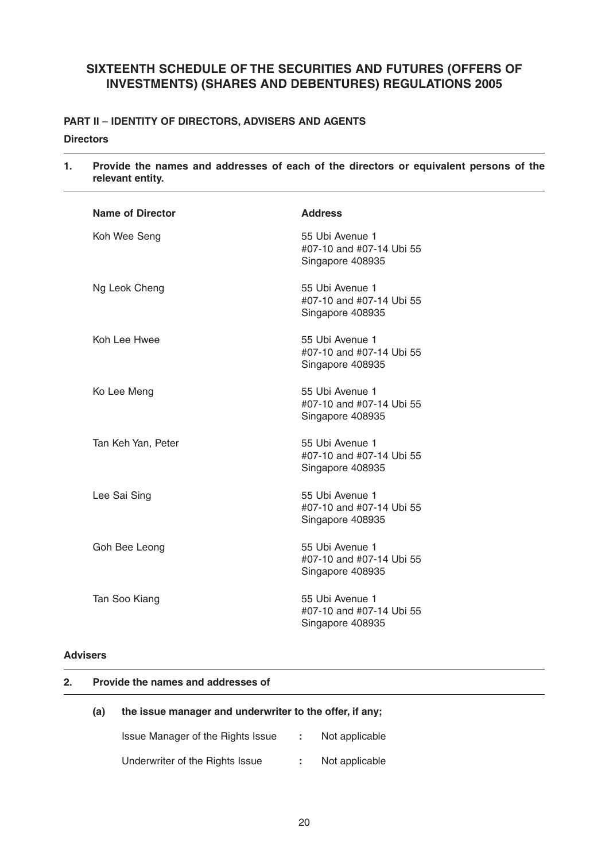## **SIXTEENTH SCHEDULE OF THE SECURITIES AND FUTURES (OFFERS OF INVESTMENTS) (SHARES AND DEBENTURES) REGULATIONS 2005**

## **PART II** – **IDENTITY OF DIRECTORS, ADVISERS AND AGENTS Directors**

| 1. | Provide the names and addresses of each of the directors or equivalent persons of the<br>relevant entity. |                                                                 |  |  |  |  |  |
|----|-----------------------------------------------------------------------------------------------------------|-----------------------------------------------------------------|--|--|--|--|--|
|    | <b>Name of Director</b>                                                                                   | <b>Address</b>                                                  |  |  |  |  |  |
|    | Koh Wee Seng                                                                                              | 55 Ubi Avenue 1<br>#07-10 and #07-14 Ubi 55<br>Singapore 408935 |  |  |  |  |  |
|    | Ng Leok Cheng                                                                                             | 55 Ubi Avenue 1<br>#07-10 and #07-14 Ubi 55<br>Singapore 408935 |  |  |  |  |  |
|    | Koh Lee Hwee                                                                                              | 55 Ubi Avenue 1<br>#07-10 and #07-14 Ubi 55<br>Singapore 408935 |  |  |  |  |  |
|    | Ko Lee Meng                                                                                               | 55 Ubi Avenue 1<br>#07-10 and #07-14 Ubi 55<br>Singapore 408935 |  |  |  |  |  |
|    | Tan Keh Yan, Peter                                                                                        | 55 Ubi Avenue 1<br>#07-10 and #07-14 Ubi 55<br>Singapore 408935 |  |  |  |  |  |
|    | Lee Sai Sing                                                                                              | 55 Ubi Avenue 1<br>#07-10 and #07-14 Ubi 55<br>Singapore 408935 |  |  |  |  |  |
|    | Goh Bee Leong                                                                                             | 55 Ubi Avenue 1<br>#07-10 and #07-14 Ubi 55<br>Singapore 408935 |  |  |  |  |  |
|    | Tan Soo Kiang                                                                                             | 55 Ubi Avenue 1<br>#07-10 and #07-14 Ubi 55<br>Singapore 408935 |  |  |  |  |  |

## **Advisers**

### **2. Provide the names and addresses of**

### **(a) the issue manager and underwriter to the offer, if any;**

| Issue Manager of the Rights Issue |  | Not applicable |  |
|-----------------------------------|--|----------------|--|
| Underwriter of the Rights Issue   |  | Not applicable |  |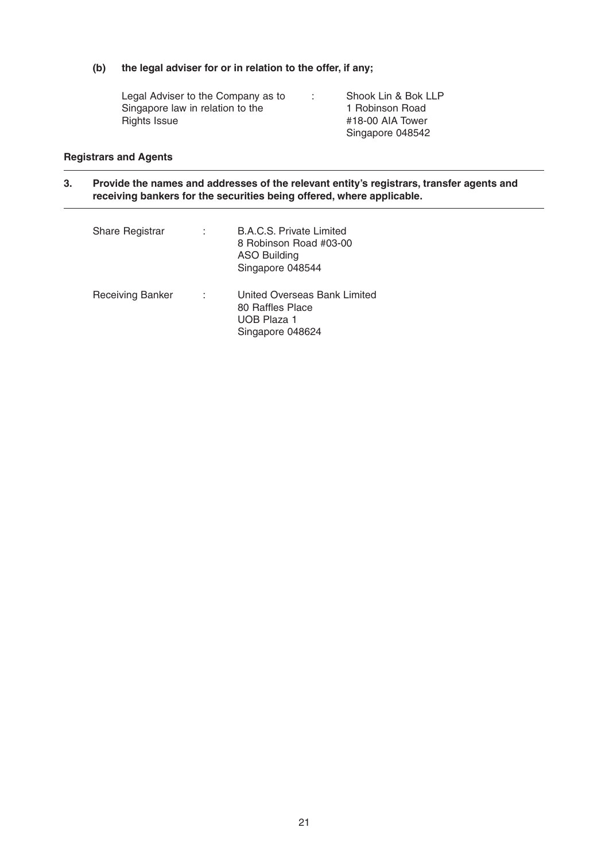### **(b) the legal adviser for or in relation to the offer, if any;**

Legal Adviser to the Company as to Singapore law in relation to the Rights Issue : Shook Lin & Bok LLP 1 Robinson Road #18-00 AIA Tower Singapore 048542

### **Registrars and Agents**

**3. Provide the names and addresses of the relevant entity's registrars, transfer agents and receiving bankers for the securities being offered, where applicable.**

| <b>Share Registrar</b>  |   | <b>B.A.C.S. Private Limited</b><br>8 Robinson Road #03-00<br><b>ASO Building</b><br>Singapore 048544 |
|-------------------------|---|------------------------------------------------------------------------------------------------------|
| <b>Receiving Banker</b> | ٠ | United Overseas Bank Limited<br>80 Raffles Place<br>UOB Plaza 1<br>Singapore 048624                  |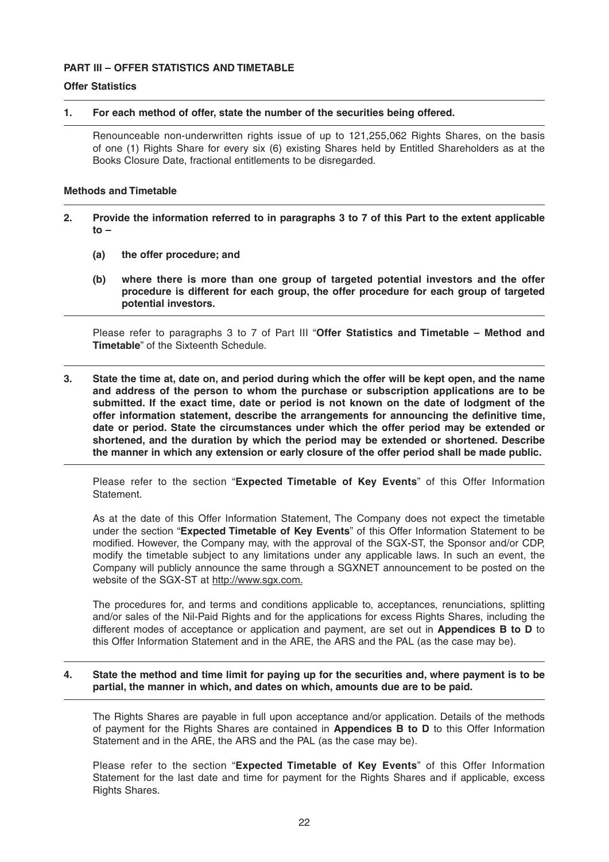### **PART III – OFFER STATISTICS AND TIMETABLE**

### **Offer Statistics**

### **1. For each method of offer, state the number of the securities being offered.**

 Renounceable non-underwritten rights issue of up to 121,255,062 Rights Shares, on the basis of one (1) Rights Share for every six (6) existing Shares held by Entitled Shareholders as at the Books Closure Date, fractional entitlements to be disregarded.

### **Methods and Timetable**

- **2. Provide the information referred to in paragraphs 3 to 7 of this Part to the extent applicable to –**
	- **(a) the offer procedure; and**
	- **(b) where there is more than one group of targeted potential investors and the offer procedure is different for each group, the offer procedure for each group of targeted potential investors.**

Please refer to paragraphs 3 to 7 of Part III "**Offer Statistics and Timetable – Method and Timetable**" of the Sixteenth Schedule.

**3. State the time at, date on, and period during which the offer will be kept open, and the name and address of the person to whom the purchase or subscription applications are to be submitted. If the exact time, date or period is not known on the date of lodgment of the**  offer information statement, describe the arrangements for announcing the definitive time, **date or period. State the circumstances under which the offer period may be extended or shortened, and the duration by which the period may be extended or shortened. Describe the manner in which any extension or early closure of the offer period shall be made public.**

 Please refer to the section "**Expected Timetable of Key Events**" of this Offer Information Statement.

 As at the date of this Offer Information Statement, The Company does not expect the timetable under the section "**Expected Timetable of Key Events**" of this Offer Information Statement to be modified. However, the Company may, with the approval of the SGX-ST, the Sponsor and/or CDP, modify the timetable subject to any limitations under any applicable laws. In such an event, the Company will publicly announce the same through a SGXNET announcement to be posted on the website of the SGX-ST at http://www.sgx.com.

 The procedures for, and terms and conditions applicable to, acceptances, renunciations, splitting and/or sales of the Nil-Paid Rights and for the applications for excess Rights Shares, including the different modes of acceptance or application and payment, are set out in **Appendices B to D** to this Offer Information Statement and in the ARE, the ARS and the PAL (as the case may be).

### **4. State the method and time limit for paying up for the securities and, where payment is to be partial, the manner in which, and dates on which, amounts due are to be paid.**

 The Rights Shares are payable in full upon acceptance and/or application. Details of the methods of payment for the Rights Shares are contained in **Appendices B to D** to this Offer Information Statement and in the ARE, the ARS and the PAL (as the case may be).

 Please refer to the section "**Expected Timetable of Key Events**" of this Offer Information Statement for the last date and time for payment for the Rights Shares and if applicable, excess Rights Shares.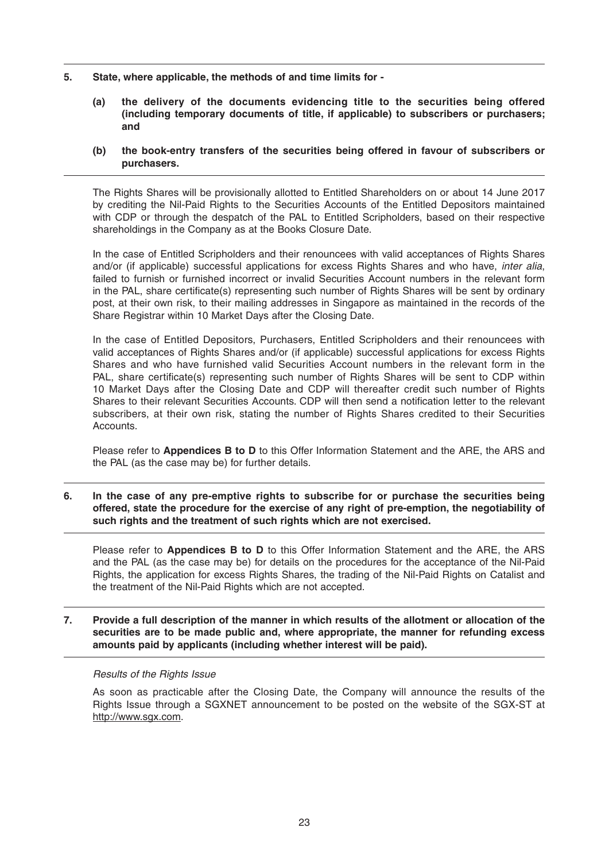- **5. State, where applicable, the methods of and time limits for -**
	- **(a) the delivery of the documents evidencing title to the securities being offered (including temporary documents of title, if applicable) to subscribers or purchasers; and**
	- **(b) the book-entry transfers of the securities being offered in favour of subscribers or purchasers.**

 The Rights Shares will be provisionally allotted to Entitled Shareholders on or about 14 June 2017 by crediting the Nil-Paid Rights to the Securities Accounts of the Entitled Depositors maintained with CDP or through the despatch of the PAL to Entitled Scripholders, based on their respective shareholdings in the Company as at the Books Closure Date.

 In the case of Entitled Scripholders and their renouncees with valid acceptances of Rights Shares and/or (if applicable) successful applications for excess Rights Shares and who have, *inter alia*, failed to furnish or furnished incorrect or invalid Securities Account numbers in the relevant form in the PAL, share certificate(s) representing such number of Rights Shares will be sent by ordinary post, at their own risk, to their mailing addresses in Singapore as maintained in the records of the Share Registrar within 10 Market Days after the Closing Date.

 In the case of Entitled Depositors, Purchasers, Entitled Scripholders and their renouncees with valid acceptances of Rights Shares and/or (if applicable) successful applications for excess Rights Shares and who have furnished valid Securities Account numbers in the relevant form in the PAL, share certificate(s) representing such number of Rights Shares will be sent to CDP within 10 Market Days after the Closing Date and CDP will thereafter credit such number of Rights Shares to their relevant Securities Accounts. CDP will then send a notification letter to the relevant subscribers, at their own risk, stating the number of Rights Shares credited to their Securities Accounts.

 Please refer to **Appendices B to D** to this Offer Information Statement and the ARE, the ARS and the PAL (as the case may be) for further details.

**6. In the case of any pre-emptive rights to subscribe for or purchase the securities being offered, state the procedure for the exercise of any right of pre-emption, the negotiability of such rights and the treatment of such rights which are not exercised.**

 Please refer to **Appendices B to D** to this Offer Information Statement and the ARE, the ARS and the PAL (as the case may be) for details on the procedures for the acceptance of the Nil-Paid Rights, the application for excess Rights Shares, the trading of the Nil-Paid Rights on Catalist and the treatment of the Nil-Paid Rights which are not accepted.

**7. Provide a full description of the manner in which results of the allotment or allocation of the securities are to be made public and, where appropriate, the manner for refunding excess amounts paid by applicants (including whether interest will be paid).**

### *Results of the Rights Issue*

 As soon as practicable after the Closing Date, the Company will announce the results of the Rights Issue through a SGXNET announcement to be posted on the website of the SGX-ST at http://www.sgx.com.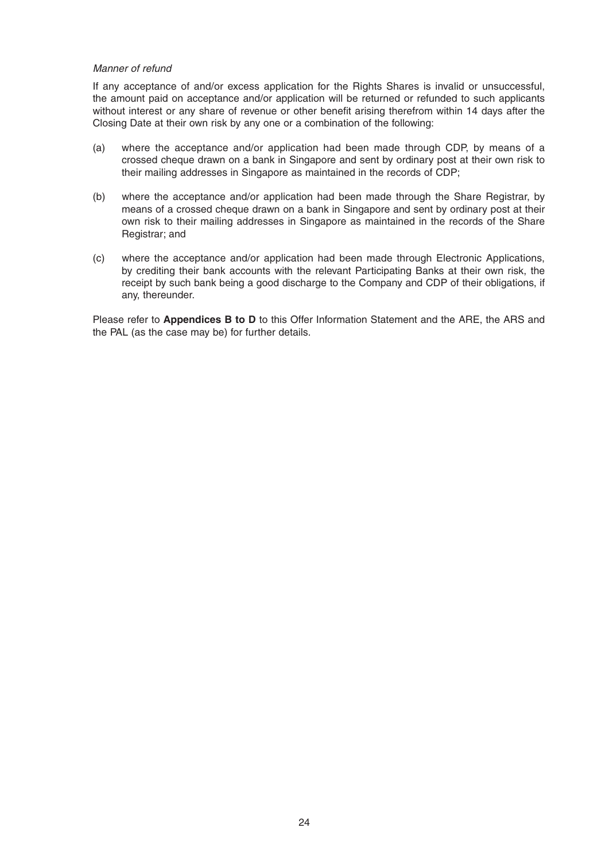### *Manner of refund*

 If any acceptance of and/or excess application for the Rights Shares is invalid or unsuccessful, the amount paid on acceptance and/or application will be returned or refunded to such applicants without interest or any share of revenue or other benefit arising therefrom within 14 days after the Closing Date at their own risk by any one or a combination of the following:

- (a) where the acceptance and/or application had been made through CDP, by means of a crossed cheque drawn on a bank in Singapore and sent by ordinary post at their own risk to their mailing addresses in Singapore as maintained in the records of CDP;
- (b) where the acceptance and/or application had been made through the Share Registrar, by means of a crossed cheque drawn on a bank in Singapore and sent by ordinary post at their own risk to their mailing addresses in Singapore as maintained in the records of the Share Registrar; and
- (c) where the acceptance and/or application had been made through Electronic Applications, by crediting their bank accounts with the relevant Participating Banks at their own risk, the receipt by such bank being a good discharge to the Company and CDP of their obligations, if any, thereunder.

 Please refer to **Appendices B to D** to this Offer Information Statement and the ARE, the ARS and the PAL (as the case may be) for further details.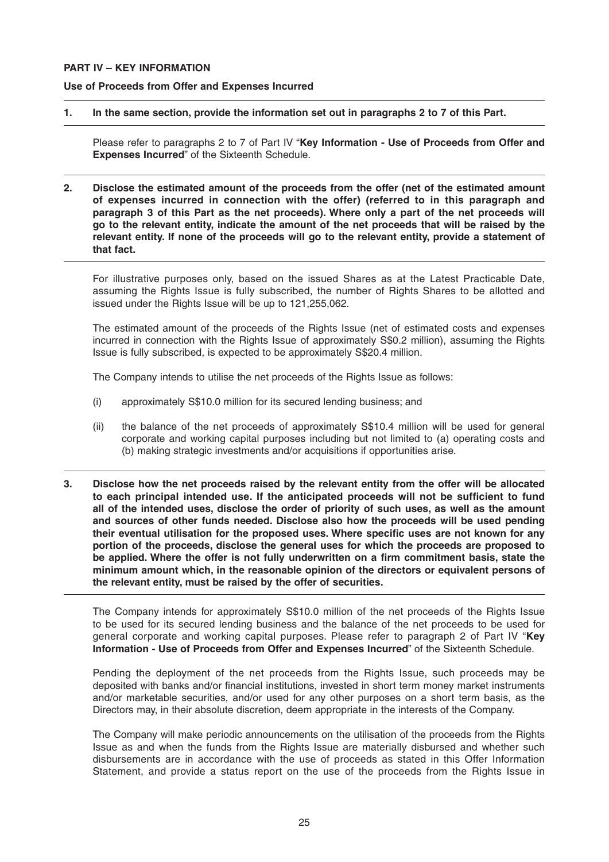### **PART IV – KEY INFORMATION**

### **Use of Proceeds from Offer and Expenses Incurred**

### **1. In the same section, provide the information set out in paragraphs 2 to 7 of this Part.**

 Please refer to paragraphs 2 to 7 of Part IV "**Key Information - Use of Proceeds from Offer and Expenses Incurred**" of the Sixteenth Schedule.

**2. Disclose the estimated amount of the proceeds from the offer (net of the estimated amount of expenses incurred in connection with the offer) (referred to in this paragraph and paragraph 3 of this Part as the net proceeds). Where only a part of the net proceeds will go to the relevant entity, indicate the amount of the net proceeds that will be raised by the relevant entity. If none of the proceeds will go to the relevant entity, provide a statement of that fact.**

 For illustrative purposes only, based on the issued Shares as at the Latest Practicable Date, assuming the Rights Issue is fully subscribed, the number of Rights Shares to be allotted and issued under the Rights Issue will be up to 121,255,062.

 The estimated amount of the proceeds of the Rights Issue (net of estimated costs and expenses incurred in connection with the Rights Issue of approximately S\$0.2 million), assuming the Rights Issue is fully subscribed, is expected to be approximately S\$20.4 million.

The Company intends to utilise the net proceeds of the Rights Issue as follows:

- (i) approximately S\$10.0 million for its secured lending business; and
- (ii) the balance of the net proceeds of approximately S\$10.4 million will be used for general corporate and working capital purposes including but not limited to (a) operating costs and (b) making strategic investments and/or acquisitions if opportunities arise.
- **3. Disclose how the net proceeds raised by the relevant entity from the offer will be allocated**  to each principal intended use. If the anticipated proceeds will not be sufficient to fund **all of the intended uses, disclose the order of priority of such uses, as well as the amount and sources of other funds needed. Disclose also how the proceeds will be used pending**  their eventual utilisation for the proposed uses. Where specific uses are not known for any **portion of the proceeds, disclose the general uses for which the proceeds are proposed to**  be applied. Where the offer is not fully underwritten on a firm commitment basis, state the **minimum amount which, in the reasonable opinion of the directors or equivalent persons of the relevant entity, must be raised by the offer of securities.**

 The Company intends for approximately S\$10.0 million of the net proceeds of the Rights Issue to be used for its secured lending business and the balance of the net proceeds to be used for general corporate and working capital purposes. Please refer to paragraph 2 of Part IV "**Key Information - Use of Proceeds from Offer and Expenses Incurred**" of the Sixteenth Schedule.

 Pending the deployment of the net proceeds from the Rights Issue, such proceeds may be deposited with banks and/or financial institutions, invested in short term money market instruments and/or marketable securities, and/or used for any other purposes on a short term basis, as the Directors may, in their absolute discretion, deem appropriate in the interests of the Company.

 The Company will make periodic announcements on the utilisation of the proceeds from the Rights Issue as and when the funds from the Rights Issue are materially disbursed and whether such disbursements are in accordance with the use of proceeds as stated in this Offer Information Statement, and provide a status report on the use of the proceeds from the Rights Issue in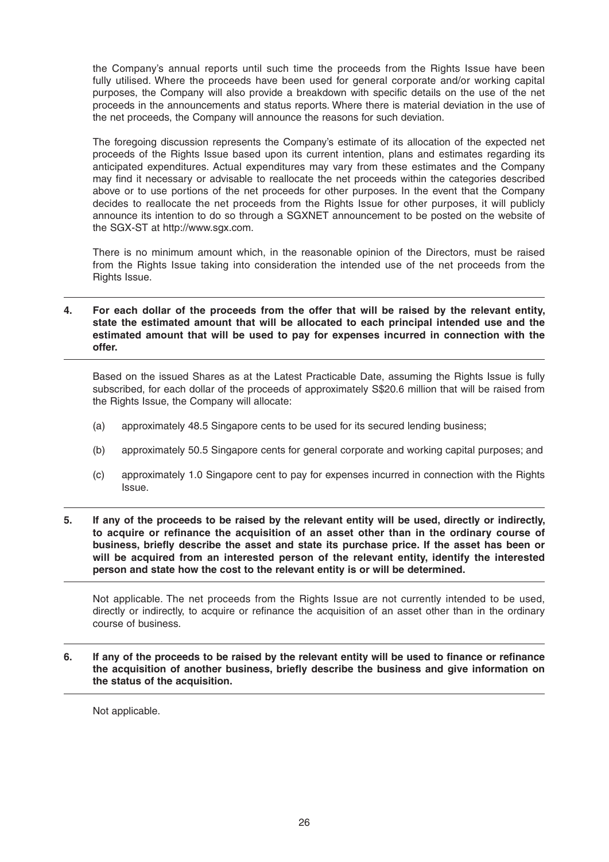the Company's annual reports until such time the proceeds from the Rights Issue have been fully utilised. Where the proceeds have been used for general corporate and/or working capital purposes, the Company will also provide a breakdown with specific details on the use of the net proceeds in the announcements and status reports. Where there is material deviation in the use of the net proceeds, the Company will announce the reasons for such deviation.

 The foregoing discussion represents the Company's estimate of its allocation of the expected net proceeds of the Rights Issue based upon its current intention, plans and estimates regarding its anticipated expenditures. Actual expenditures may vary from these estimates and the Company may find it necessary or advisable to reallocate the net proceeds within the categories described above or to use portions of the net proceeds for other purposes. In the event that the Company decides to reallocate the net proceeds from the Rights Issue for other purposes, it will publicly announce its intention to do so through a SGXNET announcement to be posted on the website of the SGX-ST at http://www.sgx.com.

 There is no minimum amount which, in the reasonable opinion of the Directors, must be raised from the Rights Issue taking into consideration the intended use of the net proceeds from the Rights Issue.

### **4. For each dollar of the proceeds from the offer that will be raised by the relevant entity, state the estimated amount that will be allocated to each principal intended use and the estimated amount that will be used to pay for expenses incurred in connection with the offer.**

 Based on the issued Shares as at the Latest Practicable Date, assuming the Rights Issue is fully subscribed, for each dollar of the proceeds of approximately S\$20.6 million that will be raised from the Rights Issue, the Company will allocate:

- (a) approximately 48.5 Singapore cents to be used for its secured lending business;
- (b) approximately 50.5 Singapore cents for general corporate and working capital purposes; and
- (c) approximately 1.0 Singapore cent to pay for expenses incurred in connection with the Rights Issue.
- **5. If any of the proceeds to be raised by the relevant entity will be used, directly or indirectly,**  to acquire or refinance the acquisition of an asset other than in the ordinary course of business, briefly describe the asset and state its purchase price. If the asset has been or **will be acquired from an interested person of the relevant entity, identify the interested person and state how the cost to the relevant entity is or will be determined.**

 Not applicable. The net proceeds from the Rights Issue are not currently intended to be used, directly or indirectly, to acquire or refinance the acquisition of an asset other than in the ordinary course of business.

**6.** If any of the proceeds to be raised by the relevant entity will be used to finance or refinance the acquisition of another business, briefly describe the business and give information on **the status of the acquisition.**

Not applicable.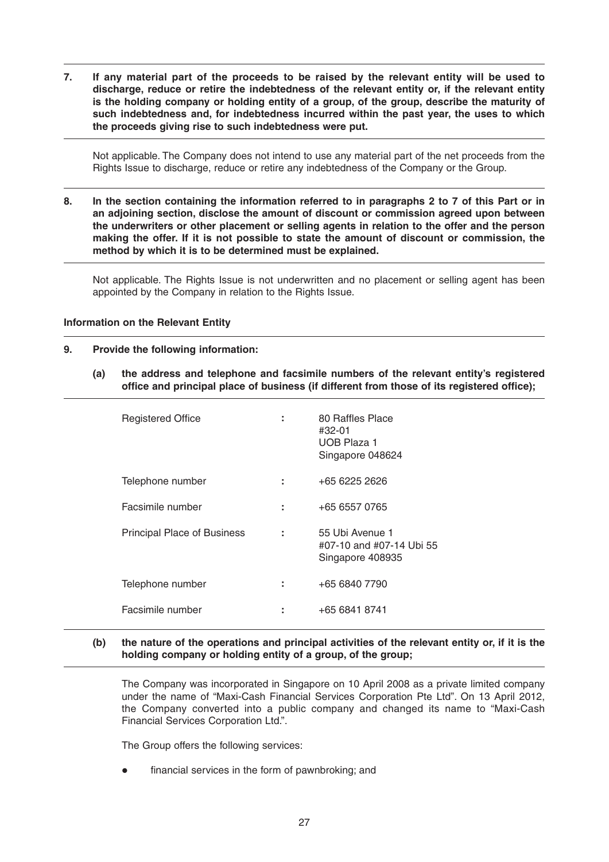**7. If any material part of the proceeds to be raised by the relevant entity will be used to discharge, reduce or retire the indebtedness of the relevant entity or, if the relevant entity is the holding company or holding entity of a group, of the group, describe the maturity of such indebtedness and, for indebtedness incurred within the past year, the uses to which the proceeds giving rise to such indebtedness were put.**

 Not applicable. The Company does not intend to use any material part of the net proceeds from the Rights Issue to discharge, reduce or retire any indebtedness of the Company or the Group.

**8. In the section containing the information referred to in paragraphs 2 to 7 of this Part or in an adjoining section, disclose the amount of discount or commission agreed upon between the underwriters or other placement or selling agents in relation to the offer and the person making the offer. If it is not possible to state the amount of discount or commission, the method by which it is to be determined must be explained.**

 Not applicable. The Rights Issue is not underwritten and no placement or selling agent has been appointed by the Company in relation to the Rights Issue.

### **Information on the Relevant Entity**

### **9. Provide the following information:**

 **(a) the address and telephone and facsimile numbers of the relevant entity's registered**  office and principal place of business (if different from those of its registered office);

| <b>Registered Office</b>    |   | 80 Raffles Place<br>#32-01<br>UOB Plaza 1<br>Singapore 048624   |
|-----------------------------|---|-----------------------------------------------------------------|
| Telephone number            | ÷ | +65 6225 2626                                                   |
| Facsimile number            | ÷ | +65 6557 0765                                                   |
| Principal Place of Business | t | 55 Ubi Avenue 1<br>#07-10 and #07-14 Ubi 55<br>Singapore 408935 |
| Telephone number            | ÷ | +65 6840 7790                                                   |
| Facsimile number            |   | +65 6841 8741                                                   |

 **(b) the nature of the operations and principal activities of the relevant entity or, if it is the holding company or holding entity of a group, of the group;**

 The Company was incorporated in Singapore on 10 April 2008 as a private limited company under the name of "Maxi-Cash Financial Services Corporation Pte Ltd". On 13 April 2012, the Company converted into a public company and changed its name to "Maxi-Cash Financial Services Corporation Ltd.".

The Group offers the following services:

financial services in the form of pawnbroking; and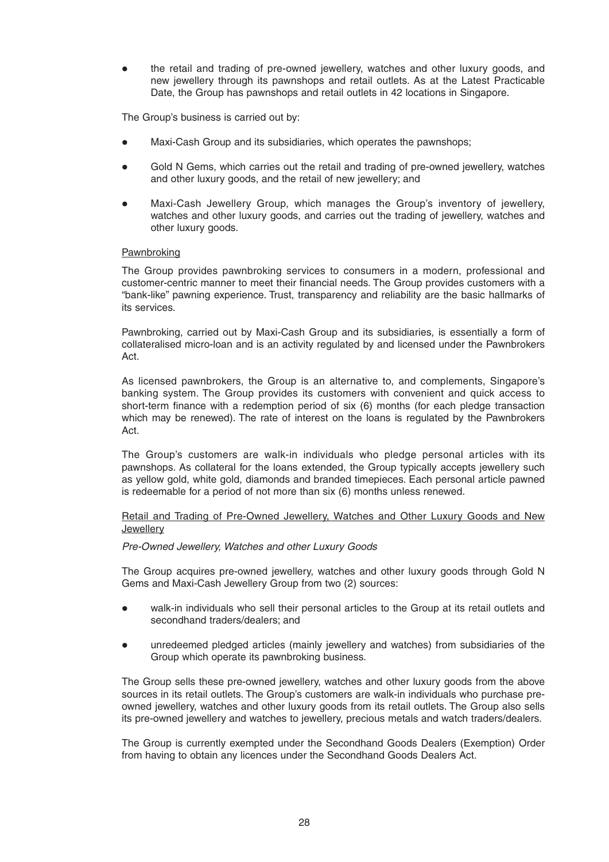the retail and trading of pre-owned jewellery, watches and other luxury goods, and new jewellery through its pawnshops and retail outlets. As at the Latest Practicable Date, the Group has pawnshops and retail outlets in 42 locations in Singapore.

The Group's business is carried out by:

- Maxi-Cash Group and its subsidiaries, which operates the pawnshops;
- Gold N Gems, which carries out the retail and trading of pre-owned jewellery, watches and other luxury goods, and the retail of new jewellery; and
- Maxi-Cash Jewellery Group, which manages the Group's inventory of jewellery, watches and other luxury goods, and carries out the trading of jewellery, watches and other luxury goods.

### **Pawnbroking**

 The Group provides pawnbroking services to consumers in a modern, professional and customer-centric manner to meet their financial needs. The Group provides customers with a "bank-like" pawning experience. Trust, transparency and reliability are the basic hallmarks of its services.

 Pawnbroking, carried out by Maxi-Cash Group and its subsidiaries, is essentially a form of collateralised micro-loan and is an activity regulated by and licensed under the Pawnbrokers Act.

 As licensed pawnbrokers, the Group is an alternative to, and complements, Singapore's banking system. The Group provides its customers with convenient and quick access to short-term finance with a redemption period of six (6) months (for each pledge transaction which may be renewed). The rate of interest on the loans is regulated by the Pawnbrokers Act.

 The Group's customers are walk-in individuals who pledge personal articles with its pawnshops. As collateral for the loans extended, the Group typically accepts jewellery such as yellow gold, white gold, diamonds and branded timepieces. Each personal article pawned is redeemable for a period of not more than six (6) months unless renewed.

### Retail and Trading of Pre-Owned Jewellery, Watches and Other Luxury Goods and New **Jewellery**

### *Pre-Owned Jewellery, Watches and other Luxury Goods*

 The Group acquires pre-owned jewellery, watches and other luxury goods through Gold N Gems and Maxi-Cash Jewellery Group from two (2) sources:

- walk-in individuals who sell their personal articles to the Group at its retail outlets and secondhand traders/dealers; and
- unredeemed pledged articles (mainly jewellery and watches) from subsidiaries of the Group which operate its pawnbroking business.

 The Group sells these pre-owned jewellery, watches and other luxury goods from the above sources in its retail outlets. The Group's customers are walk-in individuals who purchase preowned jewellery, watches and other luxury goods from its retail outlets. The Group also sells its pre-owned jewellery and watches to jewellery, precious metals and watch traders/dealers.

 The Group is currently exempted under the Secondhand Goods Dealers (Exemption) Order from having to obtain any licences under the Secondhand Goods Dealers Act.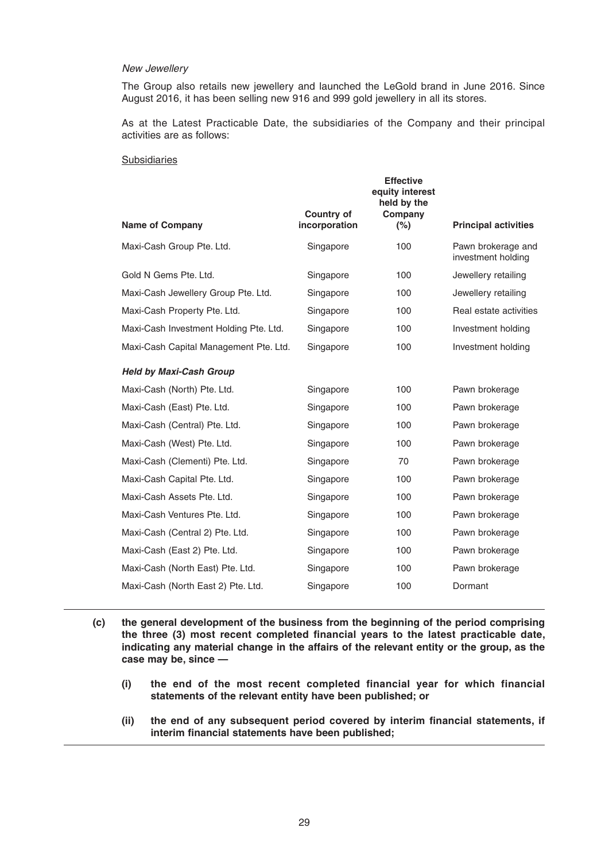#### *New Jewellery*

 The Group also retails new jewellery and launched the LeGold brand in June 2016. Since August 2016, it has been selling new 916 and 999 gold jewellery in all its stores.

 As at the Latest Practicable Date, the subsidiaries of the Company and their principal activities are as follows:

### Subsidiaries

| <b>Name of Company</b>                 | <b>Country of</b><br>incorporation | <b>Effective</b><br>equity interest<br>held by the<br>Company<br>(%) | <b>Principal activities</b>              |
|----------------------------------------|------------------------------------|----------------------------------------------------------------------|------------------------------------------|
| Maxi-Cash Group Pte. Ltd.              | Singapore                          | 100                                                                  | Pawn brokerage and<br>investment holding |
| Gold N Gems Pte. Ltd.                  | Singapore                          | 100                                                                  | Jewellery retailing                      |
| Maxi-Cash Jewellery Group Pte. Ltd.    | Singapore                          | 100                                                                  | Jewellery retailing                      |
| Maxi-Cash Property Pte. Ltd.           | Singapore                          | 100                                                                  | Real estate activities                   |
| Maxi-Cash Investment Holding Pte. Ltd. | Singapore                          | 100                                                                  | Investment holding                       |
| Maxi-Cash Capital Management Pte. Ltd. | Singapore                          | 100                                                                  | Investment holding                       |
| <b>Held by Maxi-Cash Group</b>         |                                    |                                                                      |                                          |
| Maxi-Cash (North) Pte. Ltd.            | Singapore                          | 100                                                                  | Pawn brokerage                           |
| Maxi-Cash (East) Pte. Ltd.             | Singapore                          | 100                                                                  | Pawn brokerage                           |
| Maxi-Cash (Central) Pte. Ltd.          | Singapore                          | 100                                                                  | Pawn brokerage                           |
| Maxi-Cash (West) Pte. Ltd.             | Singapore                          | 100                                                                  | Pawn brokerage                           |
| Maxi-Cash (Clementi) Pte. Ltd.         | Singapore                          | 70                                                                   | Pawn brokerage                           |
| Maxi-Cash Capital Pte. Ltd.            | Singapore                          | 100                                                                  | Pawn brokerage                           |
| Maxi-Cash Assets Pte. Ltd.             | Singapore                          | 100                                                                  | Pawn brokerage                           |
| Maxi-Cash Ventures Pte. Ltd.           | Singapore                          | 100                                                                  | Pawn brokerage                           |
| Maxi-Cash (Central 2) Pte. Ltd.        | Singapore                          | 100                                                                  | Pawn brokerage                           |
| Maxi-Cash (East 2) Pte. Ltd.           | Singapore                          | 100                                                                  | Pawn brokerage                           |
| Maxi-Cash (North East) Pte. Ltd.       | Singapore                          | 100                                                                  | Pawn brokerage                           |
| Maxi-Cash (North East 2) Pte. Ltd.     | Singapore                          | 100                                                                  | Dormant                                  |
|                                        |                                    |                                                                      |                                          |

- **(c) the general development of the business from the beginning of the period comprising**  the three (3) most recent completed financial years to the latest practicable date, **indicating any material change in the affairs of the relevant entity or the group, as the case may be, since —**
	- **(i) the end of the most recent completed financial year for which financial statements of the relevant entity have been published; or**
	- (ii) the end of any subsequent period covered by interim financial statements, if interim financial statements have been published;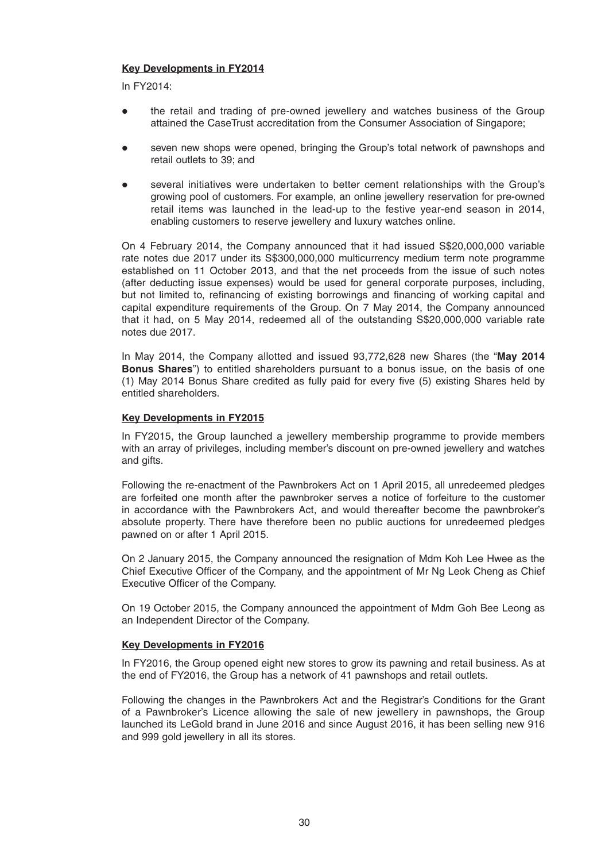### **Key Developments in FY2014**

In FY2014:

- the retail and trading of pre-owned jewellery and watches business of the Group attained the CaseTrust accreditation from the Consumer Association of Singapore;
- seven new shops were opened, bringing the Group's total network of pawnshops and retail outlets to 39; and
- several initiatives were undertaken to better cement relationships with the Group's growing pool of customers. For example, an online jewellery reservation for pre-owned retail items was launched in the lead-up to the festive year-end season in 2014, enabling customers to reserve jewellery and luxury watches online.

 On 4 February 2014, the Company announced that it had issued S\$20,000,000 variable rate notes due 2017 under its S\$300,000,000 multicurrency medium term note programme established on 11 October 2013, and that the net proceeds from the issue of such notes (after deducting issue expenses) would be used for general corporate purposes, including, but not limited to, refinancing of existing borrowings and financing of working capital and capital expenditure requirements of the Group. On 7 May 2014, the Company announced that it had, on 5 May 2014, redeemed all of the outstanding S\$20,000,000 variable rate notes due 2017.

 In May 2014, the Company allotted and issued 93,772,628 new Shares (the "**May 2014 Bonus Shares**") to entitled shareholders pursuant to a bonus issue, on the basis of one  $(1)$  May 2014 Bonus Share credited as fully paid for every five  $(5)$  existing Shares held by entitled shareholders.

### **Key Developments in FY2015**

 In FY2015, the Group launched a jewellery membership programme to provide members with an array of privileges, including member's discount on pre-owned jewellery and watches and gifts.

 Following the re-enactment of the Pawnbrokers Act on 1 April 2015, all unredeemed pledges are forfeited one month after the pawnbroker serves a notice of forfeiture to the customer in accordance with the Pawnbrokers Act, and would thereafter become the pawnbroker's absolute property. There have therefore been no public auctions for unredeemed pledges pawned on or after 1 April 2015.

 On 2 January 2015, the Company announced the resignation of Mdm Koh Lee Hwee as the Chief Executive Officer of the Company, and the appointment of Mr Ng Leok Cheng as Chief Executive Officer of the Company.

 On 19 October 2015, the Company announced the appointment of Mdm Goh Bee Leong as an Independent Director of the Company.

### **Key Developments in FY2016**

 In FY2016, the Group opened eight new stores to grow its pawning and retail business. As at the end of FY2016, the Group has a network of 41 pawnshops and retail outlets.

 Following the changes in the Pawnbrokers Act and the Registrar's Conditions for the Grant of a Pawnbroker's Licence allowing the sale of new jewellery in pawnshops, the Group launched its LeGold brand in June 2016 and since August 2016, it has been selling new 916 and 999 gold jewellery in all its stores.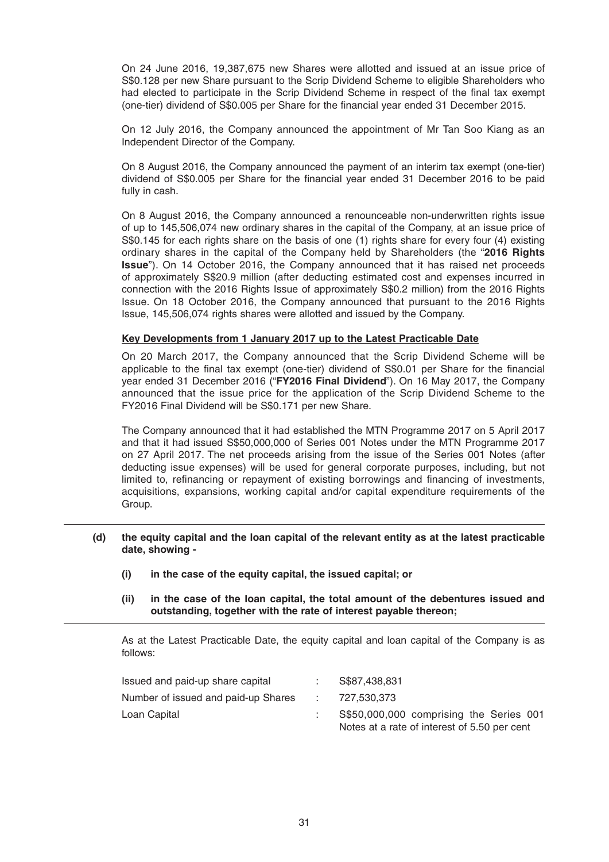On 24 June 2016, 19,387,675 new Shares were allotted and issued at an issue price of S\$0.128 per new Share pursuant to the Scrip Dividend Scheme to eligible Shareholders who had elected to participate in the Scrip Dividend Scheme in respect of the final tax exempt (one-tier) dividend of S\$0.005 per Share for the financial year ended 31 December 2015.

 On 12 July 2016, the Company announced the appointment of Mr Tan Soo Kiang as an Independent Director of the Company.

 On 8 August 2016, the Company announced the payment of an interim tax exempt (one-tier) dividend of S\$0.005 per Share for the financial year ended 31 December 2016 to be paid fully in cash.

 On 8 August 2016, the Company announced a renounceable non-underwritten rights issue of up to 145,506,074 new ordinary shares in the capital of the Company, at an issue price of S\$0.145 for each rights share on the basis of one (1) rights share for every four (4) existing ordinary shares in the capital of the Company held by Shareholders (the "**2016 Rights Issue**"). On 14 October 2016, the Company announced that it has raised net proceeds of approximately S\$20.9 million (after deducting estimated cost and expenses incurred in connection with the 2016 Rights Issue of approximately S\$0.2 million) from the 2016 Rights Issue. On 18 October 2016, the Company announced that pursuant to the 2016 Rights Issue, 145,506,074 rights shares were allotted and issued by the Company.

### **Key Developments from 1 January 2017 up to the Latest Practicable Date**

 On 20 March 2017, the Company announced that the Scrip Dividend Scheme will be applicable to the final tax exempt (one-tier) dividend of S\$0.01 per Share for the financial year ended 31 December 2016 ("**FY2016 Final Dividend**"). On 16 May 2017, the Company announced that the issue price for the application of the Scrip Dividend Scheme to the FY2016 Final Dividend will be S\$0.171 per new Share.

 The Company announced that it had established the MTN Programme 2017 on 5 April 2017 and that it had issued S\$50,000,000 of Series 001 Notes under the MTN Programme 2017 on 27 April 2017. The net proceeds arising from the issue of the Series 001 Notes (after deducting issue expenses) will be used for general corporate purposes, including, but not limited to, refinancing or repayment of existing borrowings and financing of investments, acquisitions, expansions, working capital and/or capital expenditure requirements of the Group.

### **(d) the equity capital and the loan capital of the relevant entity as at the latest practicable date, showing -**

- **(i) in the case of the equity capital, the issued capital; or**
- **(ii) in the case of the loan capital, the total amount of the debentures issued and outstanding, together with the rate of interest payable thereon;**

 As at the Latest Practicable Date, the equity capital and loan capital of the Company is as follows:

| Issued and paid-up share capital    | S\$87,438,831                                |  |
|-------------------------------------|----------------------------------------------|--|
| Number of issued and paid-up Shares | 727.530.373                                  |  |
| Loan Capital                        | S\$50,000,000 comprising the Series 001      |  |
|                                     | Notes at a rate of interest of 5.50 per cent |  |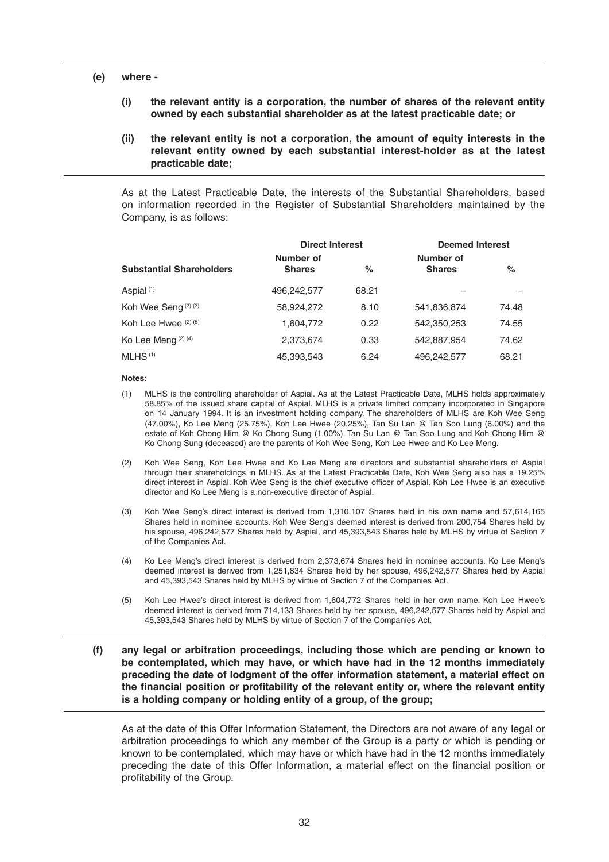### **(e) where -**

- **(i) the relevant entity is a corporation, the number of shares of the relevant entity owned by each substantial shareholder as at the latest practicable date; or**
- **(ii) the relevant entity is not a corporation, the amount of equity interests in the relevant entity owned by each substantial interest-holder as at the latest practicable date;**

As at the Latest Practicable Date, the interests of the Substantial Shareholders, based on information recorded in the Register of Substantial Shareholders maintained by the Company, is as follows:

|                                 |                            | <b>Direct Interest</b> |                            | <b>Deemed Interest</b> |  |
|---------------------------------|----------------------------|------------------------|----------------------------|------------------------|--|
| <b>Substantial Shareholders</b> | Number of<br><b>Shares</b> | %                      | Number of<br><b>Shares</b> | $\%$                   |  |
| Aspial $(1)$                    | 496,242,577                | 68.21                  |                            |                        |  |
| Koh Wee Seng <sup>(2)(3)</sup>  | 58,924,272                 | 8.10                   | 541,836,874                | 74.48                  |  |
| Koh Lee Hwee $(2)$ $(5)$        | 1,604,772                  | 0.22                   | 542,350,253                | 74.55                  |  |
| Ko Lee Meng (2) (4)             | 2,373,674                  | 0.33                   | 542.887.954                | 74.62                  |  |
| $MLHS$ <sup>(1)</sup>           | 45,393,543                 | 6.24                   | 496,242,577                | 68.21                  |  |

#### **Notes:**

- (1) MLHS is the controlling shareholder of Aspial. As at the Latest Practicable Date, MLHS holds approximately 58.85% of the issued share capital of Aspial. MLHS is a private limited company incorporated in Singapore on 14 January 1994. It is an investment holding company. The shareholders of MLHS are Koh Wee Seng (47.00%), Ko Lee Meng (25.75%), Koh Lee Hwee (20.25%), Tan Su Lan @ Tan Soo Lung (6.00%) and the estate of Koh Chong Him @ Ko Chong Sung (1.00%). Tan Su Lan @ Tan Soo Lung and Koh Chong Him @ Ko Chong Sung (deceased) are the parents of Koh Wee Seng, Koh Lee Hwee and Ko Lee Meng.
- (2) Koh Wee Seng, Koh Lee Hwee and Ko Lee Meng are directors and substantial shareholders of Aspial through their shareholdings in MLHS. As at the Latest Practicable Date, Koh Wee Seng also has a 19.25% direct interest in Aspial. Koh Wee Seng is the chief executive officer of Aspial. Koh Lee Hwee is an executive director and Ko Lee Meng is a non-executive director of Aspial.
- (3) Koh Wee Seng's direct interest is derived from 1,310,107 Shares held in his own name and 57,614,165 Shares held in nominee accounts. Koh Wee Seng's deemed interest is derived from 200,754 Shares held by his spouse, 496,242,577 Shares held by Aspial, and 45,393,543 Shares held by MLHS by virtue of Section 7 of the Companies Act.
- (4) Ko Lee Meng's direct interest is derived from 2,373,674 Shares held in nominee accounts. Ko Lee Meng's deemed interest is derived from 1,251,834 Shares held by her spouse, 496,242,577 Shares held by Aspial and 45,393,543 Shares held by MLHS by virtue of Section 7 of the Companies Act.
- (5) Koh Lee Hwee's direct interest is derived from 1,604,772 Shares held in her own name. Koh Lee Hwee's deemed interest is derived from 714,133 Shares held by her spouse, 496,242,577 Shares held by Aspial and 45,393,543 Shares held by MLHS by virtue of Section 7 of the Companies Act.
- **(f) any legal or arbitration proceedings, including those which are pending or known to be contemplated, which may have, or which have had in the 12 months immediately preceding the date of lodgment of the offer information statement, a material effect on**  the financial position or profitability of the relevant entity or, where the relevant entity **is a holding company or holding entity of a group, of the group;**

 As at the date of this Offer Information Statement, the Directors are not aware of any legal or arbitration proceedings to which any member of the Group is a party or which is pending or known to be contemplated, which may have or which have had in the 12 months immediately preceding the date of this Offer Information, a material effect on the financial position or profitability of the Group.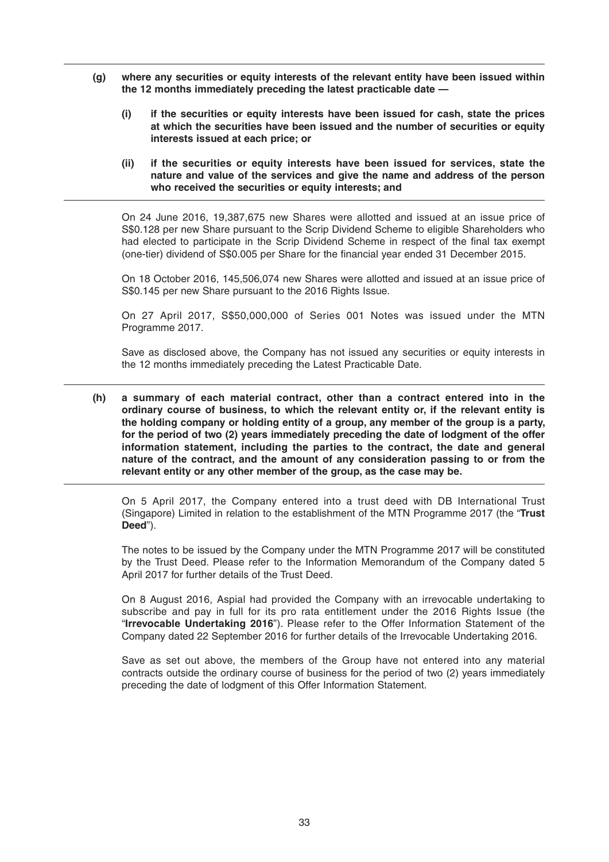- **(g) where any securities or equity interests of the relevant entity have been issued within the 12 months immediately preceding the latest practicable date —**
	- **(i) if the securities or equity interests have been issued for cash, state the prices at which the securities have been issued and the number of securities or equity interests issued at each price; or**
	- **(ii) if the securities or equity interests have been issued for services, state the nature and value of the services and give the name and address of the person who received the securities or equity interests; and**

 On 24 June 2016, 19,387,675 new Shares were allotted and issued at an issue price of S\$0.128 per new Share pursuant to the Scrip Dividend Scheme to eligible Shareholders who had elected to participate in the Scrip Dividend Scheme in respect of the final tax exempt (one-tier) dividend of S\$0.005 per Share for the financial year ended 31 December 2015.

 On 18 October 2016, 145,506,074 new Shares were allotted and issued at an issue price of S\$0.145 per new Share pursuant to the 2016 Rights Issue.

 On 27 April 2017, S\$50,000,000 of Series 001 Notes was issued under the MTN Programme 2017.

 Save as disclosed above, the Company has not issued any securities or equity interests in the 12 months immediately preceding the Latest Practicable Date.

 **(h) a summary of each material contract, other than a contract entered into in the ordinary course of business, to which the relevant entity or, if the relevant entity is the holding company or holding entity of a group, any member of the group is a party, for the period of two (2) years immediately preceding the date of lodgment of the offer information statement, including the parties to the contract, the date and general nature of the contract, and the amount of any consideration passing to or from the relevant entity or any other member of the group, as the case may be.**

 On 5 April 2017, the Company entered into a trust deed with DB International Trust (Singapore) Limited in relation to the establishment of the MTN Programme 2017 (the "**Trust Deed**").

 The notes to be issued by the Company under the MTN Programme 2017 will be constituted by the Trust Deed. Please refer to the Information Memorandum of the Company dated 5 April 2017 for further details of the Trust Deed.

 On 8 August 2016, Aspial had provided the Company with an irrevocable undertaking to subscribe and pay in full for its pro rata entitlement under the 2016 Rights Issue (the "**Irrevocable Undertaking 2016**"). Please refer to the Offer Information Statement of the Company dated 22 September 2016 for further details of the Irrevocable Undertaking 2016.

 Save as set out above, the members of the Group have not entered into any material contracts outside the ordinary course of business for the period of two (2) years immediately preceding the date of lodgment of this Offer Information Statement.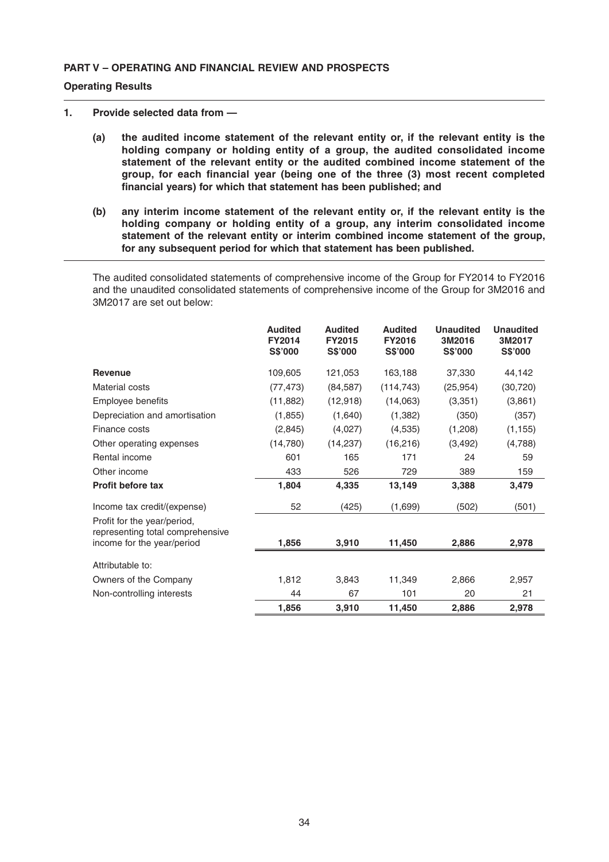# **PART V – OPERATING AND FINANCIAL REVIEW AND PROSPECTS**

#### **Operating Results**

#### **1. Provide selected data from —**

- **(a) the audited income statement of the relevant entity or, if the relevant entity is the holding company or holding entity of a group, the audited consolidated income statement of the relevant entity or the audited combined income statement of the**  group, for each financial year (being one of the three (3) most recent completed financial years) for which that statement has been published; and
- **(b) any interim income statement of the relevant entity or, if the relevant entity is the holding company or holding entity of a group, any interim consolidated income statement of the relevant entity or interim combined income statement of the group, for any subsequent period for which that statement has been published.**

 The audited consolidated statements of comprehensive income of the Group for FY2014 to FY2016 and the unaudited consolidated statements of comprehensive income of the Group for 3M2016 and 3M2017 are set out below:

|                                                                                               | <b>Audited</b><br><b>FY2014</b><br><b>S\$'000</b> | <b>Audited</b><br>FY2015<br><b>S\$'000</b> | <b>Audited</b><br><b>FY2016</b><br><b>S\$'000</b> | <b>Unaudited</b><br>3M2016<br><b>S\$'000</b> | <b>Unaudited</b><br>3M2017<br><b>S\$'000</b> |
|-----------------------------------------------------------------------------------------------|---------------------------------------------------|--------------------------------------------|---------------------------------------------------|----------------------------------------------|----------------------------------------------|
| <b>Revenue</b>                                                                                | 109,605                                           | 121,053                                    | 163,188                                           | 37,330                                       | 44,142                                       |
| Material costs                                                                                | (77, 473)                                         | (84, 587)                                  | (114, 743)                                        | (25, 954)                                    | (30,720)                                     |
| Employee benefits                                                                             | (11, 882)                                         | (12, 918)                                  | (14,063)                                          | (3,351)                                      | (3,861)                                      |
| Depreciation and amortisation                                                                 | (1, 855)                                          | (1,640)                                    | (1, 382)                                          | (350)                                        | (357)                                        |
| Finance costs                                                                                 | (2,845)                                           | (4,027)                                    | (4,535)                                           | (1,208)                                      | (1, 155)                                     |
| Other operating expenses                                                                      | (14,780)                                          | (14, 237)                                  | (16, 216)                                         | (3, 492)                                     | (4,788)                                      |
| Rental income                                                                                 | 601                                               | 165                                        | 171                                               | 24                                           | 59                                           |
| Other income                                                                                  | 433                                               | 526                                        | 729                                               | 389                                          | 159                                          |
| <b>Profit before tax</b>                                                                      | 1,804                                             | 4,335                                      | 13,149                                            | 3,388                                        | 3,479                                        |
| Income tax credit/(expense)                                                                   | 52                                                | (425)                                      | (1,699)                                           | (502)                                        | (501)                                        |
| Profit for the year/period,<br>representing total comprehensive<br>income for the year/period | 1,856                                             | 3,910                                      | 11,450                                            | 2,886                                        | 2,978                                        |
| Attributable to:                                                                              |                                                   |                                            |                                                   |                                              |                                              |
| Owners of the Company                                                                         | 1,812                                             | 3,843                                      | 11,349                                            | 2,866                                        | 2,957                                        |
| Non-controlling interests                                                                     | 44                                                | 67                                         | 101                                               | 20                                           | 21                                           |
|                                                                                               | 1,856                                             | 3,910                                      | 11,450                                            | 2,886                                        | 2,978                                        |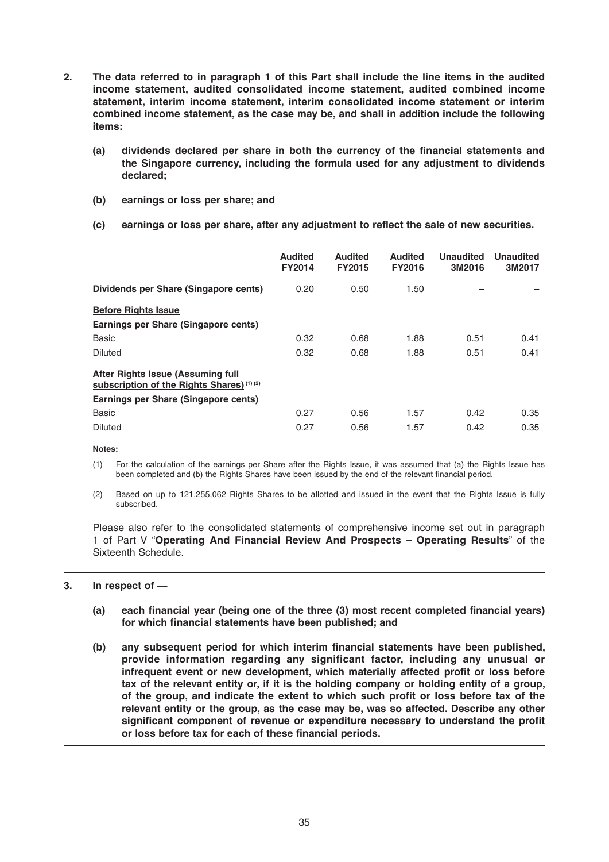- **2. The data referred to in paragraph 1 of this Part shall include the line items in the audited income statement, audited consolidated income statement, audited combined income statement, interim income statement, interim consolidated income statement or interim combined income statement, as the case may be, and shall in addition include the following items:** 
	- (a) dividends declared per share in both the currency of the financial statements and **the Singapore currency, including the formula used for any adjustment to dividends declared;**
	- **(b) earnings or loss per share; and**
	- (c) earnings or loss per share, after any adjustment to reflect the sale of new securities.

|                                                                                        | <b>Audited</b><br><b>FY2014</b> | <b>Audited</b><br><b>FY2015</b> | <b>Audited</b><br><b>FY2016</b> | <b>Unaudited</b><br>3M2016 | <b>Unaudited</b><br>3M2017 |
|----------------------------------------------------------------------------------------|---------------------------------|---------------------------------|---------------------------------|----------------------------|----------------------------|
| Dividends per Share (Singapore cents)                                                  | 0.20                            | 0.50                            | 1.50                            |                            |                            |
| <b>Before Rights Issue</b>                                                             |                                 |                                 |                                 |                            |                            |
| Earnings per Share (Singapore cents)                                                   |                                 |                                 |                                 |                            |                            |
| <b>Basic</b>                                                                           | 0.32                            | 0.68                            | 1.88                            | 0.51                       | 0.41                       |
| <b>Diluted</b>                                                                         | 0.32                            | 0.68                            | 1.88                            | 0.51                       | 0.41                       |
| <b>After Rights Issue (Assuming full</b><br>subscription of the Rights Shares) (1) (2) |                                 |                                 |                                 |                            |                            |
| Earnings per Share (Singapore cents)                                                   |                                 |                                 |                                 |                            |                            |
| <b>Basic</b>                                                                           | 0.27                            | 0.56                            | 1.57                            | 0.42                       | 0.35                       |
| <b>Diluted</b>                                                                         | 0.27                            | 0.56                            | 1.57                            | 0.42                       | 0.35                       |

 **Notes:**

- (1) For the calculation of the earnings per Share after the Rights Issue, it was assumed that (a) the Rights Issue has been completed and (b) the Rights Shares have been issued by the end of the relevant financial period.
- (2) Based on up to 121,255,062 Rights Shares to be allotted and issued in the event that the Rights Issue is fully subscribed.

 Please also refer to the consolidated statements of comprehensive income set out in paragraph 1 of Part V "**Operating And Financial Review And Prospects – Operating Results**" of the Sixteenth Schedule.

#### **3. In respect of —**

- (a) each financial year (being one of the three (3) most recent completed financial years) for which financial statements have been published; and
- (b) any subsequent period for which interim financial statements have been published, **provide information regarding any significant factor, including any unusual or**  infrequent event or new development, which materially affected profit or loss before **tax of the relevant entity or, if it is the holding company or holding entity of a group,**  of the group, and indicate the extent to which such profit or loss before tax of the **relevant entity or the group, as the case may be, was so affected. Describe any other**  significant component of revenue or expenditure necessary to understand the profit or loss before tax for each of these financial periods.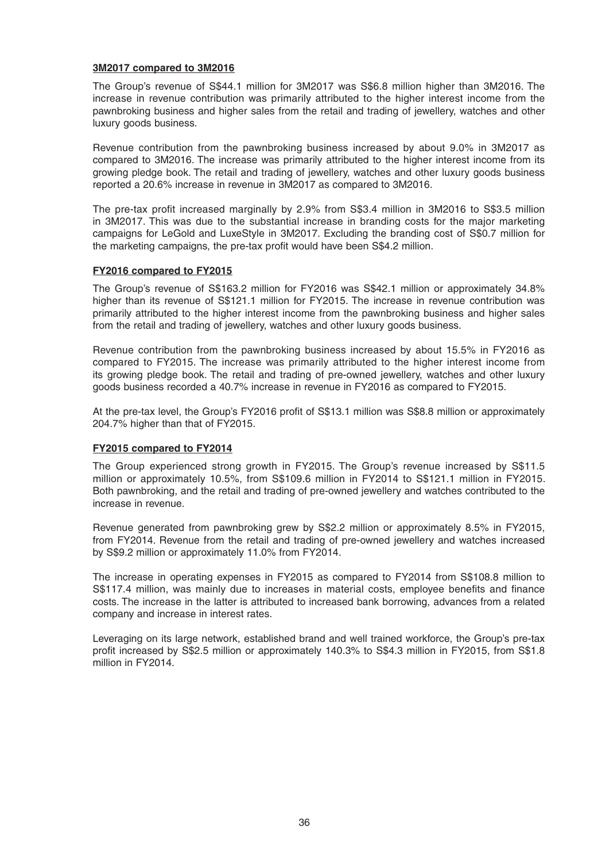#### **3M2017 compared to 3M2016**

 The Group's revenue of S\$44.1 million for 3M2017 was S\$6.8 million higher than 3M2016. The increase in revenue contribution was primarily attributed to the higher interest income from the pawnbroking business and higher sales from the retail and trading of jewellery, watches and other luxury goods business.

 Revenue contribution from the pawnbroking business increased by about 9.0% in 3M2017 as compared to 3M2016. The increase was primarily attributed to the higher interest income from its growing pledge book. The retail and trading of jewellery, watches and other luxury goods business reported a 20 .6% increase in revenue in 3M2017 as compared to 3M2016.

The pre-tax profit increased marginally by 2.9% from S\$3.4 million in 3M2016 to S\$3.5 million in 3M2017. This was due to the substantial increase in branding costs for the major marketing campaigns for LeGold and LuxeStyle in 3M2017. Excluding the branding cost of S\$0.7 million for the marketing campaigns, the pre-tax profit would have been S\$4.2 million.

#### **FY2016 compared to FY2015**

 The Group's revenue of S\$163.2 million for FY2016 was S\$42.1 million or approximately 34.8% higher than its revenue of S\$121.1 million for FY2015. The increase in revenue contribution was primarily attributed to the higher interest income from the pawnbroking business and higher sales from the retail and trading of jewellery, watches and other luxury goods business.

 Revenue contribution from the pawnbroking business increased by about 15.5% in FY2016 as compared to FY2015. The increase was primarily attributed to the higher interest income from its growing pledge book. The retail and trading of pre-owned jewellery, watches and other luxury goods business recorded a 40.7% increase in revenue in FY2016 as compared to FY2015.

At the pre-tax level, the Group's FY2016 profit of S\$13.1 million was S\$8.8 million or approximately 204.7% higher than that of FY2015.

# **FY2015 compared to FY2014**

The Group experienced strong growth in FY2015. The Group's revenue increased by S\$11.5 million or approximately 10.5%, from S\$109.6 million in FY2014 to S\$121.1 million in FY2015. Both pawnbroking, and the retail and trading of pre-owned jewellery and watches contributed to the increase in revenue.

 Revenue generated from pawnbroking grew by S\$2.2 million or approximately 8.5% in FY2015, from FY2014. Revenue from the retail and trading of pre-owned jewellery and watches increased by S\$9.2 million or approximately 11.0% from FY2014.

 The increase in operating expenses in FY2015 as compared to FY2014 from S\$108.8 million to S\$117.4 million, was mainly due to increases in material costs, employee benefits and finance costs. The increase in the latter is attributed to increased bank borrowing, advances from a related company and increase in interest rates.

 Leveraging on its large network, established brand and well trained workforce, the Group's pre-tax profit increased by S\$2.5 million or approximately 140.3% to S\$4.3 million in FY2015, from S\$1.8 million in FY2014.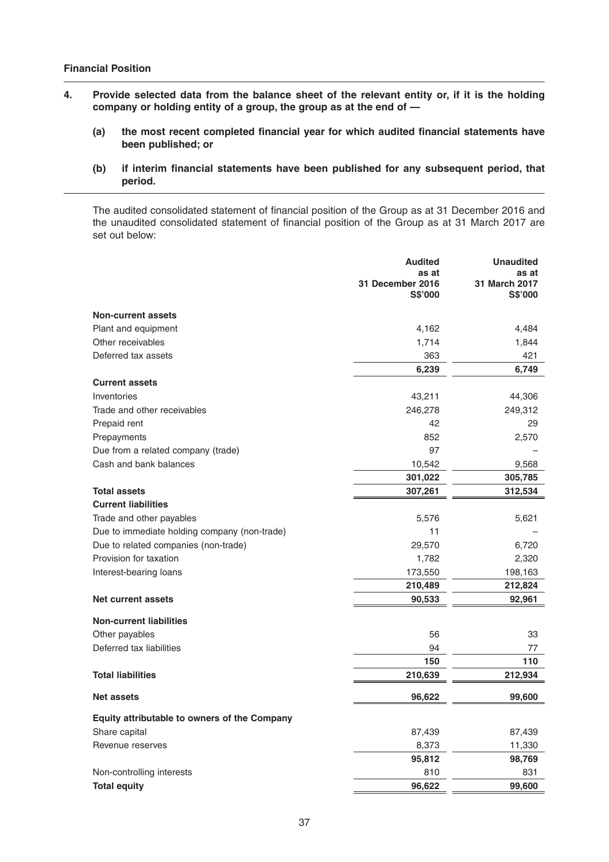- **4. Provide selected data from the balance sheet of the relevant entity or, if it is the holding company or holding entity of a group, the group as at the end of —** 
	- (a) the most recent completed financial year for which audited financial statements have **been published; or**
	- (b) if interim financial statements have been published for any subsequent period, that **period.**

The audited consolidated statement of financial position of the Group as at 31 December 2016 and the unaudited consolidated statement of financial position of the Group as at 31 March 2017 are set out below:

|                                              | <b>Audited</b>                       | <b>Unaudited</b>                  |
|----------------------------------------------|--------------------------------------|-----------------------------------|
|                                              | as at<br>31 December 2016<br>S\$'000 | as at<br>31 March 2017<br>S\$'000 |
|                                              |                                      |                                   |
| <b>Non-current assets</b>                    |                                      |                                   |
| Plant and equipment                          | 4,162                                | 4,484                             |
| Other receivables                            | 1,714                                | 1,844                             |
| Deferred tax assets                          | 363                                  | 421                               |
|                                              | 6,239                                | 6,749                             |
| <b>Current assets</b>                        |                                      |                                   |
| Inventories                                  | 43,211                               | 44,306                            |
| Trade and other receivables                  | 246,278                              | 249,312                           |
| Prepaid rent                                 | 42                                   | 29                                |
| Prepayments                                  | 852                                  | 2,570                             |
| Due from a related company (trade)           | 97                                   |                                   |
| Cash and bank balances                       | 10,542                               | 9,568                             |
|                                              | 301,022                              | 305,785                           |
| <b>Total assets</b>                          | 307,261                              | 312,534                           |
| <b>Current liabilities</b>                   |                                      |                                   |
| Trade and other payables                     | 5,576                                | 5,621                             |
| Due to immediate holding company (non-trade) | 11                                   |                                   |
| Due to related companies (non-trade)         | 29,570                               | 6,720                             |
| Provision for taxation                       | 1,782                                | 2,320                             |
| Interest-bearing loans                       | 173,550                              | 198,163                           |
|                                              | 210,489                              | 212,824                           |
| <b>Net current assets</b>                    | 90,533                               | 92,961                            |
| <b>Non-current liabilities</b>               |                                      |                                   |
| Other payables                               | 56                                   | 33                                |
| Deferred tax liabilities                     | 94                                   | 77                                |
|                                              | 150                                  | 110                               |
| <b>Total liabilities</b>                     | 210,639                              | 212,934                           |
| <b>Net assets</b>                            | 96,622                               | 99,600                            |
| Equity attributable to owners of the Company |                                      |                                   |
| Share capital                                | 87,439                               | 87,439                            |
| Revenue reserves                             | 8,373                                | 11,330                            |
|                                              | 95,812                               | 98,769                            |
| Non-controlling interests                    | 810                                  | 831                               |
| <b>Total equity</b>                          | 96,622                               | 99,600                            |
|                                              |                                      |                                   |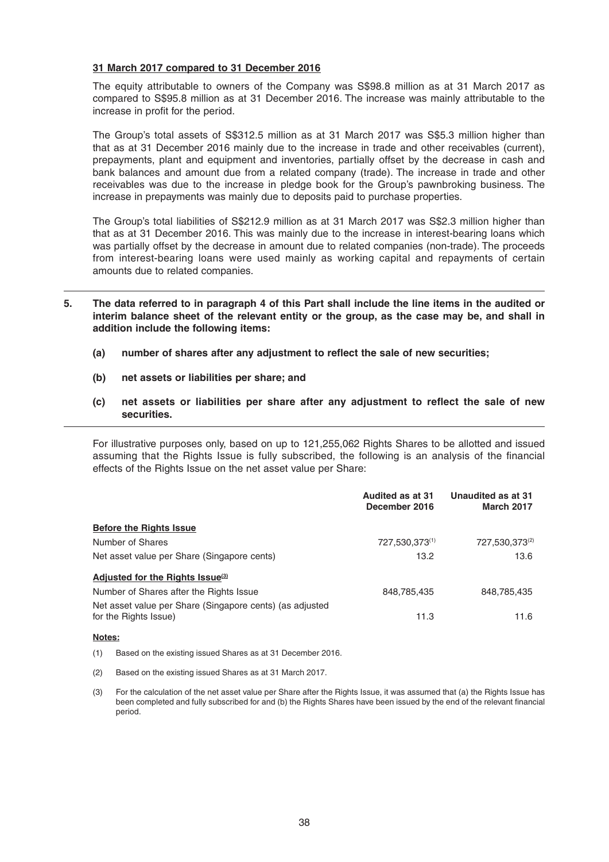#### **31 March 2017 compared to 31 December 2016**

 The equity attributable to owners of the Company was S\$98.8 million as at 31 March 2017 as compared to S\$95.8 million as at 31 December 2016. The increase was mainly attributable to the increase in profit for the period.

 The Group's total assets of S\$312.5 million as at 31 March 2017 was S\$5.3 million higher than that as at 31 December 2016 mainly due to the increase in trade and other receivables (current), prepayments, plant and equipment and inventories, partially offset by the decrease in cash and bank balances and amount due from a related company (trade). The increase in trade and other receivables was due to the increase in pledge book for the Group's pawnbroking business. The increase in prepayments was mainly due to deposits paid to purchase properties.

 The Group's total liabilities of S\$212.9 million as at 31 March 2017 was S\$2.3 million higher than that as at 31 December 2016. This was mainly due to the increase in interest-bearing loans which was partially offset by the decrease in amount due to related companies (non-trade). The proceeds from interest-bearing loans were used mainly as working capital and repayments of certain amounts due to related companies.

- **5. The data referred to in paragraph 4 of this Part shall include the line items in the audited or interim balance sheet of the relevant entity or the group, as the case may be, and shall in addition include the following items:** 
	- (a) number of shares after any adjustment to reflect the sale of new securities;
	- **(b) net assets or liabilities per share; and**
	- (c) net assets or liabilities per share after any adjustment to reflect the sale of new **securities.**

 For illustrative purposes only, based on up to 121,255,062 Rights Shares to be allotted and issued assuming that the Rights Issue is fully subscribed, the following is an analysis of the financial effects of the Rights Issue on the net asset value per Share:

|                                                                                   | Audited as at 31<br>December 2016 | Unaudited as at 31<br><b>March 2017</b> |
|-----------------------------------------------------------------------------------|-----------------------------------|-----------------------------------------|
| <b>Before the Rights Issue</b>                                                    |                                   |                                         |
| Number of Shares                                                                  | 727,530,373(1)                    | 727,530,373(2)                          |
| Net asset value per Share (Singapore cents)                                       | 13.2                              | 13.6                                    |
| Adjusted for the Rights Issue <sup>(3)</sup>                                      |                                   |                                         |
| Number of Shares after the Rights Issue                                           | 848,785,435                       | 848,785,435                             |
| Net asset value per Share (Singapore cents) (as adjusted<br>for the Rights Issue) | 11.3                              | 11.6                                    |

#### **Notes:**

- (1) Based on the existing issued Shares as at 31 December 2016.
- (2) Based on the existing issued Shares as at 31 March 2017.
- (3) For the calculation of the net asset value per Share after the Rights Issue, it was assumed that (a) the Rights Issue has been completed and fully subscribed for and (b) the Rights Shares have been issued by the end of the relevant financial period.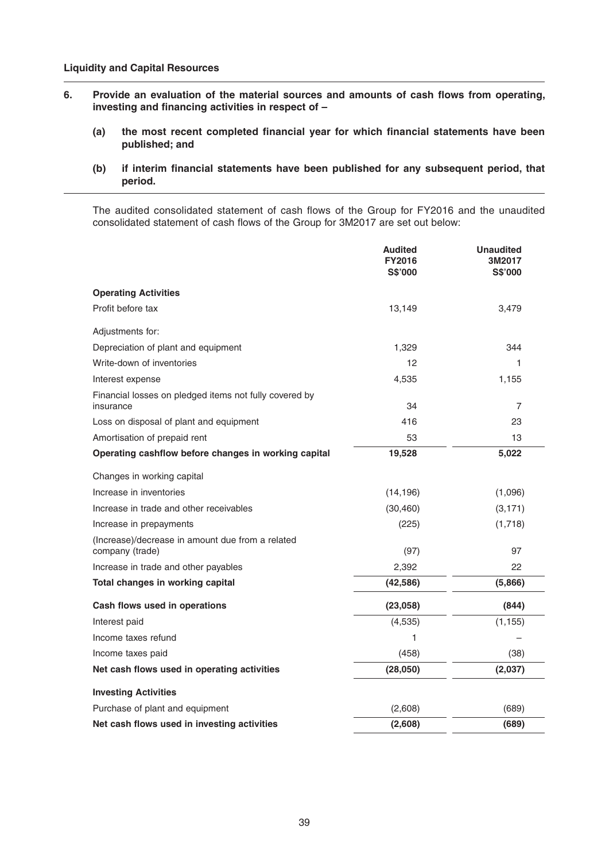- 6. Provide an evaluation of the material sources and amounts of cash flows from operating, investing and financing activities in respect of -
	- (a) the most recent completed financial year for which financial statements have been **published; and**
	- (b) if interim financial statements have been published for any subsequent period, that **period.**

The audited consolidated statement of cash flows of the Group for FY2016 and the unaudited consolidated statement of cash flows of the Group for 3M2017 are set out below:

|                                                                     | <b>Audited</b><br><b>FY2016</b><br><b>S\$'000</b> | <b>Unaudited</b><br>3M2017<br>S\$'000 |
|---------------------------------------------------------------------|---------------------------------------------------|---------------------------------------|
| <b>Operating Activities</b>                                         |                                                   |                                       |
| Profit before tax                                                   | 13,149                                            | 3,479                                 |
| Adjustments for:                                                    |                                                   |                                       |
| Depreciation of plant and equipment                                 | 1,329                                             | 344                                   |
| Write-down of inventories                                           | 12                                                | 1                                     |
| Interest expense                                                    | 4,535                                             | 1,155                                 |
| Financial losses on pledged items not fully covered by<br>insurance | 34                                                | $\overline{7}$                        |
| Loss on disposal of plant and equipment                             | 416                                               | 23                                    |
| Amortisation of prepaid rent                                        | 53                                                | 13                                    |
| Operating cashflow before changes in working capital                | 19,528                                            | 5,022                                 |
| Changes in working capital                                          |                                                   |                                       |
| Increase in inventories                                             | (14, 196)                                         | (1,096)                               |
| Increase in trade and other receivables                             | (30, 460)                                         | (3, 171)                              |
| Increase in prepayments                                             | (225)                                             | (1,718)                               |
| (Increase)/decrease in amount due from a related<br>company (trade) | (97)                                              | 97                                    |
| Increase in trade and other payables                                | 2,392                                             | 22                                    |
| Total changes in working capital                                    | (42, 586)                                         | (5,866)                               |
| Cash flows used in operations                                       | (23,058)                                          | (844)                                 |
| Interest paid                                                       | (4,535)                                           | (1, 155)                              |
| Income taxes refund                                                 | 1                                                 |                                       |
| Income taxes paid                                                   | (458)                                             | (38)                                  |
| Net cash flows used in operating activities                         | (28,050)                                          | (2,037)                               |
| <b>Investing Activities</b>                                         |                                                   |                                       |
| Purchase of plant and equipment                                     | (2,608)                                           | (689)                                 |
| Net cash flows used in investing activities                         | (2,608)                                           | (689)                                 |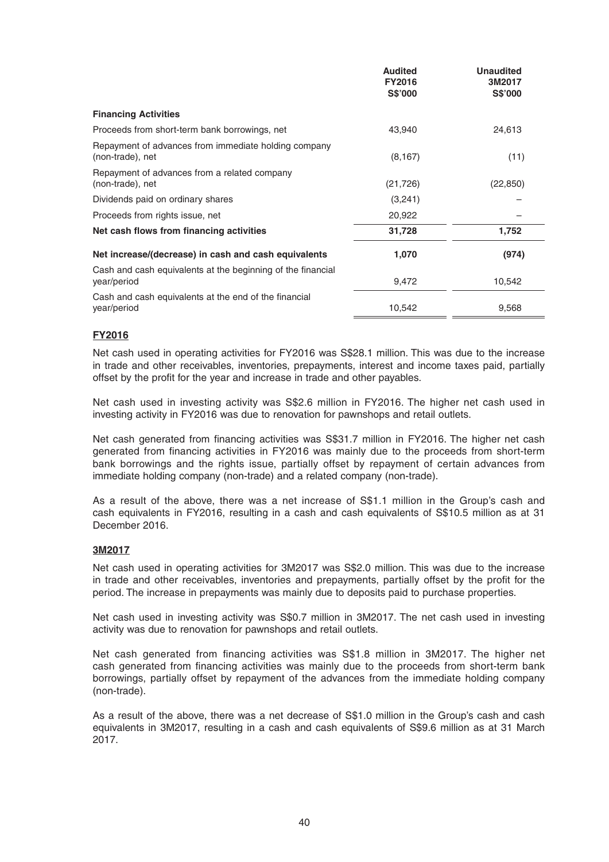|                                                                            | <b>Audited</b><br><b>FY2016</b><br><b>S\$'000</b> | <b>Unaudited</b><br>3M2017<br><b>S\$'000</b> |
|----------------------------------------------------------------------------|---------------------------------------------------|----------------------------------------------|
| <b>Financing Activities</b>                                                |                                                   |                                              |
| Proceeds from short-term bank borrowings, net                              | 43,940                                            | 24,613                                       |
| Repayment of advances from immediate holding company<br>(non-trade), net   | (8, 167)                                          | (11)                                         |
| Repayment of advances from a related company<br>(non-trade), net           | (21, 726)                                         | (22, 850)                                    |
| Dividends paid on ordinary shares                                          | (3,241)                                           |                                              |
| Proceeds from rights issue, net                                            | 20,922                                            |                                              |
| Net cash flows from financing activities                                   | 31,728                                            | 1,752                                        |
| Net increase/(decrease) in cash and cash equivalents                       | 1,070                                             | (974)                                        |
| Cash and cash equivalents at the beginning of the financial<br>year/period | 9,472                                             | 10,542                                       |
| Cash and cash equivalents at the end of the financial<br>year/period       | 10,542                                            | 9,568                                        |

# **FY2016**

 Net cash used in operating activities for FY2016 was S\$28.1 million. This was due to the increase in trade and other receivables, inventories, prepayments, interest and income taxes paid, partially offset by the profit for the year and increase in trade and other payables.

 Net cash used in investing activity was S\$2.6 million in FY2016. The higher net cash used in investing activity in FY2016 was due to renovation for pawnshops and retail outlets.

Net cash generated from financing activities was S\$31.7 million in FY2016. The higher net cash generated from financing activities in FY2016 was mainly due to the proceeds from short-term bank borrowings and the rights issue, partially offset by repayment of certain advances from immediate holding company (non-trade) and a related company (non-trade).

 As a result of the above, there was a net increase of S\$1.1 million in the Group's cash and cash equivalents in FY2016, resulting in a cash and cash equivalents of S\$10.5 million as at 31 December 2016.

# **3M2017**

 Net cash used in operating activities for 3M2017 was S\$2.0 million. This was due to the increase in trade and other receivables, inventories and prepayments, partially offset by the profit for the period. The increase in prepayments was mainly due to deposits paid to purchase properties.

 Net cash used in investing activity was S\$0.7 million in 3M2017. The net cash used in investing activity was due to renovation for pawnshops and retail outlets.

Net cash generated from financing activities was S\$1.8 million in 3M2017. The higher net cash generated from financing activities was mainly due to the proceeds from short-term bank borrowings, partially offset by repayment of the advances from the immediate holding company (non-trade).

 As a result of the above, there was a net decrease of S\$1.0 million in the Group's cash and cash equivalents in 3M2017, resulting in a cash and cash equivalents of S\$9.6 million as at 31 March 2017.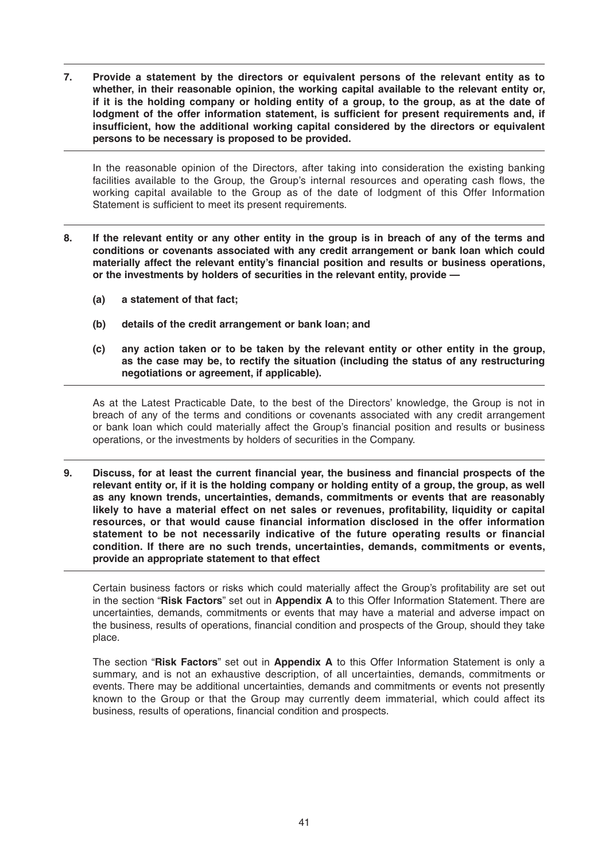**7. Provide a statement by the directors or equivalent persons of the relevant entity as to whether, in their reasonable opinion, the working capital available to the relevant entity or, if it is the holding company or holding entity of a group, to the group, as at the date of**  lodgment of the offer information statement, is sufficient for present requirements and, if insufficient, how the additional working capital considered by the directors or equivalent **persons to be necessary is proposed to be provided.**

 In the reasonable opinion of the Directors, after taking into consideration the existing banking facilities available to the Group, the Group's internal resources and operating cash flows, the working capital available to the Group as of the date of lodgment of this Offer Information Statement is sufficient to meet its present requirements.

- **8. If the relevant entity or any other entity in the group is in breach of any of the terms and conditions or covenants associated with any credit arrangement or bank loan which could**  materially affect the relevant entity's financial position and results or business operations, **or the investments by holders of securities in the relevant entity, provide —**
	- **(a) a statement of that fact;**
	- **(b) details of the credit arrangement or bank loan; and**
	- **(c) any action taken or to be taken by the relevant entity or other entity in the group, as the case may be, to rectify the situation (including the status of any restructuring negotiations or agreement, if applicable).**

As at the Latest Practicable Date, to the best of the Directors' knowledge, the Group is not in breach of any of the terms and conditions or covenants associated with any credit arrangement or bank loan which could materially affect the Group's financial position and results or business operations, or the investments by holders of securities in the Company.

**9.** Discuss, for at least the current financial year, the business and financial prospects of the **relevant entity or, if it is the holding company or holding entity of a group, the group, as well as any known trends, uncertainties, demands, commitments or events that are reasonably**  likely to have a material effect on net sales or revenues, profitability, liquidity or capital resources, or that would cause financial information disclosed in the offer information statement to be not necessarily indicative of the future operating results or financial **condition. If there are no such trends, uncertainties, demands, commitments or events, provide an appropriate statement to that effect**

Certain business factors or risks which could materially affect the Group's profitability are set out in the section "**Risk Factors**" set out in **Appendix A** to this Offer Information Statement. There are uncertainties, demands, commitments or events that may have a material and adverse impact on the business, results of operations, financial condition and prospects of the Group, should they take place.

 The section "**Risk Factors**" set out in **Appendix A** to this Offer Information Statement is only a summary, and is not an exhaustive description, of all uncertainties, demands, commitments or events. There may be additional uncertainties, demands and commitments or events not presently known to the Group or that the Group may currently deem immaterial, which could affect its business, results of operations, financial condition and prospects.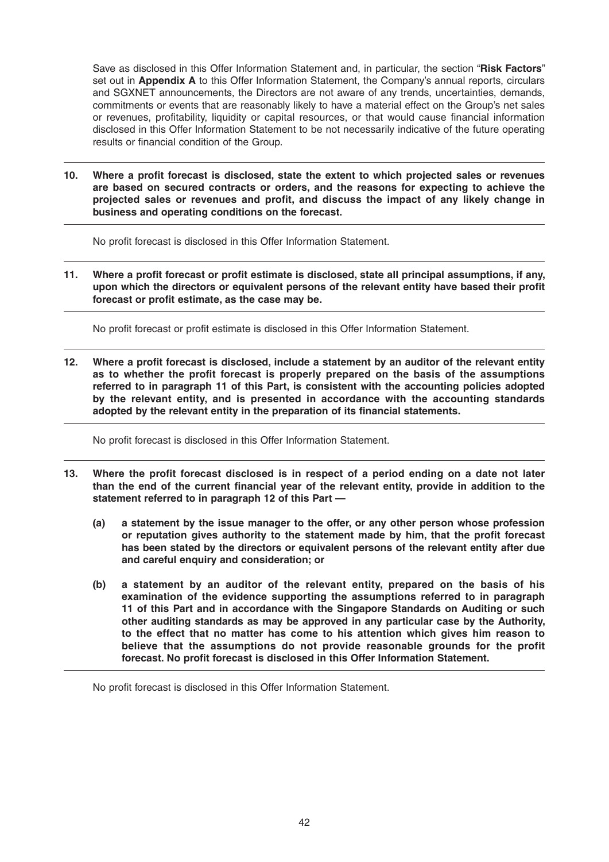Save as disclosed in this Offer Information Statement and, in particular, the section "**Risk Factors**" set out in **Appendix A** to this Offer Information Statement, the Company's annual reports, circulars and SGXNET announcements, the Directors are not aware of any trends, uncertainties, demands, commitments or events that are reasonably likely to have a material effect on the Group's net sales or revenues, profitability, liquidity or capital resources, or that would cause financial information disclosed in this Offer Information Statement to be not necessarily indicative of the future operating results or financial condition of the Group.

10. Where a profit forecast is disclosed, state the extent to which projected sales or revenues **are based on secured contracts or orders, and the reasons for expecting to achieve the**  projected sales or revenues and profit, and discuss the impact of any likely change in **business and operating conditions on the forecast.**

No profit forecast is disclosed in this Offer Information Statement.

11. Where a profit forecast or profit estimate is disclosed, state all principal assumptions, if any, upon which the directors or equivalent persons of the relevant entity have based their profit forecast or profit estimate, as the case may be.

No profit forecast or profit estimate is disclosed in this Offer Information Statement.

12. Where a profit forecast is disclosed, include a statement by an auditor of the relevant entity as to whether the profit forecast is properly prepared on the basis of the assumptions **referred to in paragraph 11 of this Part, is consistent with the accounting policies adopted by the relevant entity, and is presented in accordance with the accounting standards**  adopted by the relevant entity in the preparation of its financial statements.

No profit forecast is disclosed in this Offer Information Statement.

- 13. Where the profit forecast disclosed is in respect of a period ending on a date not later than the end of the current financial year of the relevant entity, provide in addition to the **statement referred to in paragraph 12 of this Part —** 
	- **(a) a statement by the issue manager to the offer, or any other person whose profession**  or reputation gives authority to the statement made by him, that the profit forecast **has been stated by the directors or equivalent persons of the relevant entity after due and careful enquiry and consideration; or**
	- **(b) a statement by an auditor of the relevant entity, prepared on the basis of his examination of the evidence supporting the assumptions referred to in paragraph 11 of this Part and in accordance with the Singapore Standards on Auditing or such other auditing standards as may be approved in any particular case by the Authority, to the effect that no matter has come to his attention which gives him reason to believe that the assumptions do not provide reasonable grounds for the profit**  forecast. No profit forecast is disclosed in this Offer Information Statement.

No profit forecast is disclosed in this Offer Information Statement.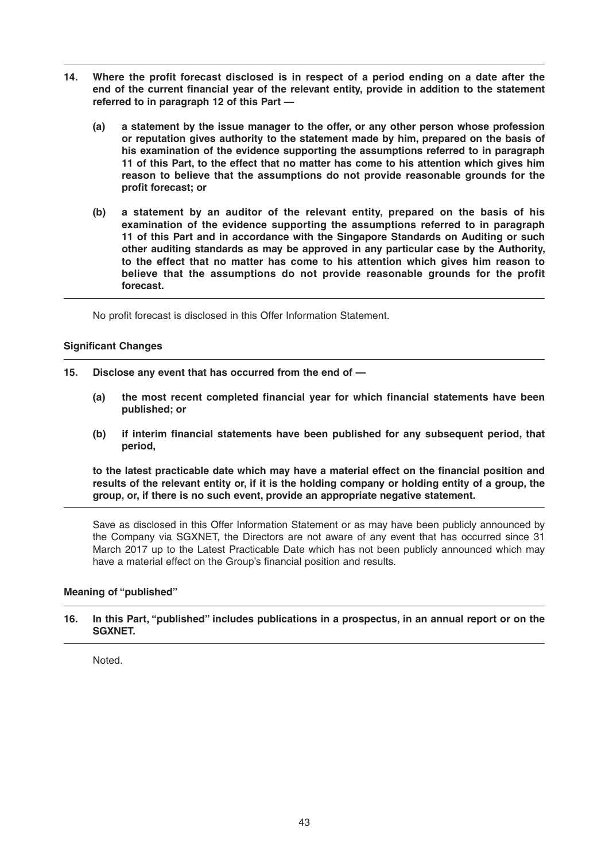- 14. Where the profit forecast disclosed is in respect of a period ending on a date after the end of the current financial year of the relevant entity, provide in addition to the statement **referred to in paragraph 12 of this Part —** 
	- **(a) a statement by the issue manager to the offer, or any other person whose profession or reputation gives authority to the statement made by him, prepared on the basis of his examination of the evidence supporting the assumptions referred to in paragraph 11 of this Part, to the effect that no matter has come to his attention which gives him reason to believe that the assumptions do not provide reasonable grounds for the profit forecast: or**
	- **(b) a statement by an auditor of the relevant entity, prepared on the basis of his examination of the evidence supporting the assumptions referred to in paragraph 11 of this Part and in accordance with the Singapore Standards on Auditing or such other auditing standards as may be approved in any particular case by the Authority, to the effect that no matter has come to his attention which gives him reason to believe that the assumptions do not provide reasonable grounds for the profit forecast.**

No profit forecast is disclosed in this Offer Information Statement.

#### **Significant Changes**

- **15. Disclose any event that has occurred from the end of —**
	- (a) the most recent completed financial year for which financial statements have been **published; or**
	- (b) if interim financial statements have been published for any subsequent period, that **period,**

to the latest practicable date which may have a material effect on the financial position and **results of the relevant entity or, if it is the holding company or holding entity of a group, the group, or, if there is no such event, provide an appropriate negative statement.**

Save as disclosed in this Offer Information Statement or as may have been publicly announced by the Company via SGXNET, the Directors are not aware of any event that has occurred since 31 March 2017 up to the Latest Practicable Date which has not been publicly announced which may have a material effect on the Group's financial position and results.

# **Meaning of "published"**

#### **16. In this Part, "published" includes publications in a prospectus, in an annual report or on the SGXNET.**

Noted.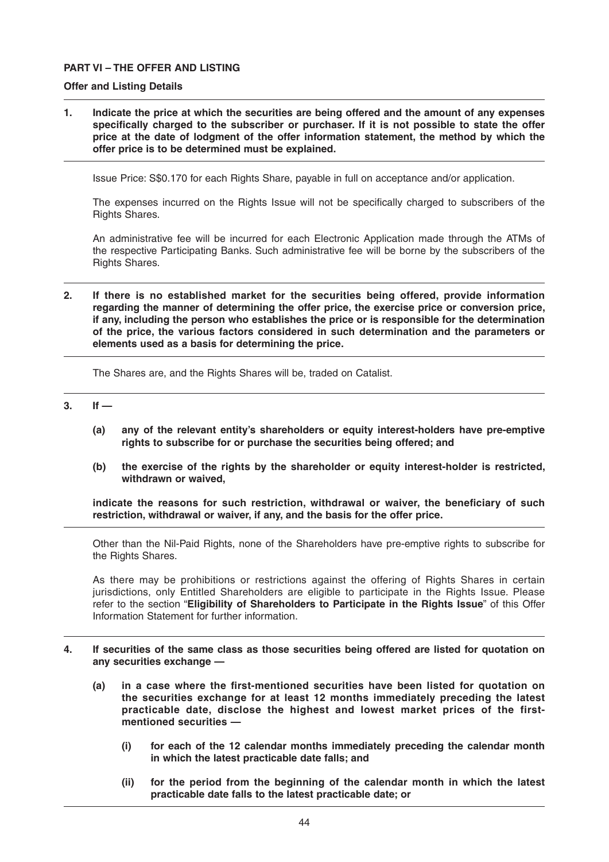### **PART VI – THE OFFER AND LISTING**

#### **Offer and Listing Details**

**1. Indicate the price at which the securities are being offered and the amount of any expenses**  specifically charged to the subscriber or purchaser. If it is not possible to state the offer **price at the date of lodgment of the offer information statement, the method by which the offer price is to be determined must be explained.**

Issue Price: S\$0.170 for each Rights Share, payable in full on acceptance and/or application.

The expenses incurred on the Rights Issue will not be specifically charged to subscribers of the Rights Shares.

 An administrative fee will be incurred for each Electronic Application made through the ATMs of the respective Participating Banks. Such administrative fee will be borne by the subscribers of the Rights Shares.

**2. If there is no established market for the securities being offered, provide information regarding the manner of determining the offer price, the exercise price or conversion price, if any, including the person who establishes the price or is responsible for the determination of the price, the various factors considered in such determination and the parameters or elements used as a basis for determining the price.**

The Shares are, and the Rights Shares will be, traded on Catalist.

- **3. If —**
	- **(a) any of the relevant entity's shareholders or equity interest-holders have pre-emptive rights to subscribe for or purchase the securities being offered; and**
	- **(b) the exercise of the rights by the shareholder or equity interest-holder is restricted, withdrawn or waived,**

indicate the reasons for such restriction, withdrawal or waiver, the beneficiary of such **restriction, withdrawal or waiver, if any, and the basis for the offer price.**

 Other than the Nil-Paid Rights, none of the Shareholders have pre-emptive rights to subscribe for the Rights Shares.

 As there may be prohibitions or restrictions against the offering of Rights Shares in certain jurisdictions, only Entitled Shareholders are eligible to participate in the Rights Issue. Please refer to the section "**Eligibility of Shareholders to Participate in the Rights Issue**" of this Offer Information Statement for further information.

- **4. If securities of the same class as those securities being offered are listed for quotation on any securities exchange —**
	- (a) in a case where the first-mentioned securities have been listed for quotation on **the securities exchange for at least 12 months immediately preceding the latest practicable date, disclose the highest and lowest market prices of the firstmentioned securities —**
		- **(i) for each of the 12 calendar months immediately preceding the calendar month in which the latest practicable date falls; and**
		- **(ii) for the period from the beginning of the calendar month in which the latest practicable date falls to the latest practicable date; or**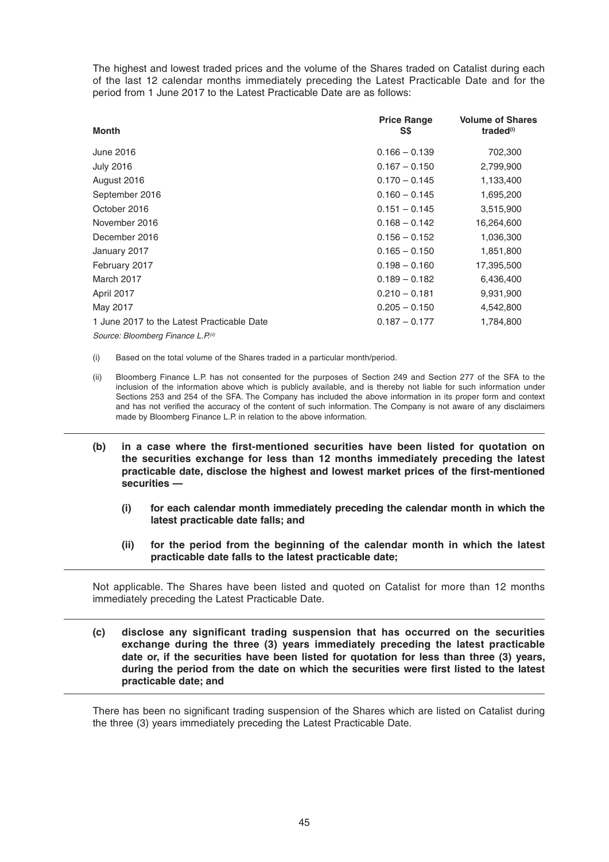The highest and lowest traded prices and the volume of the Shares traded on Catalist during each of the last 12 calendar months immediately preceding the Latest Practicable Date and for the period from 1 June 2017 to the Latest Practicable Date are as follows:

| <b>Month</b>                               | <b>Price Range</b><br>S\$ | <b>Volume of Shares</b><br>traded <sup>(i)</sup> |
|--------------------------------------------|---------------------------|--------------------------------------------------|
| June 2016                                  | $0.166 - 0.139$           | 702,300                                          |
| <b>July 2016</b>                           | $0.167 - 0.150$           | 2,799,900                                        |
| August 2016                                | $0.170 - 0.145$           | 1,133,400                                        |
| September 2016                             | $0.160 - 0.145$           | 1,695,200                                        |
| October 2016                               | $0.151 - 0.145$           | 3,515,900                                        |
| November 2016                              | $0.168 - 0.142$           | 16,264,600                                       |
| December 2016                              | $0.156 - 0.152$           | 1,036,300                                        |
| January 2017                               | $0.165 - 0.150$           | 1,851,800                                        |
| February 2017                              | $0.198 - 0.160$           | 17,395,500                                       |
| March 2017                                 | $0.189 - 0.182$           | 6,436,400                                        |
| April 2017                                 | $0.210 - 0.181$           | 9,931,900                                        |
| May 2017                                   | $0.205 - 0.150$           | 4,542,800                                        |
| 1 June 2017 to the Latest Practicable Date | $0.187 - 0.177$           | 1,784,800                                        |
| Source: Bloomberg Finance L.P.(ii)         |                           |                                                  |

(i) Based on the total volume of the Shares traded in a particular month/period.

- (ii) Bloomberg Finance L.P. has not consented for the purposes of Section 249 and Section 277 of the SFA to the inclusion of the information above which is publicly available, and is thereby not liable for such information under Sections 253 and 254 of the SFA. The Company has included the above information in its proper form and context and has not verified the accuracy of the content of such information. The Company is not aware of any disclaimers made by Bloomberg Finance L.P. in relation to the above information.
- (b) in a case where the first-mentioned securities have been listed for quotation on **the securities exchange for less than 12 months immediately preceding the latest**  practicable date, disclose the highest and lowest market prices of the first-mentioned **securities —**
	- **(i) for each calendar month immediately preceding the calendar month in which the latest practicable date falls; and**
	- **(ii) for the period from the beginning of the calendar month in which the latest practicable date falls to the latest practicable date;**

Not applicable. The Shares have been listed and quoted on Catalist for more than 12 months immediately preceding the Latest Practicable Date.

(c) disclose any significant trading suspension that has occurred on the securities **exchange during the three (3) years immediately preceding the latest practicable date or, if the securities have been listed for quotation for less than three (3) years,**  during the period from the date on which the securities were first listed to the latest **practicable date; and**

There has been no significant trading suspension of the Shares which are listed on Catalist during the three (3) years immediately preceding the Latest Practicable Date.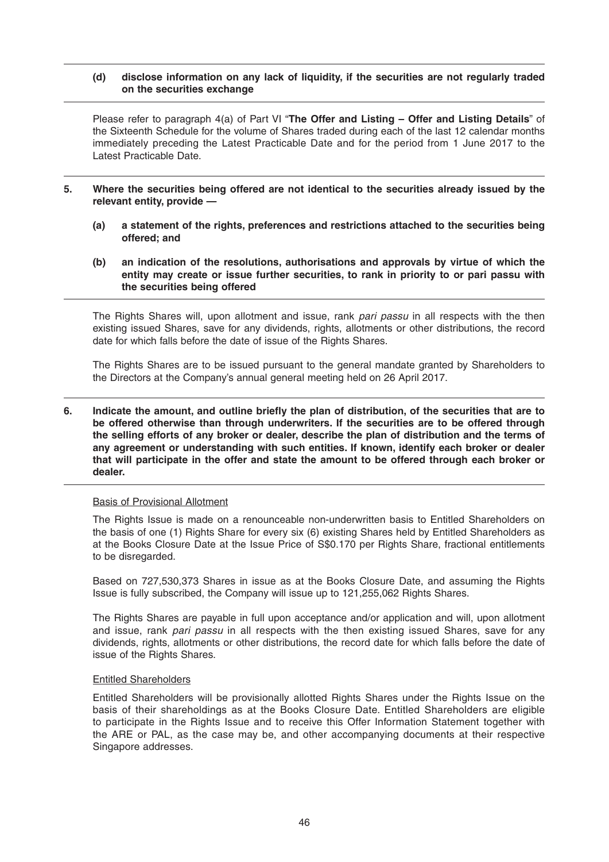### **(d) disclose information on any lack of liquidity, if the securities are not regularly traded on the securities exchange**

 Please refer to paragraph 4(a) of Part VI "**The Offer and Listing – Offer and Listing Details**" of the Sixteenth Schedule for the volume of Shares traded during each of the last 12 calendar months immediately preceding the Latest Practicable Date and for the period from 1 June 2017 to the Latest Practicable Date.

- **5. Where the securities being offered are not identical to the securities already issued by the relevant entity, provide —**
	- **(a) a statement of the rights, preferences and restrictions attached to the securities being offered; and**
	- **(b) an indication of the resolutions, authorisations and approvals by virtue of which the entity may create or issue further securities, to rank in priority to or pari passu with the securities being offered**

The Rights Shares will, upon allotment and issue, rank *pari passu* in all respects with the then existing issued Shares, save for any dividends, rights, allotments or other distributions, the record date for which falls before the date of issue of the Rights Shares.

 The Rights Shares are to be issued pursuant to the general mandate granted by Shareholders to the Directors at the Company's annual general meeting held on 26 April 2017.

#### **6.** Indicate the amount, and outline briefly the plan of distribution, of the securities that are to **be offered otherwise than through underwriters. If the securities are to be offered through the selling efforts of any broker or dealer, describe the plan of distribution and the terms of any agreement or understanding with such entities. If known, identify each broker or dealer that will participate in the offer and state the amount to be offered through each broker or dealer.**

# Basis of Provisional Allotment

 The Rights Issue is made on a renounceable non-underwritten basis to Entitled Shareholders on the basis of one (1) Rights Share for every six (6) existing Shares held by Entitled Shareholders as at the Books Closure Date at the Issue Price of S\$0.170 per Rights Share, fractional entitlements to be disregarded.

 Based on 727,530,373 Shares in issue as at the Books Closure Date, and assuming the Rights Issue is fully subscribed, the Company will issue up to 121,255,062 Rights Shares.

 The Rights Shares are payable in full upon acceptance and/or application and will, upon allotment and issue, rank *pari passu* in all respects with the then existing issued Shares, save for any dividends, rights, allotments or other distributions, the record date for which falls before the date of issue of the Rights Shares.

#### Entitled Shareholders

 Entitled Shareholders will be provisionally allotted Rights Shares under the Rights Issue on the basis of their shareholdings as at the Books Closure Date. Entitled Shareholders are eligible to participate in the Rights Issue and to receive this Offer Information Statement together with the ARE or PAL, as the case may be, and other accompanying documents at their respective Singapore addresses.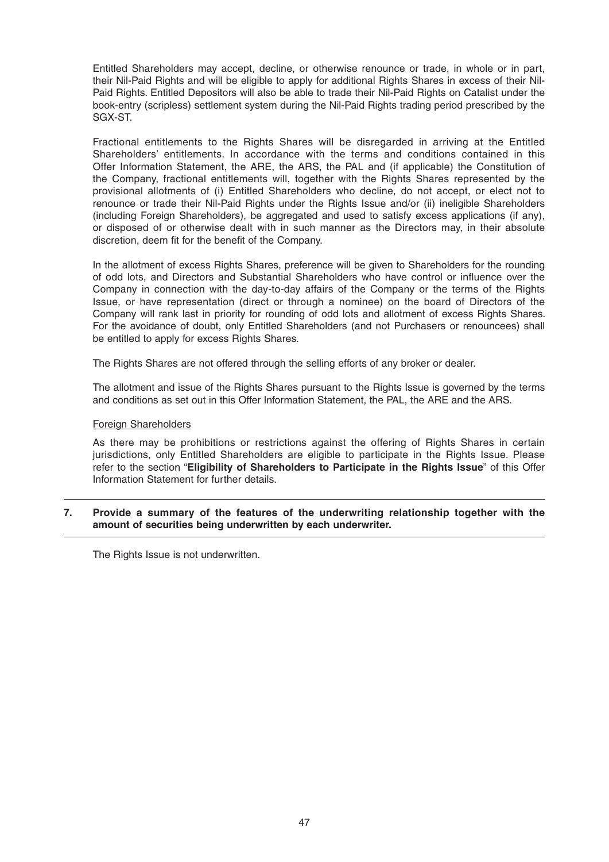Entitled Shareholders may accept, decline, or otherwise renounce or trade, in whole or in part, their Nil-Paid Rights and will be eligible to apply for additional Rights Shares in excess of their Nil-Paid Rights. Entitled Depositors will also be able to trade their Nil-Paid Rights on Catalist under the book-entry (scripless) settlement system during the Nil-Paid Rights trading period prescribed by the SGX-ST.

 Fractional entitlements to the Rights Shares will be disregarded in arriving at the Entitled Shareholders' entitlements. In accordance with the terms and conditions contained in this Offer Information Statement, the ARE, the ARS, the PAL and (if applicable) the Constitution of the Company, fractional entitlements will, together with the Rights Shares represented by the provisional allotments of (i) Entitled Shareholders who decline, do not accept, or elect not to renounce or trade their Nil-Paid Rights under the Rights Issue and/or (ii) ineligible Shareholders (including Foreign Shareholders), be aggregated and used to satisfy excess applications (if any), or disposed of or otherwise dealt with in such manner as the Directors may, in their absolute discretion, deem fit for the benefit of the Company.

 In the allotment of excess Rights Shares, preference will be given to Shareholders for the rounding of odd lots, and Directors and Substantial Shareholders who have control or influence over the Company in connection with the day-to-day affairs of the Company or the terms of the Rights Issue, or have representation (direct or through a nominee) on the board of Directors of the Company will rank last in priority for rounding of odd lots and allotment of excess Rights Shares. For the avoidance of doubt, only Entitled Shareholders (and not Purchasers or renouncees) shall be entitled to apply for excess Rights Shares.

The Rights Shares are not offered through the selling efforts of any broker or dealer.

 The allotment and issue of the Rights Shares pursuant to the Rights Issue is governed by the terms and conditions as set out in this Offer Information Statement, the PAL, the ARE and the ARS.

#### Foreign Shareholders

 As there may be prohibitions or restrictions against the offering of Rights Shares in certain jurisdictions, only Entitled Shareholders are eligible to participate in the Rights Issue. Please refer to the section "**Eligibility of Shareholders to Participate in the Rights Issue**" of this Offer Information Statement for further details.

#### **7. Provide a summary of the features of the underwriting relationship together with the amount of securities being underwritten by each underwriter.**

The Rights Issue is not underwritten.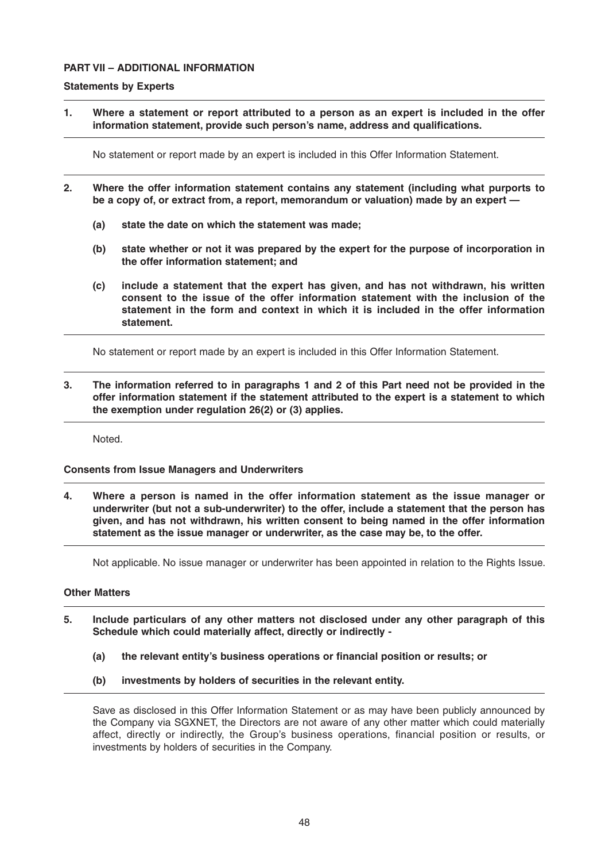# **PART VII – ADDITIONAL INFORMATION**

#### **Statements by Experts**

**1. Where a statement or report attributed to a person as an expert is included in the offer**  information statement, provide such person's name, address and qualifications.

No statement or report made by an expert is included in this Offer Information Statement.

- **2. Where the offer information statement contains any statement (including what purports to be a copy of, or extract from, a report, memorandum or valuation) made by an expert —**
	- **(a) state the date on which the statement was made;**
	- **(b) state whether or not it was prepared by the expert for the purpose of incorporation in the offer information statement; and**
	- **(c) include a statement that the expert has given, and has not withdrawn, his written consent to the issue of the offer information statement with the inclusion of the statement in the form and context in which it is included in the offer information statement.**

No statement or report made by an expert is included in this Offer Information Statement.

**3. The information referred to in paragraphs 1 and 2 of this Part need not be provided in the offer information statement if the statement attributed to the expert is a statement to which the exemption under regulation 26(2) or (3) applies.**

Noted.

# **Consents from Issue Managers and Underwriters**

**4. Where a person is named in the offer information statement as the issue manager or underwriter (but not a sub-underwriter) to the offer, include a statement that the person has given, and has not withdrawn, his written consent to being named in the offer information statement as the issue manager or underwriter, as the case may be, to the offer.**

Not applicable. No issue manager or underwriter has been appointed in relation to the Rights Issue.

#### **Other Matters**

- **5. Include particulars of any other matters not disclosed under any other paragraph of this Schedule which could materially affect, directly or indirectly -**
	- (a) the relevant entity's business operations or financial position or results; or
	- **(b) investments by holders of securities in the relevant entity.**

Save as disclosed in this Offer Information Statement or as may have been publicly announced by the Company via SGXNET, the Directors are not aware of any other matter which could materially affect, directly or indirectly, the Group's business operations, financial position or results, or investments by holders of securities in the Company.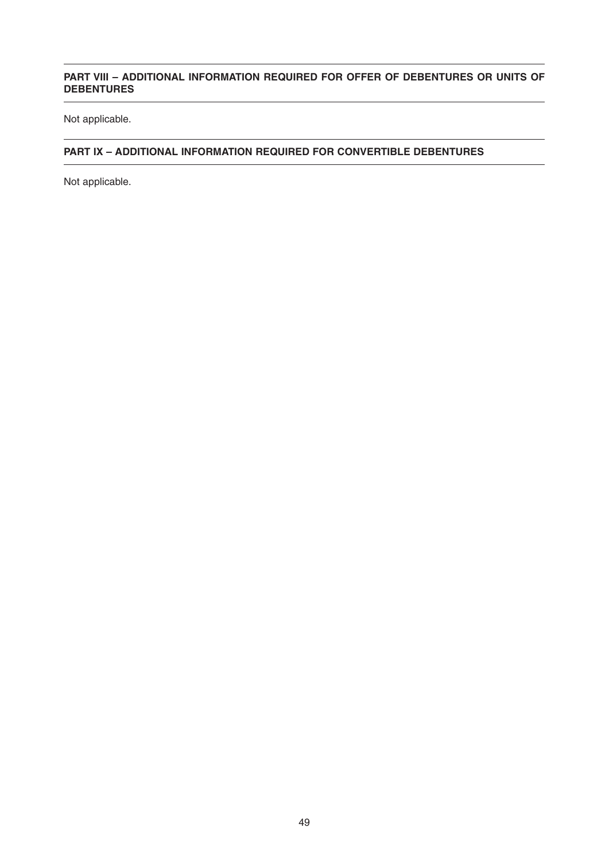# **PART VIII – ADDITIONAL INFORMATION REQUIRED FOR OFFER OF DEBENTURES OR UNITS OF DEBENTURES**

Not applicable.

# **PART IX – ADDITIONAL INFORMATION REQUIRED FOR CONVERTIBLE DEBENTURES**

Not applicable.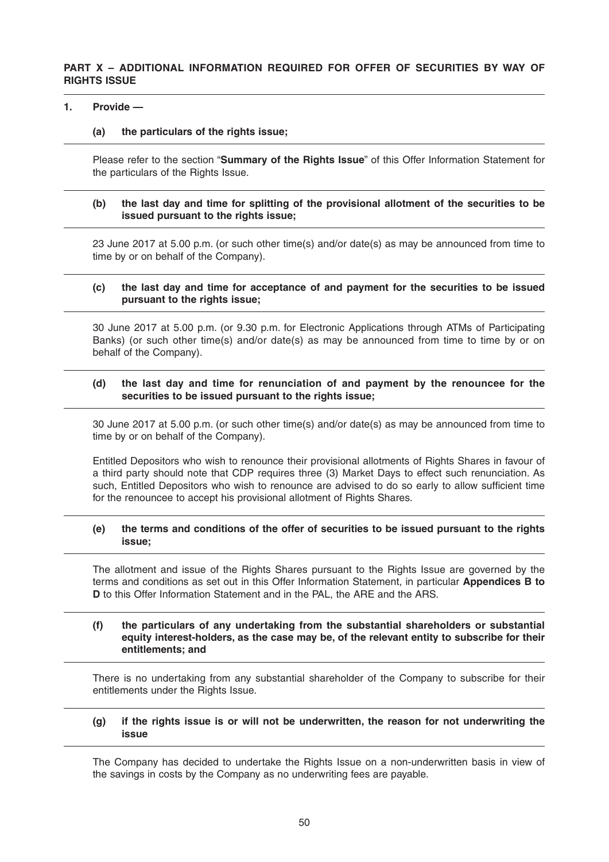#### **1. Provide —**

### **(a) the particulars of the rights issue;**

Please refer to the section "**Summary of the Rights Issue**" of this Offer Information Statement for the particulars of the Rights Issue.

### **(b) the last day and time for splitting of the provisional allotment of the securities to be issued pursuant to the rights issue;**

23 June 2017 at 5.00 p.m. (or such other time(s) and/or date(s) as may be announced from time to time by or on behalf of the Company).

#### **(c) the last day and time for acceptance of and payment for the securities to be issued pursuant to the rights issue;**

30 June 2017 at 5.00 p.m. (or 9.30 p.m. for Electronic Applications through ATMs of Participating Banks) (or such other time(s) and/or date(s) as may be announced from time to time by or on behalf of the Company).

# **(d) the last day and time for renunciation of and payment by the renouncee for the securities to be issued pursuant to the rights issue;**

30 June 2017 at 5.00 p.m. (or such other time(s) and/or date(s) as may be announced from time to time by or on behalf of the Company).

Entitled Depositors who wish to renounce their provisional allotments of Rights Shares in favour of a third party should note that CDP requires three (3) Market Days to effect such renunciation. As such. Entitled Depositors who wish to renounce are advised to do so early to allow sufficient time for the renouncee to accept his provisional allotment of Rights Shares.

# **(e) the terms and conditions of the offer of securities to be issued pursuant to the rights issue;**

The allotment and issue of the Rights Shares pursuant to the Rights Issue are governed by the terms and conditions as set out in this Offer Information Statement, in particular **Appendices B to D** to this Offer Information Statement and in the PAL, the ARE and the ARS.

#### **(f) the particulars of any undertaking from the substantial shareholders or substantial equity interest-holders, as the case may be, of the relevant entity to subscribe for their entitlements; and**

There is no undertaking from any substantial shareholder of the Company to subscribe for their entitlements under the Rights Issue.

#### **(g) if the rights issue is or will not be underwritten, the reason for not underwriting the issue**

The Company has decided to undertake the Rights Issue on a non-underwritten basis in view of the savings in costs by the Company as no underwriting fees are payable.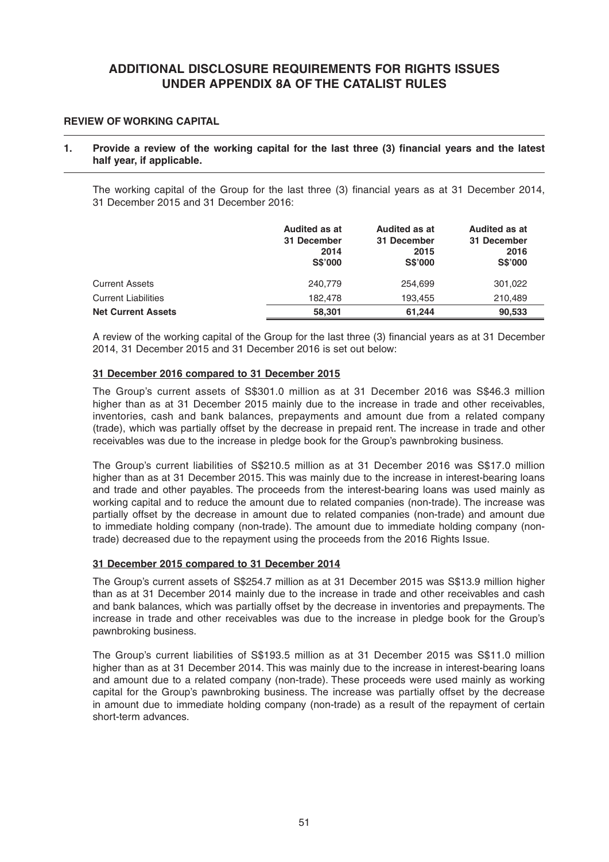# **ADDITIONAL DISCLOSURE REQUIREMENTS FOR RIGHTS ISSUES UNDER APPENDIX 8A OF THE CATALIST RULES**

# **REVIEW OF WORKING CAPITAL**

#### 1. Provide a review of the working capital for the last three (3) financial years and the latest **half year, if applicable.**

The working capital of the Group for the last three (3) financial years as at 31 December 2014, 31 December 2015 and 31 December 2016:

|                            | Audited as at<br>31 December<br>2014<br><b>S\$'000</b> | Audited as at<br>31 December<br>2015<br><b>S\$'000</b> | <b>Audited as at</b><br>31 December<br>2016<br><b>S\$'000</b> |
|----------------------------|--------------------------------------------------------|--------------------------------------------------------|---------------------------------------------------------------|
| <b>Current Assets</b>      | 240,779                                                | 254.699                                                | 301,022                                                       |
| <b>Current Liabilities</b> | 182.478                                                | 193.455                                                | 210.489                                                       |
| <b>Net Current Assets</b>  | 58,301                                                 | 61.244                                                 | 90,533                                                        |

A review of the working capital of the Group for the last three (3) financial years as at 31 December 2014, 31 December 2015 and 31 December 2016 is set out below:

#### **31 December 2016 compared to 31 December 2015**

 The Group's current assets of S\$301.0 million as at 31 December 2016 was S\$46.3 million higher than as at 31 December 2015 mainly due to the increase in trade and other receivables, inventories, cash and bank balances, prepayments and amount due from a related company (trade), which was partially offset by the decrease in prepaid rent. The increase in trade and other receivables was due to the increase in pledge book for the Group's pawnbroking business.

 The Group's current liabilities of S\$210.5 million as at 31 December 2016 was S\$17.0 million higher than as at 31 December 2015. This was mainly due to the increase in interest-bearing loans and trade and other payables. The proceeds from the interest-bearing loans was used mainly as working capital and to reduce the amount due to related companies (non-trade). The increase was partially offset by the decrease in amount due to related companies (non-trade) and amount due to immediate holding company (non-trade). The amount due to immediate holding company (nontrade) decreased due to the repayment using the proceeds from the 2016 Rights Issue.

#### **31 December 2015 compared to 31 December 2014**

 The Group's current assets of S\$254.7 million as at 31 December 2015 was S\$13.9 million higher than as at 31 December 2014 mainly due to the increase in trade and other receivables and cash and bank balances, which was partially offset by the decrease in inventories and prepayments. The increase in trade and other receivables was due to the increase in pledge book for the Group's pawnbroking business.

 The Group's current liabilities of S\$193.5 million as at 31 December 2015 was S\$11.0 million higher than as at 31 December 2014. This was mainly due to the increase in interest-bearing loans and amount due to a related company (non-trade). These proceeds were used mainly as working capital for the Group's pawnbroking business. The increase was partially offset by the decrease in amount due to immediate holding company (non-trade) as a result of the repayment of certain short-term advances.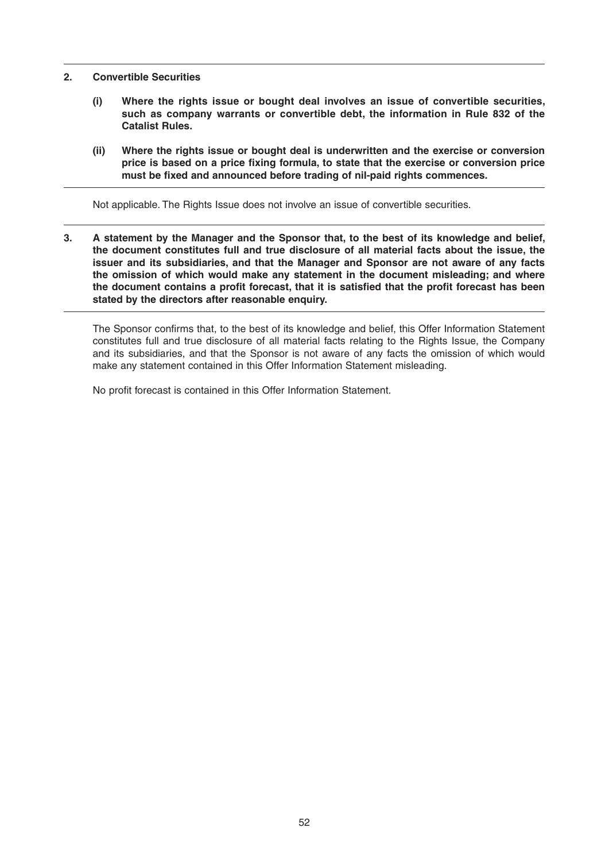#### **2. Convertible Securities**

- **(i) Where the rights issue or bought deal involves an issue of convertible securities, such as company warrants or convertible debt, the information in Rule 832 of the Catalist Rules.**
- **(ii) Where the rights issue or bought deal is underwritten and the exercise or conversion**  price is based on a price fixing formula, to state that the exercise or conversion price must be fixed and announced before trading of nil-paid rights commences.

Not applicable. The Rights Issue does not involve an issue of convertible securities.

**3. A statement by the Manager and the Sponsor that, to the best of its knowledge and belief, the document constitutes full and true disclosure of all material facts about the issue, the issuer and its subsidiaries, and that the Manager and Sponsor are not aware of any facts the omission of which would make any statement in the document misleading; and where**  the document contains a profit forecast, that it is satisfied that the profit forecast has been **stated by the directors after reasonable enquiry.**

The Sponsor confirms that, to the best of its knowledge and belief, this Offer Information Statement constitutes full and true disclosure of all material facts relating to the Rights Issue, the Company and its subsidiaries, and that the Sponsor is not aware of any facts the omission of which would make any statement contained in this Offer Information Statement misleading.

No profit forecast is contained in this Offer Information Statement.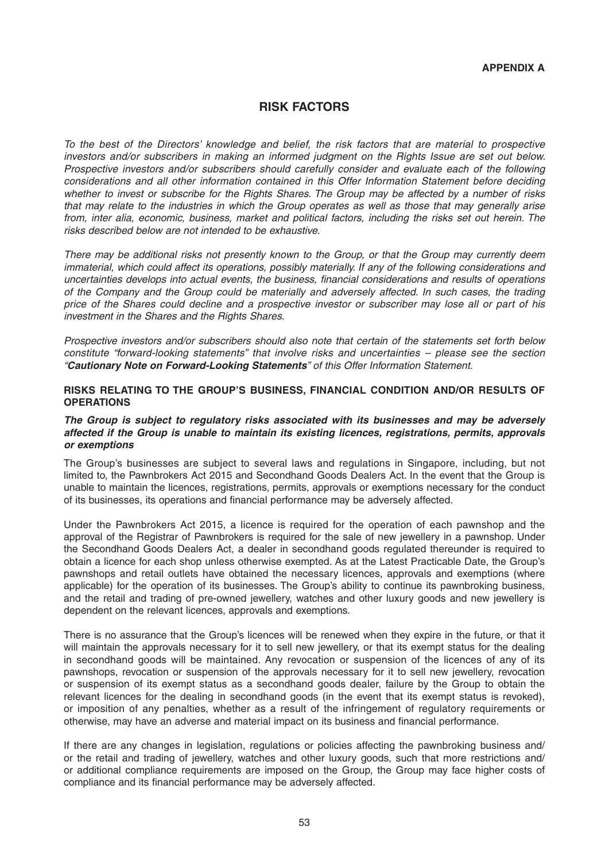# **RISK FACTORS**

*To the best of the Directors' knowledge and belief, the risk factors that are material to prospective investors and/or subscribers in making an informed judgment on the Rights Issue are set out below. Prospective investors and/or subscribers should carefully consider and evaluate each of the following considerations and all other information contained in this Offer Information Statement before deciding whether to invest or subscribe for the Rights Shares. The Group may be affected by a number of risks that may relate to the industries in which the Group operates as well as those that may generally arise from, inter alia, economic, business, market and political factors, including the risks set out herein. The risks described below are not intended to be exhaustive.*

*There may be additional risks not presently known to the Group, or that the Group may currently deem immaterial, which could affect its operations, possibly materially. If any of the following considerations and uncertainties develops into actual events, the business, fi nancial considerations and results of operations of the Company and the Group could be materially and adversely affected. In such cases, the trading price of the Shares could decline and a prospective investor or subscriber may lose all or part of his investment in the Shares and the Rights Shares.*

*Prospective investors and/or subscribers should also note that certain of the statements set forth below constitute "forward-looking statements" that involve risks and uncertainties – please see the section "Cautionary Note on Forward-Looking Statements" of this Offer Information Statement.*

#### **RISKS RELATING TO THE GROUP'S BUSINESS, FINANCIAL CONDITION AND/OR RESULTS OF OPERATIONS**

### *The Group is subject to regulatory risks associated with its businesses and may be adversely affected if the Group is unable to maintain its existing licences, registrations, permits, approvals or exemptions*

The Group's businesses are subject to several laws and regulations in Singapore, including, but not limited to, the Pawnbrokers Act 2015 and Secondhand Goods Dealers Act. In the event that the Group is unable to maintain the licences, registrations, permits, approvals or exemptions necessary for the conduct of its businesses, its operations and financial performance may be adversely affected.

Under the Pawnbrokers Act 2015, a licence is required for the operation of each pawnshop and the approval of the Registrar of Pawnbrokers is required for the sale of new jewellery in a pawnshop. Under the Secondhand Goods Dealers Act, a dealer in secondhand goods regulated thereunder is required to obtain a licence for each shop unless otherwise exempted. As at the Latest Practicable Date, the Group's pawnshops and retail outlets have obtained the necessary licences, approvals and exemptions (where applicable) for the operation of its businesses. The Group's ability to continue its pawnbroking business, and the retail and trading of pre-owned jewellery, watches and other luxury goods and new jewellery is dependent on the relevant licences, approvals and exemptions.

There is no assurance that the Group's licences will be renewed when they expire in the future, or that it will maintain the approvals necessary for it to sell new jewellery, or that its exempt status for the dealing in secondhand goods will be maintained. Any revocation or suspension of the licences of any of its pawnshops, revocation or suspension of the approvals necessary for it to sell new jewellery, revocation or suspension of its exempt status as a secondhand goods dealer, failure by the Group to obtain the relevant licences for the dealing in secondhand goods (in the event that its exempt status is revoked), or imposition of any penalties, whether as a result of the infringement of regulatory requirements or otherwise, may have an adverse and material impact on its business and financial performance.

If there are any changes in legislation, regulations or policies affecting the pawnbroking business and/ or the retail and trading of jewellery, watches and other luxury goods, such that more restrictions and/ or additional compliance requirements are imposed on the Group, the Group may face higher costs of compliance and its financial performance may be adversely affected.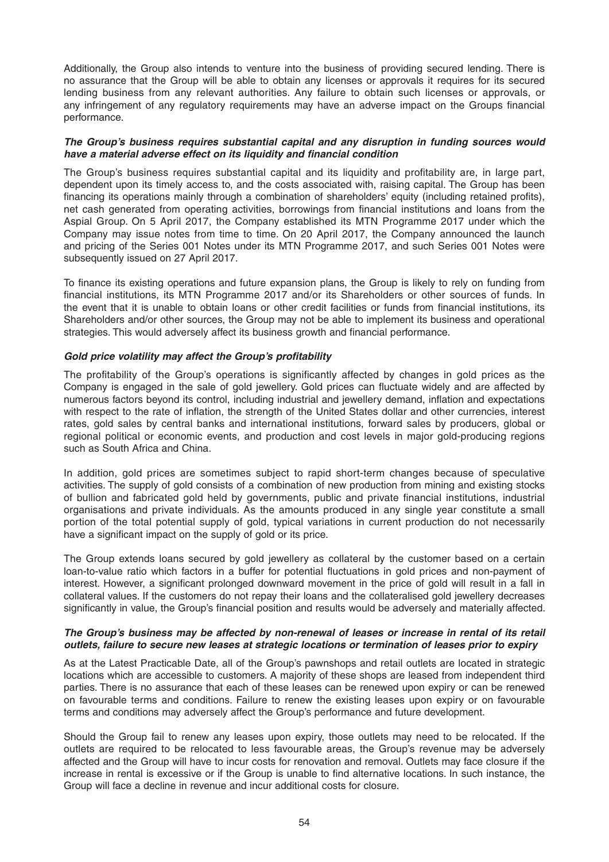Additionally, the Group also intends to venture into the business of providing secured lending. There is no assurance that the Group will be able to obtain any licenses or approvals it requires for its secured lending business from any relevant authorities. Any failure to obtain such licenses or approvals, or any infringement of any regulatory requirements may have an adverse impact on the Groups financial performance.

#### *The Group's business requires substantial capital and any disruption in funding sources would*  have a material adverse effect on its liquidity and financial condition

The Group's business requires substantial capital and its liquidity and profitability are, in large part, dependent upon its timely access to, and the costs associated with, raising capital. The Group has been financing its operations mainly through a combination of shareholders' equity (including retained profits), net cash generated from operating activities, borrowings from financial institutions and loans from the Aspial Group. On 5 April 2017, the Company established its MTN Programme 2017 under which the Company may issue notes from time to time. On 20 April 2017, the Company announced the launch and pricing of the Series 001 Notes under its MTN Programme 2017, and such Series 001 Notes were subsequently issued on 27 April 2017.

To finance its existing operations and future expansion plans, the Group is likely to rely on funding from financial institutions, its MTN Programme 2017 and/or its Shareholders or other sources of funds. In the event that it is unable to obtain loans or other credit facilities or funds from financial institutions, its Shareholders and/or other sources, the Group may not be able to implement its business and operational strategies. This would adversely affect its business growth and financial performance.

# Gold price volatility may affect the Group's profitability

The profitability of the Group's operations is significantly affected by changes in gold prices as the Company is engaged in the sale of gold jewellery. Gold prices can fluctuate widely and are affected by numerous factors beyond its control, including industrial and jewellery demand, inflation and expectations with respect to the rate of inflation, the strength of the United States dollar and other currencies, interest rates, gold sales by central banks and international institutions, forward sales by producers, global or regional political or economic events, and production and cost levels in major gold-producing regions such as South Africa and China.

In addition, gold prices are sometimes subject to rapid short-term changes because of speculative activities. The supply of gold consists of a combination of new production from mining and existing stocks of bullion and fabricated gold held by governments, public and private financial institutions, industrial organisations and private individuals. As the amounts produced in any single year constitute a small portion of the total potential supply of gold, typical variations in current production do not necessarily have a significant impact on the supply of gold or its price.

The Group extends loans secured by gold jewellery as collateral by the customer based on a certain loan-to-value ratio which factors in a buffer for potential fluctuations in gold prices and non-payment of interest. However, a significant prolonged downward movement in the price of gold will result in a fall in collateral values. If the customers do not repay their loans and the collateralised gold jewellery decreases significantly in value, the Group's financial position and results would be adversely and materially affected.

# *The Group's business may be affected by non-renewal of leases or increase in rental of its retail outlets, failure to secure new leases at strategic locations or termination of leases prior to expiry*

As at the Latest Practicable Date, all of the Group's pawnshops and retail outlets are located in strategic locations which are accessible to customers. A majority of these shops are leased from independent third parties. There is no assurance that each of these leases can be renewed upon expiry or can be renewed on favourable terms and conditions. Failure to renew the existing leases upon expiry or on favourable terms and conditions may adversely affect the Group's performance and future development.

Should the Group fail to renew any leases upon expiry, those outlets may need to be relocated. If the outlets are required to be relocated to less favourable areas, the Group's revenue may be adversely affected and the Group will have to incur costs for renovation and removal. Outlets may face closure if the increase in rental is excessive or if the Group is unable to find alternative locations. In such instance, the Group will face a decline in revenue and incur additional costs for closure.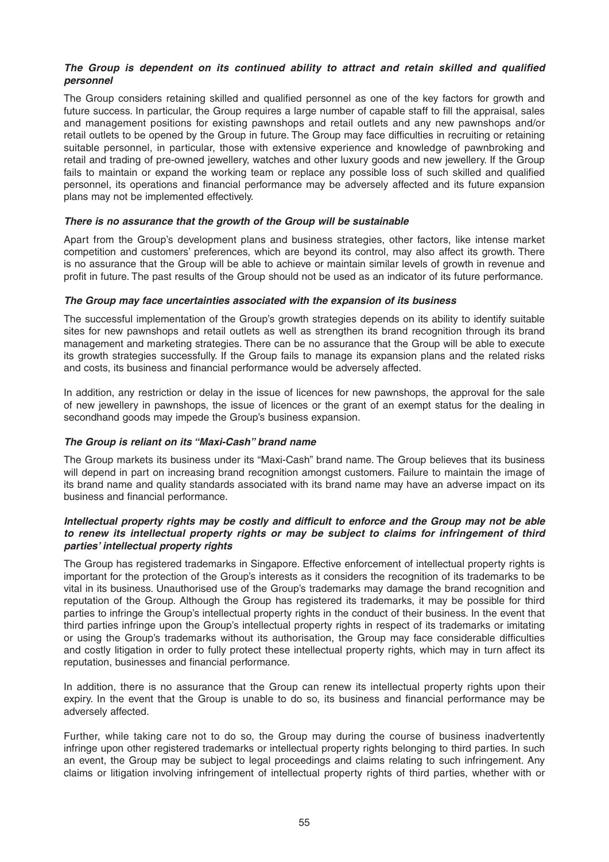### The Group is dependent on its continued ability to attract and retain skilled and qualified *personnel*

The Group considers retaining skilled and qualified personnel as one of the key factors for growth and future success. In particular, the Group requires a large number of capable staff to fill the appraisal, sales and management positions for existing pawnshops and retail outlets and any new pawnshops and/or retail outlets to be opened by the Group in future. The Group may face difficulties in recruiting or retaining suitable personnel, in particular, those with extensive experience and knowledge of pawnbroking and retail and trading of pre-owned jewellery, watches and other luxury goods and new jewellery. If the Group fails to maintain or expand the working team or replace any possible loss of such skilled and qualified personnel, its operations and financial performance may be adversely affected and its future expansion plans may not be implemented effectively.

# *There is no assurance that the growth of the Group will be sustainable*

Apart from the Group's development plans and business strategies, other factors, like intense market competition and customers' preferences, which are beyond its control, may also affect its growth. There is no assurance that the Group will be able to achieve or maintain similar levels of growth in revenue and profit in future. The past results of the Group should not be used as an indicator of its future performance.

#### *The Group may face uncertainties associated with the expansion of its business*

The successful implementation of the Group's growth strategies depends on its ability to identify suitable sites for new pawnshops and retail outlets as well as strengthen its brand recognition through its brand management and marketing strategies. There can be no assurance that the Group will be able to execute its growth strategies successfully. If the Group fails to manage its expansion plans and the related risks and costs, its business and financial performance would be adversely affected.

In addition, any restriction or delay in the issue of licences for new pawnshops, the approval for the sale of new jewellery in pawnshops, the issue of licences or the grant of an exempt status for the dealing in secondhand goods may impede the Group's business expansion.

# *The Group is reliant on its "Maxi-Cash" brand name*

The Group markets its business under its "Maxi-Cash" brand name. The Group believes that its business will depend in part on increasing brand recognition amongst customers. Failure to maintain the image of its brand name and quality standards associated with its brand name may have an adverse impact on its business and financial performance.

#### *Intellectual property rights may be costly and difficult to enforce and the Group may not be able to renew its intellectual property rights or may be subject to claims for infringement of third parties' intellectual property rights*

The Group has registered trademarks in Singapore. Effective enforcement of intellectual property rights is important for the protection of the Group's interests as it considers the recognition of its trademarks to be vital in its business. Unauthorised use of the Group's trademarks may damage the brand recognition and reputation of the Group. Although the Group has registered its trademarks, it may be possible for third parties to infringe the Group's intellectual property rights in the conduct of their business. In the event that third parties infringe upon the Group's intellectual property rights in respect of its trademarks or imitating or using the Group's trademarks without its authorisation, the Group may face considerable difficulties and costly litigation in order to fully protect these intellectual property rights, which may in turn affect its reputation, businesses and financial performance.

In addition, there is no assurance that the Group can renew its intellectual property rights upon their expiry. In the event that the Group is unable to do so, its business and financial performance may be adversely affected.

Further, while taking care not to do so, the Group may during the course of business inadvertently infringe upon other registered trademarks or intellectual property rights belonging to third parties. In such an event, the Group may be subject to legal proceedings and claims relating to such infringement. Any claims or litigation involving infringement of intellectual property rights of third parties, whether with or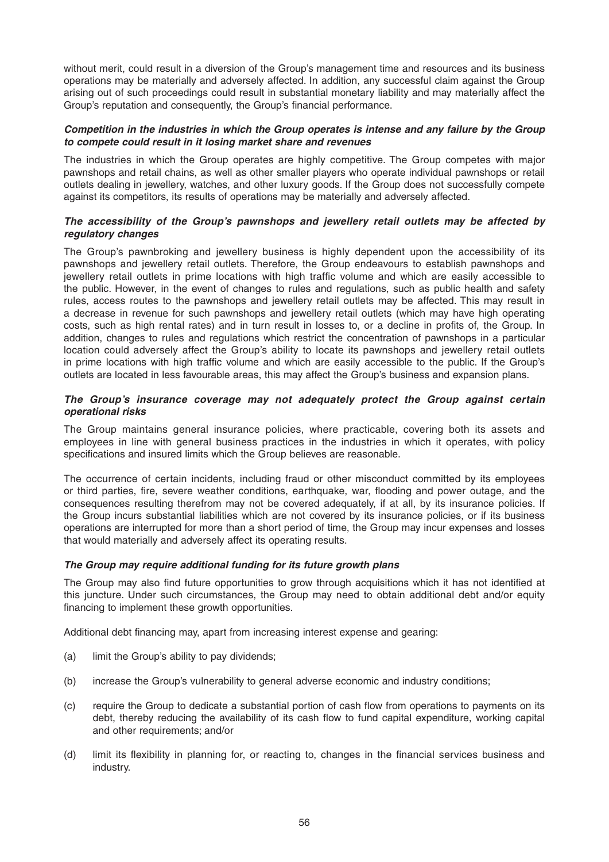without merit, could result in a diversion of the Group's management time and resources and its business operations may be materially and adversely affected. In addition, any successful claim against the Group arising out of such proceedings could result in substantial monetary liability and may materially affect the Group's reputation and consequently, the Group's financial performance.

### *Competition in the industries in which the Group operates is intense and any failure by the Group to compete could result in it losing market share and revenues*

The industries in which the Group operates are highly competitive. The Group competes with major pawnshops and retail chains, as well as other smaller players who operate individual pawnshops or retail outlets dealing in jewellery, watches, and other luxury goods. If the Group does not successfully compete against its competitors, its results of operations may be materially and adversely affected.

# *The accessibility of the Group's pawnshops and jewellery retail outlets may be affected by regulatory changes*

The Group's pawnbroking and jewellery business is highly dependent upon the accessibility of its pawnshops and jewellery retail outlets. Therefore, the Group endeavours to establish pawnshops and jewellery retail outlets in prime locations with high traffic volume and which are easily accessible to the public. However, in the event of changes to rules and regulations, such as public health and safety rules, access routes to the pawnshops and jewellery retail outlets may be affected. This may result in a decrease in revenue for such pawnshops and jewellery retail outlets (which may have high operating costs, such as high rental rates) and in turn result in losses to, or a decline in profits of, the Group. In addition, changes to rules and regulations which restrict the concentration of pawnshops in a particular location could adversely affect the Group's ability to locate its pawnshops and jewellery retail outlets in prime locations with high traffic volume and which are easily accessible to the public. If the Group's outlets are located in less favourable areas, this may affect the Group's business and expansion plans.

### *The Group's insurance coverage may not adequately protect the Group against certain operational risks*

The Group maintains general insurance policies, where practicable, covering both its assets and employees in line with general business practices in the industries in which it operates, with policy specifications and insured limits which the Group believes are reasonable.

The occurrence of certain incidents, including fraud or other misconduct committed by its employees or third parties, fire, severe weather conditions, earthquake, war, flooding and power outage, and the consequences resulting therefrom may not be covered adequately, if at all, by its insurance policies. If the Group incurs substantial liabilities which are not covered by its insurance policies, or if its business operations are interrupted for more than a short period of time, the Group may incur expenses and losses that would materially and adversely affect its operating results.

# *The Group may require additional funding for its future growth plans*

The Group may also find future opportunities to grow through acquisitions which it has not identified at this juncture . Under such circumstances, the Group may need to obtain additional debt and/or equity financing to implement these growth opportunities.

Additional debt financing may, apart from increasing interest expense and gearing:

- (a) limit the Group's ability to pay dividends;
- (b) increase the Group's vulnerability to general adverse economic and industry conditions;
- (c) require the Group to dedicate a substantial portion of cash flow from operations to payments on its debt, thereby reducing the availability of its cash flow to fund capital expenditure, working capital and other requirements; and/or
- (d) limit its flexibility in planning for, or reacting to, changes in the financial services business and industry.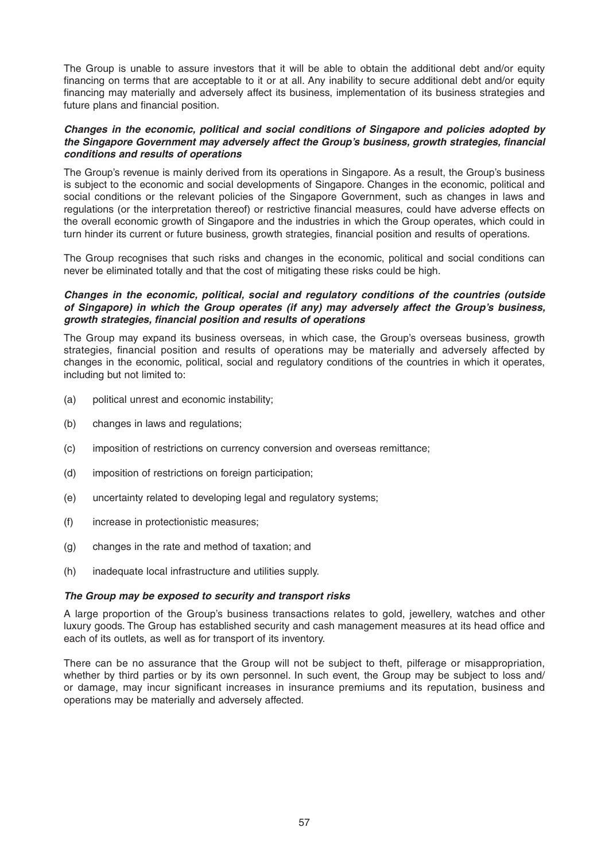The Group is unable to assure investors that it will be able to obtain the additional debt and/or equity financing on terms that are acceptable to it or at all. Any inability to secure additional debt and/or equity financing may materially and adversely affect its business, implementation of its business strategies and future plans and financial position.

#### *Changes in the economic, political and social conditions of Singapore and policies adopted by the Singapore Government may adversely affect the Group's business, growth strategies, financial conditions and results of operations*

The Group's revenue is mainly derived from its operations in Singapore. As a result, the Group's business is subject to the economic and social developments of Singapore. Changes in the economic, political and social conditions or the relevant policies of the Singapore Government, such as changes in laws and regulations (or the interpretation thereof) or restrictive financial measures, could have adverse effects on the overall economic growth of Singapore and the industries in which the Group operates, which could in turn hinder its current or future business, growth strategies, financial position and results of operations.

The Group recognises that such risks and changes in the economic, political and social conditions can never be eliminated totally and that the cost of mitigating these risks could be high.

#### *Changes in the economic, political, social and regulatory conditions of the countries (outside of Singapore) in which the Group operates (if any) may adversely affect the Group's business, growth strategies, fi nancial position and results of operations*

The Group may expand its business overseas, in which case, the Group's overseas business, growth strategies, financial position and results of operations may be materially and adversely affected by changes in the economic, political, social and regulatory conditions of the countries in which it operates, including but not limited to:

- (a) political unrest and economic instability;
- (b) changes in laws and regulations;
- (c) imposition of restrictions on currency conversion and overseas remittance;
- (d) imposition of restrictions on foreign participation;
- (e) uncertainty related to developing legal and regulatory systems;
- (f) increase in protectionistic measures;
- (g) changes in the rate and method of taxation; and
- (h) inadequate local infrastructure and utilities supply.

#### *The Group may be exposed to security and transport risks*

A large proportion of the Group's business transactions relates to gold, jewellery, watches and other luxury goods. The Group has established security and cash management measures at its head office and each of its outlets, as well as for transport of its inventory.

There can be no assurance that the Group will not be subject to theft, pilferage or misappropriation, whether by third parties or by its own personnel. In such event, the Group may be subject to loss and/ or damage, may incur significant increases in insurance premiums and its reputation, business and operations may be materially and adversely affected.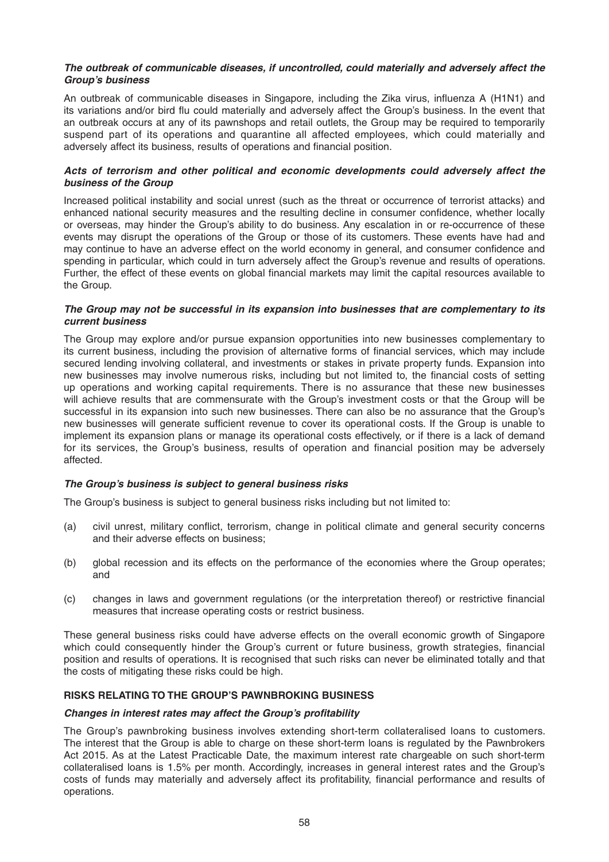#### *The outbreak of communicable diseases, if uncontrolled, could materially and adversely affect the Group's business*

An outbreak of communicable diseases in Singapore, including the Zika virus, influenza A (H1N1) and its variations and/or bird flu could materially and adversely affect the Group's business. In the event that an outbreak occurs at any of its pawnshops and retail outlets, the Group may be required to temporarily suspend part of its operations and quarantine all affected employees, which could materially and adversely affect its business, results of operations and financial position.

# *Acts of terrorism and other political and economic developments could adversely affect the business of the Group*

Increased political instability and social unrest (such as the threat or occurrence of terrorist attacks) and enhanced national security measures and the resulting decline in consumer confidence, whether locally or overseas, may hinder the Group's ability to do business. Any escalation in or re-occurrence of these events may disrupt the operations of the Group or those of its customers. These events have had and may continue to have an adverse effect on the world economy in general, and consumer confidence and spending in particular, which could in turn adversely affect the Group's revenue and results of operations. Further, the effect of these events on global financial markets may limit the capital resources available to the Group.

#### *The Group may not be successful in its expansion into businesses that are complementary to its current business*

The Group may explore and/or pursue expansion opportunities into new businesses complementary to its current business, including the provision of alternative forms of financial services, which may include secured lending involving collateral, and investments or stakes in private property funds. Expansion into new businesses may involve numerous risks, including but not limited to, the financial costs of setting up operations and working capital requirements. There is no assurance that these new businesses will achieve results that are commensurate with the Group's investment costs or that the Group will be successful in its expansion into such new businesses. There can also be no assurance that the Group's new businesses will generate sufficient revenue to cover its operational costs. If the Group is unable to implement its expansion plans or manage its operational costs effectively, or if there is a lack of demand for its services, the Group's business, results of operation and financial position may be adversely affected.

# *The Group's business is subject to general business risks*

The Group's business is subject to general business risks including but not limited to:

- (a) civil unrest, military conflict, terrorism, change in political climate and general security concerns and their adverse effects on business;
- (b) global recession and its effects on the performance of the economies where the Group operates; and
- (c) changes in laws and government regulations (or the interpretation thereof) or restrictive financial measures that increase operating costs or restrict business.

These general business risks could have adverse effects on the overall economic growth of Singapore which could consequently hinder the Group's current or future business, growth strategies, financial position and results of operations. It is recognised that such risks can never be eliminated totally and that the costs of mitigating these risks could be high.

# **RISKS RELATING TO THE GROUP'S PAWNBROKING BUSINESS**

# *Changes in interest rates may affect the Group's profi tability*

The Group's pawnbroking business involves extending short-term collateralised loans to customers. The interest that the Group is able to charge on these short-term loans is regulated by the Pawnbrokers Act 2015. As at the Latest Practicable Date, the maximum interest rate chargeable on such short-term collateralised loans is 1.5% per month. Accordingly, increases in general interest rates and the Group's costs of funds may materially and adversely affect its profitability, financial performance and results of operations.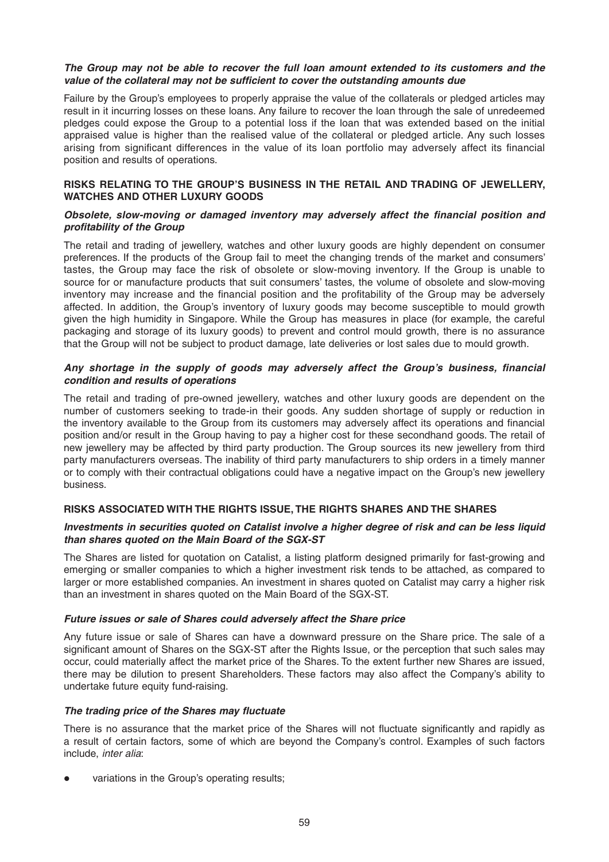#### *The Group may not be able to recover the full loan amount extended to its customers and the*  value of the collateral may not be sufficient to cover the outstanding amounts due

Failure by the Group's employees to properly appraise the value of the collaterals or pledged articles may result in it incurring losses on these loans. Any failure to recover the loan through the sale of unredeemed pledges could expose the Group to a potential loss if the loan that was extended based on the initial appraised value is higher than the realised value of the collateral or pledged article. Any such losses arising from significant differences in the value of its loan portfolio may adversely affect its financial position and results of operations.

#### **RISKS RELATING TO THE GROUP'S BUSINESS IN THE RETAIL AND TRADING OF JEWELLERY, WATCHES AND OTHER LUXURY GOODS**

#### *Obsolete, slow-moving or damaged inventory may adversely affect the financial position and profi tability of the Group*

The retail and trading of jewellery, watches and other luxury goods are highly dependent on consumer preferences. If the products of the Group fail to meet the changing trends of the market and consumers' tastes, the Group may face the risk of obsolete or slow-moving inventory. If the Group is unable to source for or manufacture products that suit consumers' tastes, the volume of obsolete and slow-moving inventory may increase and the financial position and the profitability of the Group may be adversely affected. In addition, the Group's inventory of luxury goods may become susceptible to mould growth given the high humidity in Singapore. While the Group has measures in place (for example, the careful packaging and storage of its luxury goods) to prevent and control mould growth, there is no assurance that the Group will not be subject to product damage, late deliveries or lost sales due to mould growth.

# Any shortage in the supply of goods may adversely affect the Group's business, financial *condition and results of operations*

The retail and trading of pre-owned jewellery, watches and other luxury goods are dependent on the number of customers seeking to trade-in their goods. Any sudden shortage of supply or reduction in the inventory available to the Group from its customers may adversely affect its operations and financial position and/or result in the Group having to pay a higher cost for these secondhand goods. The retail of new jewellery may be affected by third party production. The Group sources its new jewellery from third party manufacturers overseas. The inability of third party manufacturers to ship orders in a timely manner or to comply with their contractual obligations could have a negative impact on the Group's new jewellery business.

# **RISKS ASSOCIATED WITH THE RIGHTS ISSUE, THE RIGHTS SHARES AND THE SHARES**

#### *Investments in securities quoted on Catalist involve a higher degree of risk and can be less liquid than shares quoted on the Main Board of the SGX-ST*

The Shares are listed for quotation on Catalist, a listing platform designed primarily for fast-growing and emerging or smaller companies to which a higher investment risk tends to be attached, as compared to larger or more established companies. An investment in shares quoted on Catalist may carry a higher risk than an investment in shares quoted on the Main Board of the SGX-ST.

# *Future issues or sale of Shares could adversely affect the Share price*

Any future issue or sale of Shares can have a downward pressure on the Share price. The sale of a significant amount of Shares on the SGX-ST after the Rights Issue, or the perception that such sales may occur, could materially affect the market price of the Shares. To the extent further new Shares are issued, there may be dilution to present Shareholders. These factors may also affect the Company's ability to undertake future equity fund-raising.

# **The trading price of the Shares may fluctuate**

There is no assurance that the market price of the Shares will not fluctuate significantly and rapidly as a result of certain factors, some of which are beyond the Company's control. Examples of such factors include, *inter alia*:

variations in the Group's operating results;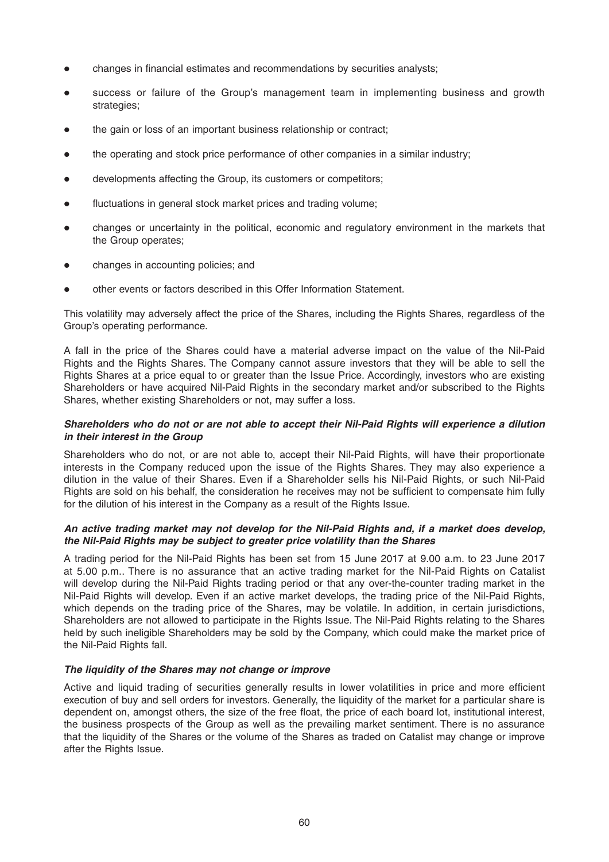- changes in financial estimates and recommendations by securities analysts;
- success or failure of the Group's management team in implementing business and growth strategies;
- the gain or loss of an important business relationship or contract;
- the operating and stock price performance of other companies in a similar industry;
- developments affecting the Group, its customers or competitors;
- fluctuations in general stock market prices and trading volume;
- changes or uncertainty in the political, economic and regulatory environment in the markets that the Group operates;
- changes in accounting policies; and
- other events or factors described in this Offer Information Statement.

This volatility may adversely affect the price of the Shares, including the Rights Shares, regardless of the Group's operating performance.

A fall in the price of the Shares could have a material adverse impact on the value of the Nil-Paid Rights and the Rights Shares. The Company cannot assure investors that they will be able to sell the Rights Shares at a price equal to or greater than the Issue Price. Accordingly, investors who are existing Shareholders or have acquired Nil-Paid Rights in the secondary market and/or subscribed to the Rights Shares, whether existing Shareholders or not, may suffer a loss.

#### *Shareholders who do not or are not able to accept their Nil-Paid Rights will experience a dilution in their interest in the Group*

Shareholders who do not, or are not able to, accept their Nil-Paid Rights, will have their proportionate interests in the Company reduced upon the issue of the Rights Shares. They may also experience a dilution in the value of their Shares. Even if a Shareholder sells his Nil-Paid Rights, or such Nil-Paid Rights are sold on his behalf, the consideration he receives may not be sufficient to compensate him fully for the dilution of his interest in the Company as a result of the Rights Issue.

#### *An active trading market may not develop for the Nil-Paid Rights and, if a market does develop, the Nil-Paid Rights may be subject to greater price volatility than the Shares*

A trading period for the Nil-Paid Rights has been set from 15 June 2017 at 9.00 a.m. to 23 June 2017 at 5.00 p.m.. There is no assurance that an active trading market for the Nil-Paid Rights on Catalist will develop during the Nil-Paid Rights trading period or that any over-the-counter trading market in the Nil-Paid Rights will develop. Even if an active market develops, the trading price of the Nil-Paid Rights, which depends on the trading price of the Shares, may be volatile. In addition, in certain jurisdictions, Shareholders are not allowed to participate in the Rights Issue. The Nil-Paid Rights relating to the Shares held by such ineligible Shareholders may be sold by the Company, which could make the market price of the Nil-Paid Rights fall.

# *The liquidity of the Shares may not change or improve*

Active and liquid trading of securities generally results in lower volatilities in price and more efficient execution of buy and sell orders for investors. Generally, the liquidity of the market for a particular share is dependent on, amongst others, the size of the free float, the price of each board lot, institutional interest, the business prospects of the Group as well as the prevailing market sentiment. There is no assurance that the liquidity of the Shares or the volume of the Shares as traded on Catalist may change or improve after the Rights Issue.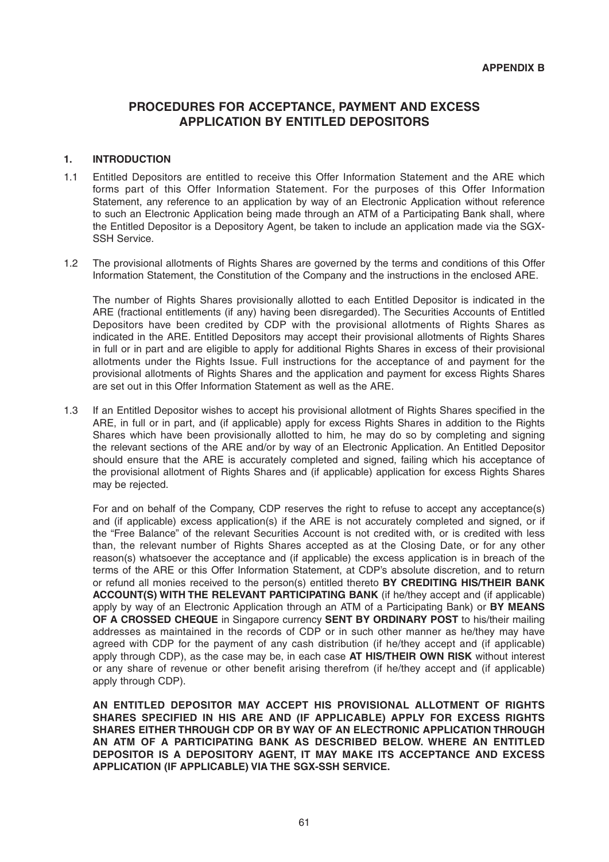# **PROCEDURES FOR ACCEPTANCE, PAYMENT AND EXCESS APPLICATION BY ENTITLED DEPOSITORS**

# **1. INTRODUCTION**

- 1.1 Entitled Depositors are entitled to receive this Offer Information Statement and the ARE which forms part of this Offer Information Statement. For the purposes of this Offer Information Statement, any reference to an application by way of an Electronic Application without reference to such an Electronic Application being made through an ATM of a Participating Bank shall, where the Entitled Depositor is a Depository Agent, be taken to include an application made via the SGX-SSH Service.
- 1.2 The provisional allotments of Rights Shares are governed by the terms and conditions of this Offer Information Statement, the Constitution of the Company and the instructions in the enclosed ARE.

 The number of Rights Shares provisionally allotted to each Entitled Depositor is indicated in the ARE (fractional entitlements (if any) having been disregarded). The Securities Accounts of Entitled Depositors have been credited by CDP with the provisional allotments of Rights Shares as indicated in the ARE. Entitled Depositors may accept their provisional allotments of Rights Shares in full or in part and are eligible to apply for additional Rights Shares in excess of their provisional allotments under the Rights Issue. Full instructions for the acceptance of and payment for the provisional allotments of Rights Shares and the application and payment for excess Rights Shares are set out in this Offer Information Statement as well as the ARE.

1.3 If an Entitled Depositor wishes to accept his provisional allotment of Rights Shares specified in the ARE, in full or in part, and (if applicable) apply for excess Rights Shares in addition to the Rights Shares which have been provisionally allotted to him, he may do so by completing and signing the relevant sections of the ARE and/or by way of an Electronic Application. An Entitled Depositor should ensure that the ARE is accurately completed and signed, failing which his acceptance of the provisional allotment of Rights Shares and (if applicable) application for excess Rights Shares may be rejected.

 For and on behalf of the Company, CDP reserves the right to refuse to accept any acceptance(s) and (if applicable) excess application(s) if the ARE is not accurately completed and signed, or if the "Free Balance" of the relevant Securities Account is not credited with, or is credited with less than, the relevant number of Rights Shares accepted as at the Closing Date, or for any other reason(s) whatsoever the acceptance and (if applicable) the excess application is in breach of the terms of the ARE or this Offer Information Statement, at CDP's absolute discretion, and to return or refund all monies received to the person(s) entitled thereto **BY CREDITING HIS/THEIR BANK ACCOUNT(S) WITH THE RELEVANT PARTICIPATING BANK** (if he/they accept and (if applicable) apply by way of an Electronic Application through an ATM of a Participating Bank) or **BY MEANS OF A CROSSED CHEQUE** in Singapore currency **SENT BY ORDINARY POST** to his/their mailing addresses as maintained in the records of CDP or in such other manner as he/they may have agreed with CDP for the payment of any cash distribution (if he/they accept and (if applicable) apply through CDP), as the case may be, in each case **AT HIS/THEIR OWN RISK** without interest or any share of revenue or other benefit arising therefrom (if he/they accept and (if applicable) apply through CDP).

 **AN ENTITLED DEPOSITOR MAY ACCEPT HIS PROVISIONAL ALLOTMENT OF RIGHTS SHARES SPECIFIED IN HIS ARE AND (IF APPLICABLE) APPLY FOR EXCESS RIGHTS SHARES EITHER THROUGH CDP OR BY WAY OF AN ELECTRONIC APPLICATION THROUGH AN ATM OF A PARTICIPATING BANK AS DESCRIBED BELOW. WHERE AN ENTITLED DEPOSITOR IS A DEPOSITORY AGENT, IT MAY MAKE ITS ACCEPTANCE AND EXCESS APPLICATION (IF APPLICABLE) VIA THE SGX-SSH SERVICE.**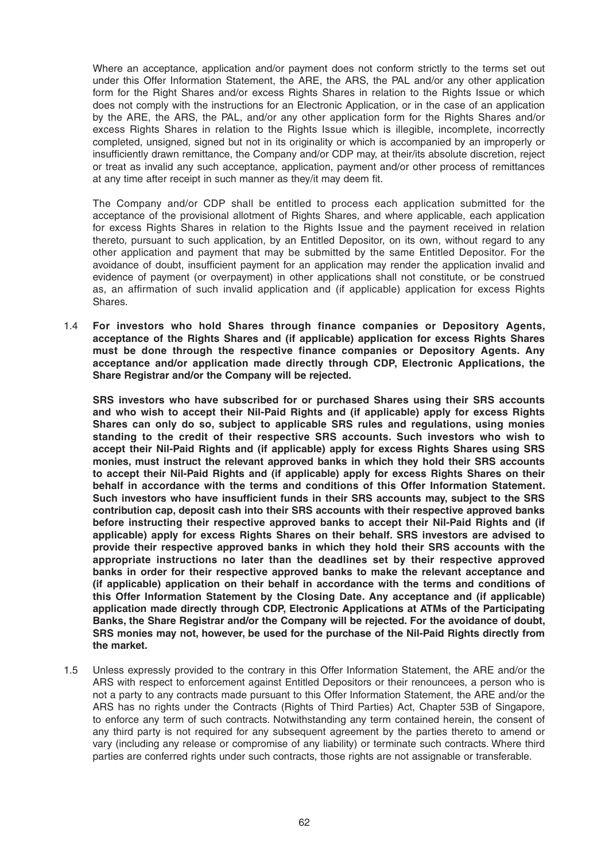Where an acceptance, application and/or payment does not conform strictly to the terms set out under this Offer Information Statement, the ARE, the ARS, the PAL and/or any other application form for the Right Shares and/or excess Rights Shares in relation to the Rights Issue or which does not comply with the instructions for an Electronic Application, or in the case of an application by the ARE, the ARS, the PAL, and/or any other application form for the Rights Shares and/or excess Rights Shares in relation to the Rights Issue which is illegible, incomplete, incorrectly completed, unsigned, signed but not in its originality or which is accompanied by an improperly or insufficiently drawn remittance, the Company and/or CDP may, at their/its absolute discretion, reject or treat as invalid any such acceptance, application, payment and/or other process of remittances at any time after receipt in such manner as they/it may deem fit.

 The Company and/or CDP shall be entitled to process each application submitted for the acceptance of the provisional allotment of Rights Shares, and where applicable, each application for excess Rights Shares in relation to the Rights Issue and the payment received in relation thereto, pursuant to such application, by an Entitled Depositor, on its own, without regard to any other application and payment that may be submitted by the same Entitled Depositor. For the avoidance of doubt, insufficient payment for an application may render the application invalid and evidence of payment (or overpayment) in other applications shall not constitute, or be construed as, an affirmation of such invalid application and (if applicable) application for excess Rights Shares.

1.4 **For investors who hold Shares through finance companies or Depository Agents, acceptance of the Rights Shares and (if applicable) application for excess Rights Shares must be done through the respective finance companies or Depository Agents. Any acceptance and/or application made directly through CDP, Electronic Applications, the Share Registrar and/or the Company will be rejected.**

 **SRS investors who have subscribed for or purchased Shares using their SRS accounts and who wish to accept their Nil-Paid Rights and (if applicable) apply for excess Rights Shares can only do so, subject to applicable SRS rules and regulations, using monies standing to the credit of their respective SRS accounts. Such investors who wish to accept their Nil-Paid Rights and (if applicable) apply for excess Rights Shares using SRS monies, must instruct the relevant approved banks in which they hold their SRS accounts to accept their Nil-Paid Rights and (if applicable) apply for excess Rights Shares on their behalf in accordance with the terms and conditions of this Offer Information Statement.**  Such investors who have insufficient funds in their SRS accounts may, subject to the SRS **contribution cap, deposit cash into their SRS accounts with their respective approved banks before instructing their respective approved banks to accept their Nil-Paid Rights and (if applicable) apply for excess Rights Shares on their behalf. SRS investors are advised to provide their respective approved banks in which they hold their SRS accounts with the appropriate instructions no later than the deadlines set by their respective approved banks in order for their respective approved banks to make the relevant acceptance and (if applicable) application on their behalf in accordance with the terms and conditions of this Offer Information Statement by the Closing Date. Any acceptance and (if applicable) application made directly through CDP, Electronic Applications at ATMs of the Participating Banks, the Share Registrar and/or the Company will be rejected. For the avoidance of doubt, SRS monies may not, however, be used for the purchase of the Nil-Paid Rights directly from the market.**

1.5 Unless expressly provided to the contrary in this Offer Information Statement, the ARE and/or the ARS with respect to enforcement against Entitled Depositors or their renouncees, a person who is not a party to any contracts made pursuant to this Offer Information Statement, the ARE and/or the ARS has no rights under the Contracts (Rights of Third Parties) Act, Chapter 53B of Singapore, to enforce any term of such contracts. Notwithstanding any term contained herein, the consent of any third party is not required for any subsequent agreement by the parties thereto to amend or vary (including any release or compromise of any liability) or terminate such contracts. Where third parties are conferred rights under such contracts, those rights are not assignable or transferable.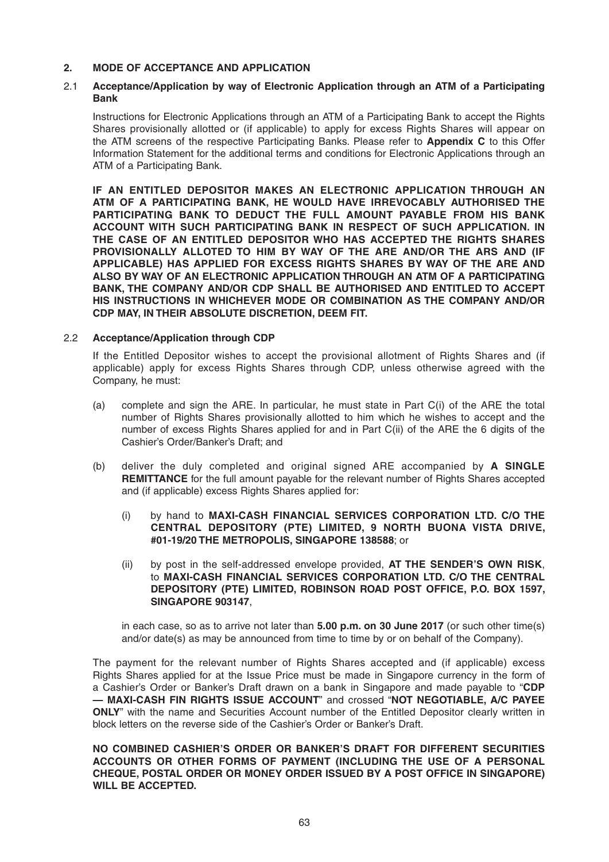### **2. MODE OF ACCEPTANCE AND APPLICATION**

# 2.1 **Acceptance/Application by way of Electronic Application through an ATM of a Participating Bank**

 Instructions for Electronic Applications through an ATM of a Participating Bank to accept the Rights Shares provisionally allotted or (if applicable) to apply for excess Rights Shares will appear on the ATM screens of the respective Participating Banks. Please refer to **Appendix C** to this Offer Information Statement for the additional terms and conditions for Electronic Applications through an ATM of a Participating Bank.

 **IF AN ENTITLED DEPOSITOR MAKES AN ELECTRONIC APPLICATION THROUGH AN ATM OF A PARTICIPATING BANK, HE WOULD HAVE IRREVOCABLY AUTHORISED THE PARTICIPATING BANK TO DEDUCT THE FULL AMOUNT PAYABLE FROM HIS BANK ACCOUNT WITH SUCH PARTICIPATING BANK IN RESPECT OF SUCH APPLICATION. IN THE CASE OF AN ENTITLED DEPOSITOR WHO HAS ACCEPTED THE RIGHTS SHARES PROVISIONALLY ALLOTED TO HIM BY WAY OF THE ARE AND/OR THE ARS AND (IF APPLICABLE) HAS APPLIED FOR EXCESS RIGHTS SHARES BY WAY OF THE ARE AND ALSO BY WAY OF AN ELECTRONIC APPLICATION THROUGH AN ATM OF A PARTICIPATING BANK, THE COMPANY AND/OR CDP SHALL BE AUTHORISED AND ENTITLED TO ACCEPT HIS INSTRUCTIONS IN WHICHEVER MODE OR COMBINATION AS THE COMPANY AND/OR CDP MAY, IN THEIR ABSOLUTE DISCRETION, DEEM FIT.**

#### 2.2 **Acceptance/ Application through CDP**

 If the Entitled Depositor wishes to accept the provisional allotment of Rights Shares and (if applicable) apply for excess Rights Shares through CDP, unless otherwise agreed with the Company, he must:

- (a) complete and sign the ARE. In particular, he must state in Part C(i) of the ARE the total number of Rights Shares provisionally allotted to him which he wishes to accept and the number of excess Rights Shares applied for and in Part C(ii) of the ARE the 6 digits of the Cashier's Order/Banker's Draft; and
- (b) deliver the duly completed and original signed ARE accompanied by **A SINGLE REMITTANCE** for the full amount payable for the relevant number of Rights Shares accepted and (if applicable) excess Rights Shares applied for:
	- (i) by hand to **MAXI-CASH FINANCIAL SERVICES CORPORATION LTD. C/O THE CENTRAL DEPOSITORY (PTE) LIMITED, 9 NORTH BUONA VISTA DRIVE, #01-19/20 THE METROPOLIS, SINGAPORE 138588**; or
	- (ii) by post in the self-addressed envelope provided, **AT THE SENDER'S OWN RISK**, to **MAXI-CASH FINANCIAL SERVICES CORPORATION LTD. C/O THE CENTRAL DEPOSITORY (PTE) LIMITED, ROBINSON ROAD POST OFFICE, P.O. BOX 1597, SINGAPORE 903147**,

 in each case, so as to arrive not later than **5.00 p.m. on 30 June 2017** (or such other time(s) and/or date(s) as may be announced from time to time by or on behalf of the Company).

 The payment for the relevant number of Rights Shares accepted and (if applicable) excess Rights Shares applied for at the Issue Price must be made in Singapore currency in the form of a Cashier's Order or Banker's Draft drawn on a bank in Singapore and made payable to "**CDP — MAXI-CASH FIN RIGHTS ISSUE ACCOUNT**" and crossed "**NOT NEGOTIABLE, A/C PAYEE ONLY**" with the name and Securities Account number of the Entitled Depositor clearly written in block letters on the reverse side of the Cashier's Order or Banker's Draft.

 **NO COMBINED CASHIER'S ORDER OR BANKER'S DRAFT FOR DIFFERENT SECURITIES ACCOUNTS OR OTHER FORMS OF PAYMENT (INCLUDING THE USE OF A PERSONAL CHEQUE, POSTAL ORDER OR MONEY ORDER ISSUED BY A POST OFFICE IN SINGAPORE) WILL BE ACCEPTED.**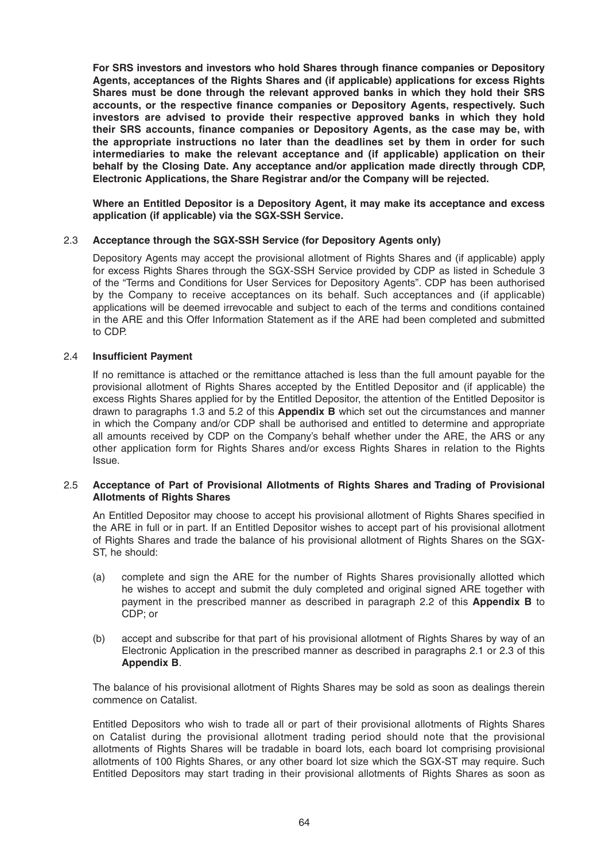For SRS investors and investors who hold Shares through finance companies or Depository **Agents, acceptances of the Rights Shares and (if applicable) applications for excess Rights Shares must be done through the relevant approved banks in which they hold their SRS**  accounts, or the respective finance companies or Depository Agents, respectively. Such **investors are advised to provide their respective approved banks in which they hold**  their SRS accounts, finance companies or Depository Agents, as the case may be, with **the appropriate instructions no later than the deadlines set by them in order for such intermediaries to make the relevant acceptance and (if applicable) application on their behalf by the Closing Date. Any acceptance and/or application made directly through CDP, Electronic Applications, the Share Registrar and/or the Company will be rejected.**

 **Where an Entitled Depositor is a Depository Agent, it may make its acceptance and excess application (if applicable) via the SGX-SSH Service.**

#### 2.3 **Acceptance through the SGX-SSH Service (for Depository Agents only)**

 Depository Agents may accept the provisional allotment of Rights Shares and (if applicable) apply for excess Rights Shares through the SGX-SSH Service provided by CDP as listed in Schedule 3 of the "Terms and Conditions for User Services for Depository Agents". CDP has been authorised by the Company to receive acceptances on its behalf. Such acceptances and (if applicable) applications will be deemed irrevocable and subject to each of the terms and conditions contained in the ARE and this Offer Information Statement as if the ARE had been completed and submitted to CDP.

#### 2.4 **Insufficient Payment**

 If no remittance is attached or the remittance attached is less than the full amount payable for the provisional allotment of Rights Shares accepted by the Entitled Depositor and (if applicable) the excess Rights Shares applied for by the Entitled Depositor, the attention of the Entitled Depositor is drawn to paragraphs 1.3 and 5.2 of this **Appendix B** which set out the circumstances and manner in which the Company and/or CDP shall be authorised and entitled to determine and appropriate all amounts received by CDP on the Company's behalf whether under the ARE, the ARS or any other application form for Rights Shares and/or excess Rights Shares in relation to the Rights Issue.

#### 2.5 **Acceptance of Part of Provisional Allotments of Rights Shares and Trading of Provisional Allotments of Rights Shares**

An Entitled Depositor may choose to accept his provisional allotment of Rights Shares specified in the ARE in full or in part. If an Entitled Depositor wishes to accept part of his provisional allotment of Rights Shares and trade the balance of his provisional allotment of Rights Shares on the SGX-ST, he should:

- (a) complete and sign the ARE for the number of Rights Shares provisionally allotted which he wishes to accept and submit the duly completed and original signed ARE together with payment in the prescribed manner as described in paragraph 2.2 of this **Appendix B** to CDP; or
- (b) accept and subscribe for that part of his provisional allotment of Rights Shares by way of an Electronic Application in the prescribed manner as described in paragraphs 2.1 or 2.3 of this **Appendix B**.

 The balance of his provisional allotment of Rights Shares may be sold as soon as dealings therein commence on Catalist.

 Entitled Depositors who wish to trade all or part of their provisional allotments of Rights Shares on Catalist during the provisional allotment trading period should note that the provisional allotments of Rights Shares will be tradable in board lots, each board lot comprising provisional allotments of 100 Rights Shares, or any other board lot size which the SGX-ST may require. Such Entitled Depositors may start trading in their provisional allotments of Rights Shares as soon as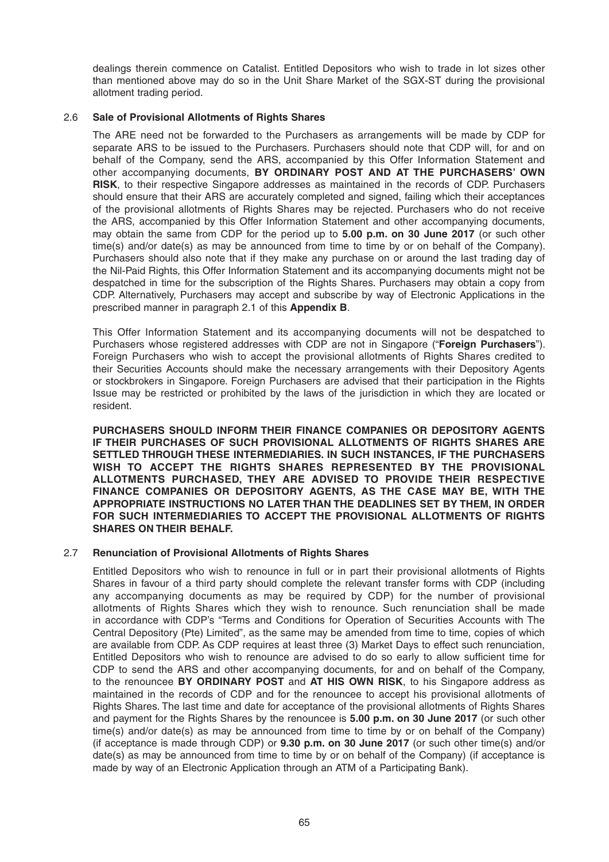dealings therein commence on Catalist. Entitled Depositors who wish to trade in lot sizes other than mentioned above may do so in the Unit Share Market of the SGX-ST during the provisional allotment trading period.

#### 2.6 **Sale of Provisional Allotments of Rights Shares**

 The ARE need not be forwarded to the Purchasers as arrangements will be made by CDP for separate ARS to be issued to the Purchasers. Purchasers should note that CDP will, for and on behalf of the Company, send the ARS, accompanied by this Offer Information Statement and other accompanying documents, **BY ORDINARY POST AND AT THE PURCHASERS' OWN RISK**, to their respective Singapore addresses as maintained in the records of CDP. Purchasers should ensure that their ARS are accurately completed and signed, failing which their acceptances of the provisional allotments of Rights Shares may be rejected. Purchasers who do not receive the ARS, accompanied by this Offer Information Statement and other accompanying documents, may obtain the same from CDP for the period up to **5.00 p.m. on 30 June 2017** (or such other time(s) and/or date(s) as may be announced from time to time by or on behalf of the Company). Purchasers should also note that if they make any purchase on or around the last trading day of the Nil-Paid Rights, this Offer Information Statement and its accompanying documents might not be despatched in time for the subscription of the Rights Shares. Purchasers may obtain a copy from CDP. Alternatively, Purchasers may accept and subscribe by way of Electronic Applications in the prescribed manner in paragraph 2.1 of this **Appendix B**.

 This Offer Information Statement and its accompanying documents will not be despatched to Purchasers whose registered addresses with CDP are not in Singapore ("**Foreign Purchasers**"). Foreign Purchasers who wish to accept the provisional allotments of Rights Shares credited to their Securities Accounts should make the necessary arrangements with their Depository Agents or stockbrokers in Singapore. Foreign Purchasers are advised that their participation in the Rights Issue may be restricted or prohibited by the laws of the jurisdiction in which they are located or resident.

 **PURCHASERS SHOULD INFORM THEIR FINANCE COMPANIES OR DEPOSITORY AGENTS IF THEIR PURCHASES OF SUCH PROVISIONAL ALLOTMENTS OF RIGHTS SHARES ARE SETTLED THROUGH THESE INTERMEDIARIES. IN SUCH INSTANCES, IF THE PURCHASERS WISH TO ACCEPT THE RIGHTS SHARES REPRESENTED BY THE PROVISIONAL ALLOTMENTS PURCHASED, THEY ARE ADVISED TO PROVIDE THEIR RESPECTIVE FINANCE COMPANIES OR DEPOSITORY AGENTS, AS THE CASE MAY BE, WITH THE APPROPRIATE INSTRUCTIONS NO LATER THAN THE DEADLINES SET BY THEM, IN ORDER FOR SUCH INTERMEDIARIES TO ACCEPT THE PROVISIONAL ALLOTMENTS OF RIGHTS SHARES ON THEIR BEHALF.**

#### 2.7 **Renunciation of Provisional Allotments of Rights Shares**

 Entitled Depositors who wish to renounce in full or in part their provisional allotments of Rights Shares in favour of a third party should complete the relevant transfer forms with CDP (including any accompanying documents as may be required by CDP) for the number of provisional allotments of Rights Shares which they wish to renounce. Such renunciation shall be made in accordance with CDP's "Terms and Conditions for Operation of Securities Accounts with The Central Depository (Pte) Limited", as the same may be amended from time to time, copies of which are available from CDP. As CDP requires at least three (3) Market Days to effect such renunciation, Entitled Depositors who wish to renounce are advised to do so early to allow sufficient time for CDP to send the ARS and other accompanying documents, for and on behalf of the Company, to the renouncee **BY ORDINARY POST** and **AT HIS OWN RISK**, to his Singapore address as maintained in the records of CDP and for the renouncee to accept his provisional allotments of Rights Shares. The last time and date for acceptance of the provisional allotments of Rights Shares and payment for the Rights Shares by the renouncee is **5.00 p.m. on 30 June 2017** (or such other time(s) and/or date(s) as may be announced from time to time by or on behalf of the Company) (if acceptance is made through CDP) or **9.30 p.m. on 30 June 2017** (or such other time(s) and/or date(s) as may be announced from time to time by or on behalf of the Company) (if acceptance is made by way of an Electronic Application through an ATM of a Participating Bank).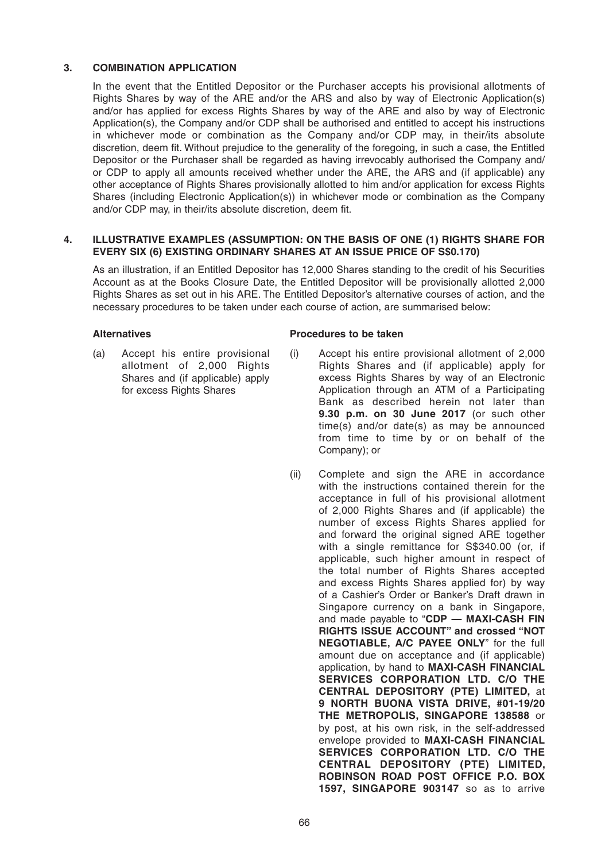# **3. COMBINATION APPLICATION**

 In the event that the Entitled Depositor or the Purchaser accepts his provisional allotments of Rights Shares by way of the ARE and/or the ARS and also by way of Electronic Application(s) and/or has applied for excess Rights Shares by way of the ARE and also by way of Electronic Application(s), the Company and/or CDP shall be authorised and entitled to accept his instructions in whichever mode or combination as the Company and/or CDP may, in their/its absolute discretion, deem fit. Without prejudice to the generality of the foregoing, in such a case, the Entitled Depositor or the Purchaser shall be regarded as having irrevocably authorised the Company and/ or CDP to apply all amounts received whether under the ARE, the ARS and (if applicable) any other acceptance of Rights Shares provisionally allotted to him and/or application for excess Rights Shares (including Electronic Application(s)) in whichever mode or combination as the Company and/or CDP may, in their/its absolute discretion, deem fit.

#### **4. ILLUSTRATIVE EXAMPLES (ASSUMPTION: ON THE BASIS OF ONE (1) RIGHTS SHARE FOR EVERY SIX (6) EXISTING ORDINARY SHARES AT AN ISSUE PRICE OF S\$0.170)**

 As an illustration, if an Entitled Depositor has 12,000 Shares standing to the credit of his Securities Account as at the Books Closure Date, the Entitled Depositor will be provisionally allotted 2,000 Rights Shares as set out in his ARE. The Entitled Depositor's alternative courses of action, and the necessary procedures to be taken under each course of action, are summarised below:

(a) Accept his entire provisional allotment of 2,000 Rights Shares and (if applicable) apply for excess Rights Shares

#### Alternatives **Alternatives Procedures** to be taken

- (i) Accept his entire provisional allotment of 2,000 Rights Shares and (if applicable) apply for excess Rights Shares by way of an Electronic Application through an ATM of a Participating Bank as described herein not later than **9.30 p.m. on 30 June 2017** (or such other time(s) and/or date(s) as may be announced from time to time by or on behalf of the Company); or
- (ii) Complete and sign the ARE in accordance with the instructions contained therein for the acceptance in full of his provisional allotment of 2,000 Rights Shares and (if applicable) the number of excess Rights Shares applied for and forward the original signed ARE together with a single remittance for S\$340.00 (or, if applicable, such higher amount in respect of the total number of Rights Shares accepted and excess Rights Shares applied for) by way of a Cashier's Order or Banker's Draft drawn in Singapore currency on a bank in Singapore, and made payable to "**CDP — MAXI-CASH FIN RIGHTS ISSUE ACCOUNT" and crossed "NOT NEGOTIABLE, A/C PAYEE ONLY**" for the full amount due on acceptance and (if applicable) application, by hand to **MAXI-CASH FINANCIAL SERVICES CORPORATION LTD. C/O THE CENTRAL DEPOSITORY (PTE) LIMITED,** at **9 NORTH BUONA VISTA DRIVE, #01-19/20 THE METROPOLIS, SINGAPORE 138588** or by post, at his own risk, in the self-addressed envelope provided to **MAXI-CASH FINANCIAL SERVICES CORPORATION LTD. C/O THE CENTRAL DEPOSITORY (PTE) LIMITED, ROBINSON ROAD POST OFFICE P.O. BOX 1597, SINGAPORE 903147** so as to arrive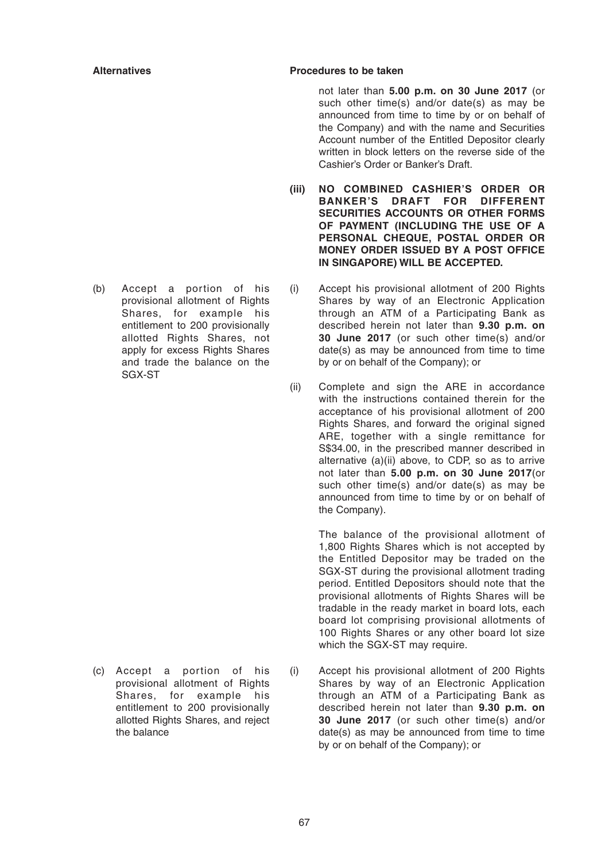#### **Alternatives Procedures to be taken**

not later than **5.00 p.m. on 30 June 2017** (or such other time(s) and/or date(s) as may be announced from time to time by or on behalf of the Company) and with the name and Securities Account number of the Entitled Depositor clearly written in block letters on the reverse side of the Cashier's Order or Banker's Draft.

- **(iii) NO COMBINED CASHIER'S ORDER OR BANKER'S DRAFT FOR DIFFERENT SECURITIES ACCOUNTS OR OTHER FORMS OF PAYMENT (INCLUDING THE USE OF A PERSONAL CHEQUE, POSTAL ORDER OR MONEY ORDER ISSUED BY A POST OFFICE IN SINGAPORE) WILL BE ACCEPTED.**
- (i) Accept his provisional allotment of 200 Rights Shares by way of an Electronic Application through an ATM of a Participating Bank as described herein not later than **9.30 p.m. on 30 June 2017** (or such other time(s) and/or date(s) as may be announced from time to time by or on behalf of the Company); or
- (ii) Complete and sign the ARE in accordance with the instructions contained therein for the acceptance of his provisional allotment of 200 Rights Shares, and forward the original signed ARE, together with a single remittance for S\$34.00, in the prescribed manner described in alternative (a)(ii) above, to CDP, so as to arrive not later than **5.00 p.m. on 30 June 2017**(or such other time(s) and/or date(s) as may be announced from time to time by or on behalf of the Company).

 The balance of the provisional allotment of 1,800 Rights Shares which is not accepted by the Entitled Depositor may be traded on the SGX-ST during the provisional allotment trading period. Entitled Depositors should note that the provisional allotments of Rights Shares will be tradable in the ready market in board lots, each board lot comprising provisional allotments of 100 Rights Shares or any other board lot size which the SGX-ST may require.

(i) Accept his provisional allotment of 200 Rights Shares by way of an Electronic Application through an ATM of a Participating Bank as described herein not later than **9.30 p.m. on 30 June 2017** (or such other time(s) and/or date(s) as may be announced from time to time by or on behalf of the Company); or

(b) Accept a portion of his provisional allotment of Rights Shares, for example his entitlement to 200 provisionally allotted Rights Shares, not apply for excess Rights Shares and trade the balance on the SGX-ST

(c) Accept a portion of his provisional allotment of Rights Shares, for example his entitlement to 200 provisionally allotted Rights Shares, and reject the balance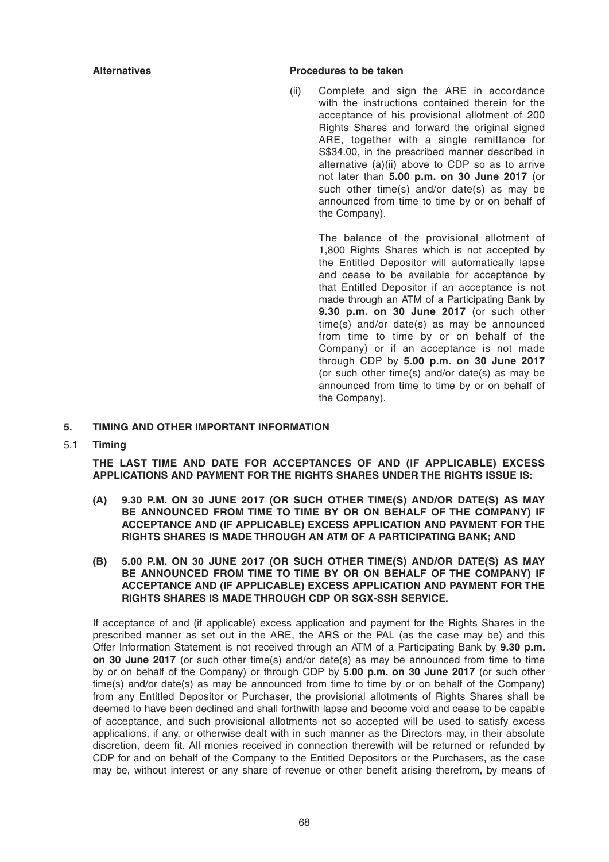#### Alternatives **Alternatives Procedures** to be taken

(ii) Complete and sign the ARE in accordance with the instructions contained therein for the acceptance of his provisional allotment of 200 Rights Shares and forward the original signed ARE, together with a single remittance for S\$34.00, in the prescribed manner described in alternative (a)(ii) above to CDP so as to arrive not later than **5.00 p.m. on 30 June 2017** (or such other time(s) and/or date(s) as may be announced from time to time by or on behalf of the Company).

> The balance of the provisional allotment of 1,800 Rights Shares which is not accepted by the Entitled Depositor will automatically lapse and cease to be available for acceptance by that Entitled Depositor if an acceptance is not made through an ATM of a Participating Bank by **9.30 p.m. on 30 June 2017** (or such other time(s) and/or date(s) as may be announced from time to time by or on behalf of the Company) or if an acceptance is not made through CDP by **5.00 p.m. on 30 June 2017** (or such other time(s) and/or date(s) as may be announced from time to time by or on behalf of the Company).

#### **5. TIMING AND OTHER IMPORTANT INFORMATION**

5.1 **Timing**

 **THE LAST TIME AND DATE FOR ACCEPTANCES OF AND (IF APPLICABLE) EXCESS APPLICATIONS AND PAYMENT FOR THE RIGHTS SHARES UNDER THE RIGHTS ISSUE IS:**

- **(A) 9.30 P.M. ON 30 JUNE 2017 (OR SUCH OTHER TIME(S) AND/OR DATE(S) AS MAY BE ANNOUNCED FROM TIME TO TIME BY OR ON BEHALF OF THE COMPANY) IF ACCEPTANCE AND (IF APPLICABLE) EXCESS APPLICATION AND PAYMENT FOR THE RIGHTS SHARES IS MADE THROUGH AN ATM OF A PARTICIPATING BANK; AND**
- **(B) 5.00 P.M. ON 30 JUNE 2017 (OR SUCH OTHER TIME(S) AND/OR DATE(S) AS MAY BE ANNOUNCED FROM TIME TO TIME BY OR ON BEHALF OF THE COMPANY) IF ACCEPTANCE AND (IF APPLICABLE) EXCESS APPLICATION AND PAYMENT FOR THE RIGHTS SHARES IS MADE THROUGH CDP OR SGX-SSH SERVICE.**

 If acceptance of and (if applicable) excess application and payment for the Rights Shares in the prescribed manner as set out in the ARE, the ARS or the PAL (as the case may be) and this Offer Information Statement is not received through an ATM of a Participating Bank by **9.30 p.m. on 30 June 2017** (or such other time(s) and/or date(s) as may be announced from time to time by or on behalf of the Company) or through CDP by **5.00 p.m. on 30 June 2017** (or such other time(s) and/or date(s) as may be announced from time to time by or on behalf of the Company) from any Entitled Depositor or Purchaser, the provisional allotments of Rights Shares shall be deemed to have been declined and shall forthwith lapse and become void and cease to be capable of acceptance, and such provisional allotments not so accepted will be used to satisfy excess applications, if any, or otherwise dealt with in such manner as the Directors may, in their absolute discretion, deem fit. All monies received in connection therewith will be returned or refunded by CDP for and on behalf of the Company to the Entitled Depositors or the Purchasers, as the case may be, without interest or any share of revenue or other benefit arising therefrom, by means of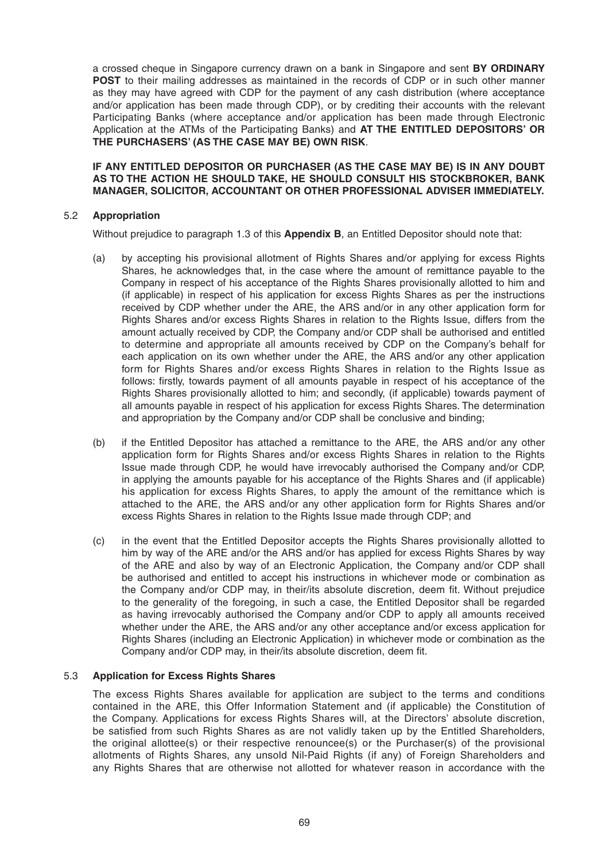a crossed cheque in Singapore currency drawn on a bank in Singapore and sent **BY ORDINARY POST** to their mailing addresses as maintained in the records of CDP or in such other manner as they may have agreed with CDP for the payment of any cash distribution (where acceptance and/or application has been made through CDP), or by crediting their accounts with the relevant Participating Banks (where acceptance and/or application has been made through Electronic Application at the ATMs of the Participating Banks) and **AT THE ENTITLED DEPOSITORS' OR THE PURCHASERS' (AS THE CASE MAY BE) OWN RISK**.

 **IF ANY ENTITLED DEPOSITOR OR PURCHASER (AS THE CASE MAY BE) IS IN ANY DOUBT AS TO THE ACTION HE SHOULD TAKE, HE SHOULD CONSULT HIS STOCKBROKER, BANK MANAGER, SOLICITOR, ACCOUNTANT OR OTHER PROFESSIONAL ADVISER IMMEDIATELY.**

# 5.2 **Appropriation**

Without prejudice to paragraph 1.3 of this **Appendix B**, an Entitled Depositor should note that:

- (a) by accepting his provisional allotment of Rights Shares and/or applying for excess Rights Shares, he acknowledges that, in the case where the amount of remittance payable to the Company in respect of his acceptance of the Rights Shares provisionally allotted to him and (if applicable) in respect of his application for excess Rights Shares as per the instructions received by CDP whether under the ARE, the ARS and/or in any other application form for Rights Shares and/or excess Rights Shares in relation to the Rights Issue, differs from the amount actually received by CDP, the Company and/or CDP shall be authorised and entitled to determine and appropriate all amounts received by CDP on the Company's behalf for each application on its own whether under the ARE, the ARS and/or any other application form for Rights Shares and/or excess Rights Shares in relation to the Rights Issue as follows: firstly, towards payment of all amounts payable in respect of his acceptance of the Rights Shares provisionally allotted to him; and secondly, (if applicable) towards payment of all amounts payable in respect of his application for excess Rights Shares. The determination and appropriation by the Company and/or CDP shall be conclusive and binding;
- (b) if the Entitled Depositor has attached a remittance to the ARE, the ARS and/or any other application form for Rights Shares and/or excess Rights Shares in relation to the Rights Issue made through CDP, he would have irrevocably authorised the Company and/or CDP, in applying the amounts payable for his acceptance of the Rights Shares and (if applicable) his application for excess Rights Shares, to apply the amount of the remittance which is attached to the ARE, the ARS and/or any other application form for Rights Shares and/or excess Rights Shares in relation to the Rights Issue made through CDP; and
- (c) in the event that the Entitled Depositor accepts the Rights Shares provisionally allotted to him by way of the ARE and/or the ARS and/or has applied for excess Rights Shares by way of the ARE and also by way of an Electronic Application, the Company and/or CDP shall be authorised and entitled to accept his instructions in whichever mode or combination as the Company and/or CDP may, in their/its absolute discretion, deem fit. Without prejudice to the generality of the foregoing, in such a case, the Entitled Depositor shall be regarded as having irrevocably authorised the Company and/or CDP to apply all amounts received whether under the ARE, the ARS and/or any other acceptance and/or excess application for Rights Shares (including an Electronic Application) in whichever mode or combination as the Company and/or CDP may, in their/its absolute discretion, deem fit.

#### 5.3 **Application for Excess Rights Shares**

 The excess Rights Shares available for application are subject to the terms and conditions contained in the ARE, this Offer Information Statement and (if applicable) the Constitution of the Company. Applications for excess Rights Shares will, at the Directors' absolute discretion, be satisfied from such Rights Shares as are not validly taken up by the Entitled Shareholders, the original allottee(s) or their respective renouncee(s) or the Purchaser(s) of the provisional allotments of Rights Shares, any unsold Nil-Paid Rights (if any) of Foreign Shareholders and any Rights Shares that are otherwise not allotted for whatever reason in accordance with the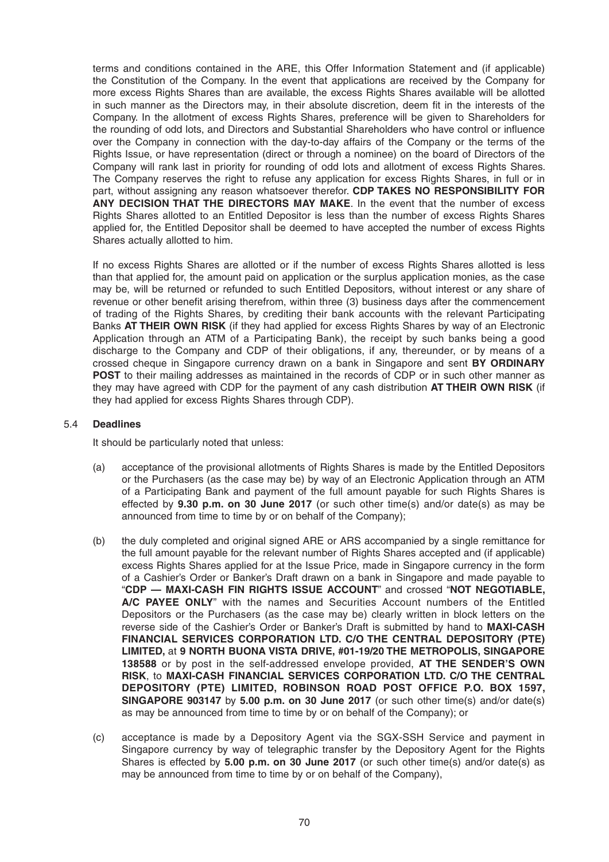terms and conditions contained in the ARE, this Offer Information Statement and (if applicable) the Constitution of the Company. In the event that applications are received by the Company for more excess Rights Shares than are available, the excess Rights Shares available will be allotted in such manner as the Directors may, in their absolute discretion, deem fit in the interests of the Company. In the allotment of excess Rights Shares, preference will be given to Shareholders for the rounding of odd lots, and Directors and Substantial Shareholders who have control or influence over the Company in connection with the day-to-day affairs of the Company or the terms of the Rights Issue, or have representation (direct or through a nominee) on the board of Directors of the Company will rank last in priority for rounding of odd lots and allotment of excess Rights Shares. The Company reserves the right to refuse any application for excess Rights Shares, in full or in part, without assigning any reason whatsoever therefor. **CDP TAKES NO RESPONSIBILITY FOR ANY DECISION THAT THE DIRECTORS MAY MAKE**. In the event that the number of excess Rights Shares allotted to an Entitled Depositor is less than the number of excess Rights Shares applied for, the Entitled Depositor shall be deemed to have accepted the number of excess Rights Shares actually allotted to him.

 If no excess Rights Shares are allotted or if the number of excess Rights Shares allotted is less than that applied for, the amount paid on application or the surplus application monies, as the case may be, will be returned or refunded to such Entitled Depositors, without interest or any share of revenue or other benefit arising therefrom, within three (3) business days after the commencement of trading of the Rights Shares, by crediting their bank accounts with the relevant Participating Banks **AT THEIR OWN RISK** (if they had applied for excess Rights Shares by way of an Electronic Application through an ATM of a Participating Bank), the receipt by such banks being a good discharge to the Company and CDP of their obligations, if any, thereunder, or by means of a crossed cheque in Singapore currency drawn on a bank in Singapore and sent **BY ORDINARY POST** to their mailing addresses as maintained in the records of CDP or in such other manner as they may have agreed with CDP for the payment of any cash distribution **AT THEIR OWN RISK** (if they had applied for excess Rights Shares through CDP).

#### 5.4 **Deadlines**

It should be particularly noted that unless:

- (a) acceptance of the provisional allotments of Rights Shares is made by the Entitled Depositors or the Purchasers (as the case may be) by way of an Electronic Application through an ATM of a Participating Bank and payment of the full amount payable for such Rights Shares is effected by **9.30 p.m. on 30 June 2017** (or such other time(s) and/or date(s) as may be announced from time to time by or on behalf of the Company);
- (b) the duly completed and original signed ARE or ARS accompanied by a single remittance for the full amount payable for the relevant number of Rights Shares accepted and (if applicable) excess Rights Shares applied for at the Issue Price, made in Singapore currency in the form of a Cashier's Order or Banker's Draft drawn on a bank in Singapore and made payable to "**CDP — MAXI-CASH FIN RIGHTS ISSUE ACCOUNT**" and crossed "**NOT NEGOTIABLE, A/C PAYEE ONLY**" with the names and Securities Account numbers of the Entitled Depositors or the Purchasers (as the case may be) clearly written in block letters on the reverse side of the Cashier's Order or Banker's Draft is submitted by hand to **MAXI-CASH FINANCIAL SERVICES CORPORATION LTD. C/O THE CENTRAL DEPOSITORY (PTE) LIMITED,** at **9 NORTH BUONA VISTA DRIVE, #01-19/20 THE METROPOLIS, SINGAPORE 138588** or by post in the self-addressed envelope provided, **AT THE SENDER'S OWN RISK**, to **MAXI-CASH FINANCIAL SERVICES CORPORATION LTD. C/O THE CENTRAL DEPOSITORY (PTE) LIMITED, ROBINSON ROAD POST OFFICE P.O. BOX 1597, SINGAPORE 903147** by **5.00 p.m. on 30 June 2017** (or such other time(s) and/or date(s) as may be announced from time to time by or on behalf of the Company); or
- (c) acceptance is made by a Depository Agent via the SGX-SSH Service and payment in Singapore currency by way of telegraphic transfer by the Depository Agent for the Rights Shares is effected by **5.00 p.m. on 30 June 2017** (or such other time(s) and/or date(s) as may be announced from time to time by or on behalf of the Company),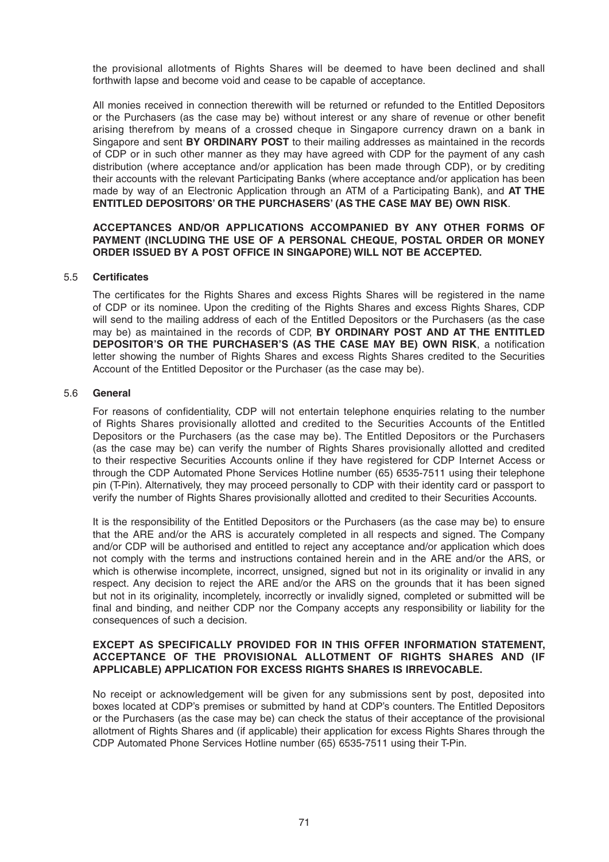the provisional allotments of Rights Shares will be deemed to have been declined and shall forthwith lapse and become void and cease to be capable of acceptance.

 All monies received in connection therewith will be returned or refunded to the Entitled Depositors or the Purchasers (as the case may be) without interest or any share of revenue or other benefit arising therefrom by means of a crossed cheque in Singapore currency drawn on a bank in Singapore and sent **BY ORDINARY POST** to their mailing addresses as maintained in the records of CDP or in such other manner as they may have agreed with CDP for the payment of any cash distribution (where acceptance and/or application has been made through CDP), or by crediting their accounts with the relevant Participating Banks (where acceptance and/or application has been made by way of an Electronic Application through an ATM of a Participating Bank), and **AT THE ENTITLED DEPOSITORS' OR THE PURCHASERS' (AS THE CASE MAY BE) OWN RISK**.

#### **ACCEPTANCES AND/OR APPLICATIONS ACCOMPANIED BY ANY OTHER FORMS OF PAYMENT (INCLUDING THE USE OF A PERSONAL CHEQUE, POSTAL ORDER OR MONEY ORDER ISSUED BY A POST OFFICE IN SINGAPORE) WILL NOT BE ACCEPTED.**

#### 5.5 **Certifi cates**

The certificates for the Rights Shares and excess Rights Shares will be registered in the name of CDP or its nominee. Upon the crediting of the Rights Shares and excess Rights Shares, CDP will send to the mailing address of each of the Entitled Depositors or the Purchasers (as the case may be) as maintained in the records of CDP, **BY ORDINARY POST AND AT THE ENTITLED DEPOSITOR'S OR THE PURCHASER'S (AS THE CASE MAY BE) OWN RISK, a notification** letter showing the number of Rights Shares and excess Rights Shares credited to the Securities Account of the Entitled Depositor or the Purchaser (as the case may be).

#### 5.6 **General**

For reasons of confidentiality, CDP will not entertain telephone enquiries relating to the number of Rights Shares provisionally allotted and credited to the Securities Accounts of the Entitled Depositors or the Purchasers (as the case may be). The Entitled Depositors or the Purchasers (as the case may be) can verify the number of Rights Shares provisionally allotted and credited to their respective Securities Accounts online if they have registered for CDP Internet Access or through the CDP Automated Phone Services Hotline number (65) 6535-7511 using their telephone pin (T-Pin). Alternatively, they may proceed personally to CDP with their identity card or passport to verify the number of Rights Shares provisionally allotted and credited to their Securities Accounts.

 It is the responsibility of the Entitled Depositors or the Purchasers (as the case may be) to ensure that the ARE and/or the ARS is accurately completed in all respects and signed. The Company and/or CDP will be authorised and entitled to reject any acceptance and/or application which does not comply with the terms and instructions contained herein and in the ARE and/or the ARS, or which is otherwise incomplete, incorrect, unsigned, signed but not in its originality or invalid in any respect. Any decision to reject the ARE and/or the ARS on the grounds that it has been signed but not in its originality, incompletely, incorrectly or invalidly signed, completed or submitted will be final and binding, and neither CDP nor the Company accepts any responsibility or liability for the consequences of such a decision.

#### **EXCEPT AS SPECIFICALLY PROVIDED FOR IN THIS OFFER INFORMATION STATEMENT, ACCEPTANCE OF THE PROVISIONAL ALLOTMENT OF RIGHTS SHARES AND (IF APPLICABLE) APPLICATION FOR EXCESS RIGHTS SHARES IS IRREVOCABLE.**

 No receipt or acknowledgement will be given for any submissions sent by post, deposited into boxes located at CDP's premises or submitted by hand at CDP's counters. The Entitled Depositors or the Purchasers (as the case may be) can check the status of their acceptance of the provisional allotment of Rights Shares and (if applicable) their application for excess Rights Shares through the CDP Automated Phone Services Hotline number (65) 6535-7511 using their T-Pin.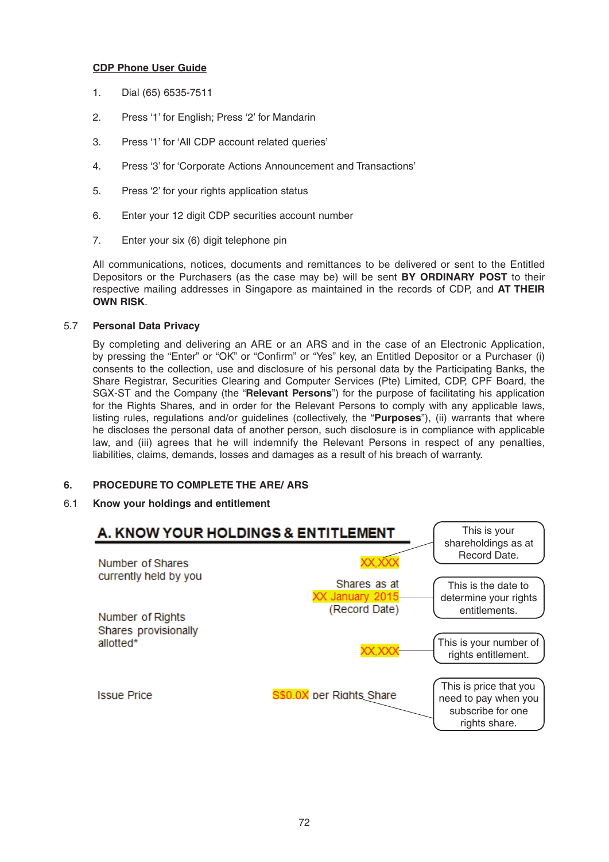# **CDP Phone User Guide**

- 1. Dial (65) 6535-7511
- 2. Press '1' for English; Press '2' for Mandarin
- 3. Press '1' for 'All CDP account related queries'
- 4. Press '3' for 'Corporate Actions Announcement and Transactions'
- 5. Press '2' for your rights application status
- 6. Enter your 12 digit CDP securities account number
- 7. Enter your six (6) digit telephone pin

 All communications, notices, documents and remittances to be delivered or sent to the Entitled Depositors or the Purchasers (as the case may be) will be sent **BY ORDINARY POST** to their respective mailing addresses in Singapore as maintained in the records of CDP, and **AT THEIR OWN RISK**.

#### 5.7 **Personal Data Privacy**

 By completing and delivering an ARE or an ARS and in the case of an Electronic Application, by pressing the "Enter" or "OK" or "Confirm" or "Yes" key, an Entitled Depositor or a Purchaser (i) consents to the collection, use and disclosure of his personal data by the Participating Banks, the Share Registrar, Securities Clearing and Computer Services (Pte) Limited, CDP, CPF Board, the SGX-ST and the Company (the "**Relevant Persons**") for the purpose of facilitating his application for the Rights Shares, and in order for the Relevant Persons to comply with any applicable laws, listing rules, regulations and/or guidelines (collectively, the "**Purposes**"), (ii) warrants that where he discloses the personal data of another person, such disclosure is in compliance with applicable law, and (iii) agrees that he will indemnify the Relevant Persons in respect of any penalties, liabilities, claims, demands, losses and damages as a result of his breach of warranty.

# **6. PROCEDURE TO COMPLETE THE ARE/ ARS**

# 6.1 **Know your holdings and entitlement**

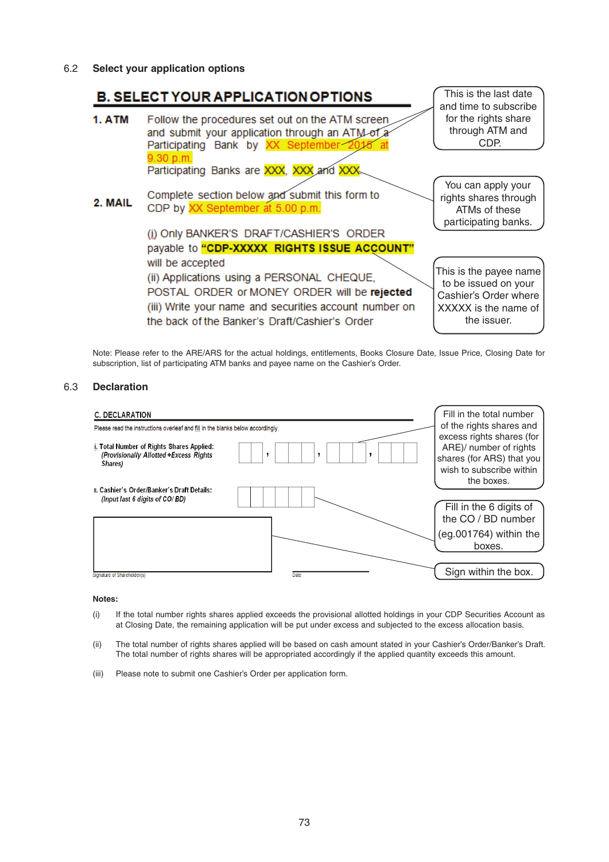6.2 **Select your application options**



 Note: Please refer to the ARE/ARS for the actual holdings, entitlements, Books Closure Date, Issue Price, Closing Date for subscription, list of participating ATM banks and payee name on the Cashier's Order.

#### 6.3 **Declaration**



#### **Notes:**

- (i) If the total number rights shares applied exceeds the provisional allotted holdings in your CDP Securities Account as at Closing Date, the remaining application will be put under excess and subjected to the excess allocation basis.
- (ii) The total number of rights shares applied will be based on cash amount stated in your Cashier's Order/Banker's Draft. The total number of rights shares will be appropriated accordingly if the applied quantity exceeds this amount.
- (iii) Please note to submit one Cashier's Order per application form.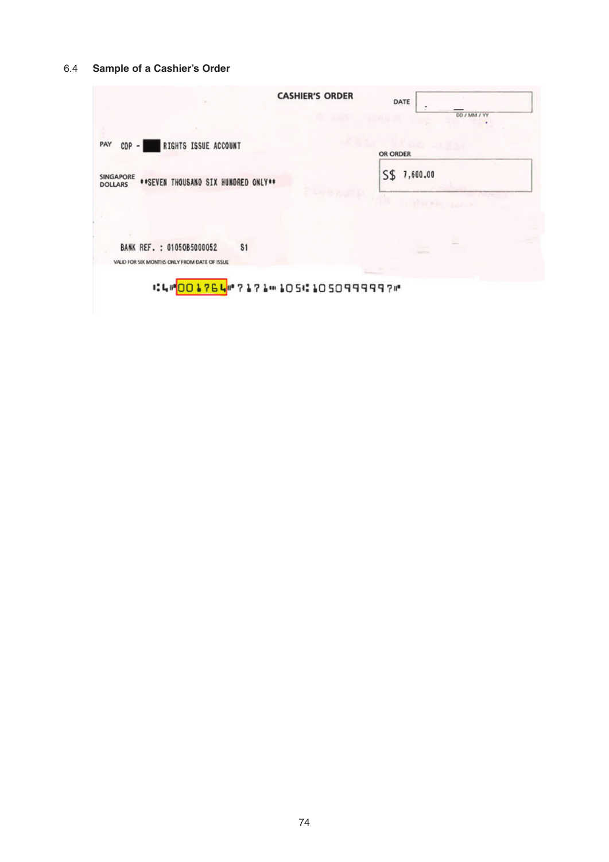# 6.4 **Sample of a Cashier's Order**

| <b>CASHIER'S ORDER</b>                                                                              | DATE            |
|-----------------------------------------------------------------------------------------------------|-----------------|
|                                                                                                     | DD / MM / YY    |
| PAY<br>RIGHTS ISSUE ACCOUNT<br>$CDP - 1$                                                            | OR ORDER        |
| SINGAPORE<br>**SEVEN THOUSAND SIX HUNDRED ONLY**<br><b>DOLLARS</b>                                  | 7,600.00<br>S\$ |
|                                                                                                     |                 |
| BANK REF. : 01050B5000052<br>\$1                                                                    |                 |
|                                                                                                     |                 |
| VALID FOR SIX MONTHS ONLY FROM DATE OF ISSUE<br>i:4i" <mark>001764</mark> i"?171: 1051:105099999?i" |                 |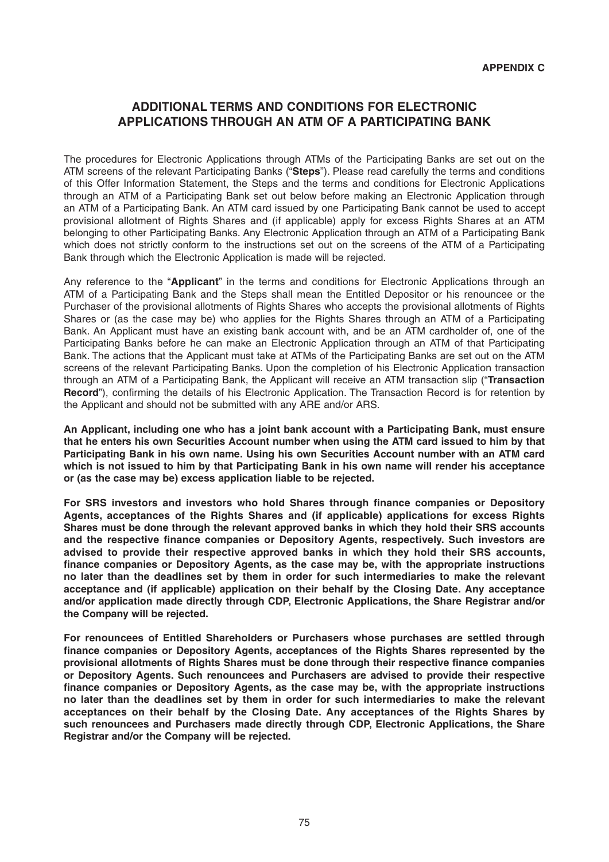# **ADDITIONAL TERMS AND CONDITIONS FOR ELECTRONIC APPLICATIONS THROUGH AN ATM OF A PARTICIPATING BANK**

The procedures for Electronic Applications through ATMs of the Participating Banks are set out on the ATM screens of the relevant Participating Banks ("**Steps**"). Please read carefully the terms and conditions of this Offer Information Statement, the Steps and the terms and conditions for Electronic Applications through an ATM of a Participating Bank set out below before making an Electronic Application through an ATM of a Participating Bank. An ATM card issued by one Participating Bank cannot be used to accept provisional allotment of Rights Shares and (if applicable) apply for excess Rights Shares at an ATM belonging to other Participating Banks. Any Electronic Application through an ATM of a Participating Bank which does not strictly conform to the instructions set out on the screens of the ATM of a Participating Bank through which the Electronic Application is made will be rejected.

Any reference to the "**Applicant**" in the terms and conditions for Electronic Applications through an ATM of a Participating Bank and the Steps shall mean the Entitled Depositor or his renouncee or the Purchaser of the provisional allotments of Rights Shares who accepts the provisional allotments of Rights Shares or (as the case may be) who applies for the Rights Shares through an ATM of a Participating Bank. An Applicant must have an existing bank account with, and be an ATM cardholder of, one of the Participating Banks before he can make an Electronic Application through an ATM of that Participating Bank. The actions that the Applicant must take at ATMs of the Participating Banks are set out on the ATM screens of the relevant Participating Banks. Upon the completion of his Electronic Application transaction through an ATM of a Participating Bank, the Applicant will receive an ATM transaction slip ("**Transaction Record**"), confirming the details of his Electronic Application. The Transaction Record is for retention by the Applicant and should not be submitted with any ARE and/or ARS.

**An Applicant, including one who has a joint bank account with a Participating Bank, must ensure that he enters his own Securities Account number when using the ATM card issued to him by that Participating Bank in his own name. Using his own Securities Account number with an ATM card which is not issued to him by that Participating Bank in his own name will render his acceptance or (as the case may be) excess application liable to be rejected.**

For SRS investors and investors who hold Shares through finance companies or Depository **Agents, acceptances of the Rights Shares and (if applicable) applications for excess Rights Shares must be done through the relevant approved banks in which they hold their SRS accounts**  and the respective finance companies or Depository Agents, respectively. Such investors are **advised to provide their respective approved banks in which they hold their SRS accounts,**  finance companies or Depository Agents, as the case may be, with the appropriate instructions **no later than the deadlines set by them in order for such intermediaries to make the relevant acceptance and (if applicable) application on their behalf by the Closing Date. Any acceptance and/or application made directly through CDP, Electronic Applications, the Share Registrar and/or the Company will be rejected.**

**For renouncees of Entitled Shareholders or Purchasers whose purchases are settled through**  finance companies or Depository Agents, acceptances of the Rights Shares represented by the provisional allotments of Rights Shares must be done through their respective finance companies **or Depository Agents. Such renouncees and Purchasers are advised to provide their respective**  finance companies or Depository Agents, as the case may be, with the appropriate instructions **no later than the deadlines set by them in order for such intermediaries to make the relevant acceptances on their behalf by the Closing Date. Any acceptances of the Rights Shares by such renouncees and Purchasers made directly through CDP, Electronic Applications, the Share Registrar and/or the Company will be rejected.**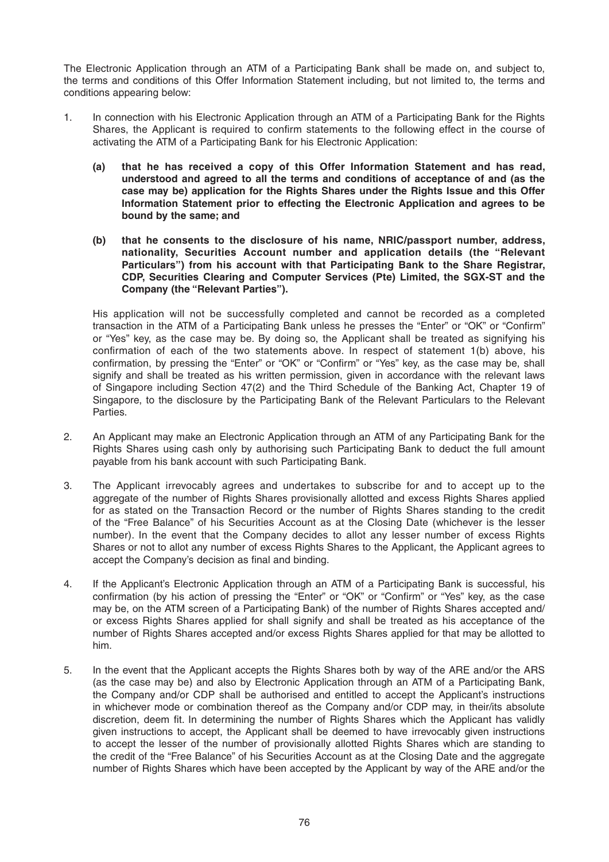The Electronic Application through an ATM of a Participating Bank shall be made on, and subject to, the terms and conditions of this Offer Information Statement including, but not limited to, the terms and conditions appearing below:

- 1. In connection with his Electronic Application through an ATM of a Participating Bank for the Rights Shares, the Applicant is required to confirm statements to the following effect in the course of activating the ATM of a Participating Bank for his Electronic Application:
	- **(a) that he has received a copy of this Offer Information Statement and has read, understood and agreed to all the terms and conditions of acceptance of and (as the case may be) application for the Rights Shares under the Rights Issue and this Offer Information Statement prior to effecting the Electronic Application and agrees to be bound by the same; and**
	- **(b) that he consents to the disclosure of his name, NRIC/passport number, address, nationality, Securities Account number and application details (the "Relevant Particulars") from his account with that Participating Bank to the Share Registrar, CDP, Securities Clearing and Computer Services (Pte) Limited, the SGX-ST and the Company (the "Relevant Parties").**

 His application will not be successfully completed and cannot be recorded as a completed transaction in the ATM of a Participating Bank unless he presses the "Enter" or "OK" or "Confirm" or "Yes" key, as the case may be. By doing so, the Applicant shall be treated as signifying his confirmation of each of the two statements above. In respect of statement  $1(b)$  above, his confirmation, by pressing the "Enter" or "OK" or "Confirm" or "Yes" key, as the case may be, shall signify and shall be treated as his written permission, given in accordance with the relevant laws of Singapore including Section 47(2) and the Third Schedule of the Banking Act, Chapter 19 of Singapore, to the disclosure by the Participating Bank of the Relevant Particulars to the Relevant Parties.

- 2. An Applicant may make an Electronic Application through an ATM of any Participating Bank for the Rights Shares using cash only by authorising such Participating Bank to deduct the full amount payable from his bank account with such Participating Bank.
- 3. The Applicant irrevocably agrees and undertakes to subscribe for and to accept up to the aggregate of the number of Rights Shares provisionally allotted and excess Rights Shares applied for as stated on the Transaction Record or the number of Rights Shares standing to the credit of the "Free Balance" of his Securities Account as at the Closing Date (whichever is the lesser number). In the event that the Company decides to allot any lesser number of excess Rights Shares or not to allot any number of excess Rights Shares to the Applicant, the Applicant agrees to accept the Company's decision as final and binding.
- 4. If the Applicant's Electronic Application through an ATM of a Participating Bank is successful, his confirmation (by his action of pressing the "Enter" or "OK" or "Confirm" or "Yes" key, as the case may be, on the ATM screen of a Participating Bank) of the number of Rights Shares accepted and/ or excess Rights Shares applied for shall signify and shall be treated as his acceptance of the number of Rights Shares accepted and/or excess Rights Shares applied for that may be allotted to him.
- 5. In the event that the Applicant accepts the Rights Shares both by way of the ARE and/or the ARS (as the case may be) and also by Electronic Application through an ATM of a Participating Bank, the Company and/or CDP shall be authorised and entitled to accept the Applicant's instructions in whichever mode or combination thereof as the Company and/or CDP may, in their/its absolute discretion, deem fit. In determining the number of Rights Shares which the Applicant has validly given instructions to accept, the Applicant shall be deemed to have irrevocably given instructions to accept the lesser of the number of provisionally allotted Rights Shares which are standing to the credit of the "Free Balance" of his Securities Account as at the Closing Date and the aggregate number of Rights Shares which have been accepted by the Applicant by way of the ARE and/or the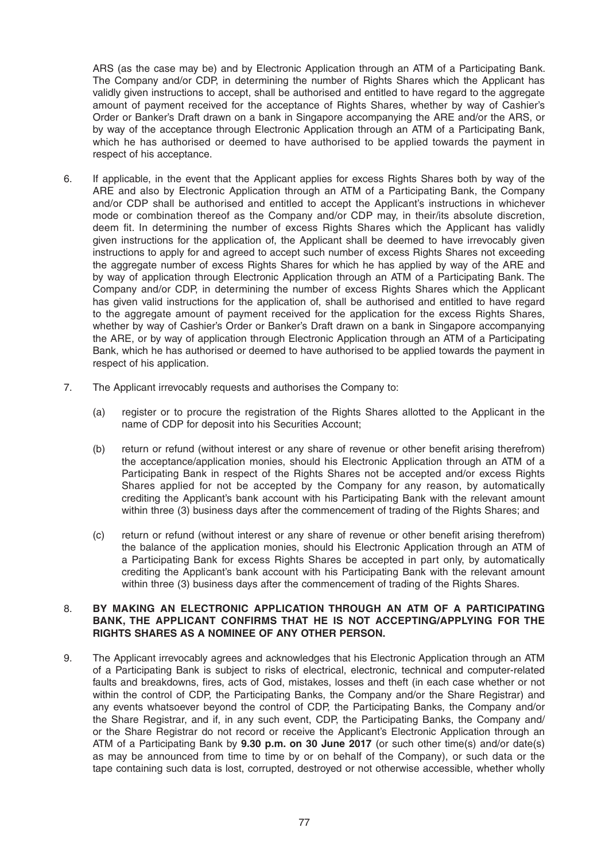ARS (as the case may be) and by Electronic Application through an ATM of a Participating Bank. The Company and/or CDP, in determining the number of Rights Shares which the Applicant has validly given instructions to accept, shall be authorised and entitled to have regard to the aggregate amount of payment received for the acceptance of Rights Shares, whether by way of Cashier's Order or Banker's Draft drawn on a bank in Singapore accompanying the ARE and/or the ARS, or by way of the acceptance through Electronic Application through an ATM of a Participating Bank, which he has authorised or deemed to have authorised to be applied towards the payment in respect of his acceptance.

- 6. If applicable, in the event that the Applicant applies for excess Rights Shares both by way of the ARE and also by Electronic Application through an ATM of a Participating Bank, the Company and/or CDP shall be authorised and entitled to accept the Applicant's instructions in whichever mode or combination thereof as the Company and/or CDP may, in their/its absolute discretion, deem fit. In determining the number of excess Rights Shares which the Applicant has validly given instructions for the application of, the Applicant shall be deemed to have irrevocably given instructions to apply for and agreed to accept such number of excess Rights Shares not exceeding the aggregate number of excess Rights Shares for which he has applied by way of the ARE and by way of application through Electronic Application through an ATM of a Participating Bank. The Company and/or CDP, in determining the number of excess Rights Shares which the Applicant has given valid instructions for the application of, shall be authorised and entitled to have regard to the aggregate amount of payment received for the application for the excess Rights Shares, whether by way of Cashier's Order or Banker's Draft drawn on a bank in Singapore accompanying the ARE, or by way of application through Electronic Application through an ATM of a Participating Bank, which he has authorised or deemed to have authorised to be applied towards the payment in respect of his application.
- 7. The Applicant irrevocably requests and authorises the Company to:
	- (a) register or to procure the registration of the Rights Shares allotted to the Applicant in the name of CDP for deposit into his Securities Account;
	- (b) return or refund (without interest or any share of revenue or other benefit arising therefrom) the acceptance/application monies, should his Electronic Application through an ATM of a Participating Bank in respect of the Rights Shares not be accepted and/or excess Rights Shares applied for not be accepted by the Company for any reason, by automatically crediting the Applicant's bank account with his Participating Bank with the relevant amount within three (3) business days after the commencement of trading of the Rights Shares; and
	- (c) return or refund (without interest or any share of revenue or other benefit arising therefrom) the balance of the application monies, should his Electronic Application through an ATM of a Participating Bank for excess Rights Shares be accepted in part only, by automatically crediting the Applicant's bank account with his Participating Bank with the relevant amount within three (3) business days after the commencement of trading of the Rights Shares.

#### 8. **BY MAKING AN ELECTRONIC APPLICATION THROUGH AN ATM OF A PARTICIPATING BANK, THE APPLICANT CONFIRMS THAT HE IS NOT ACCEPTING/APPLYING FOR THE RIGHTS SHARES AS A NOMINEE OF ANY OTHER PERSON.**

9. The Applicant irrevocably agrees and acknowledges that his Electronic Application through an ATM of a Participating Bank is subject to risks of electrical, electronic, technical and computer-related faults and breakdowns, fires, acts of God, mistakes, losses and theft (in each case whether or not within the control of CDP, the Participating Banks, the Company and/or the Share Registrar) and any events whatsoever beyond the control of CDP, the Participating Banks, the Company and/or the Share Registrar, and if, in any such event, CDP, the Participating Banks, the Company and/ or the Share Registrar do not record or receive the Applicant's Electronic Application through an ATM of a Participating Bank by **9.30 p.m. on 30 June 2017** (or such other time(s) and/or date(s) as may be announced from time to time by or on behalf of the Company), or such data or the tape containing such data is lost, corrupted, destroyed or not otherwise accessible, whether wholly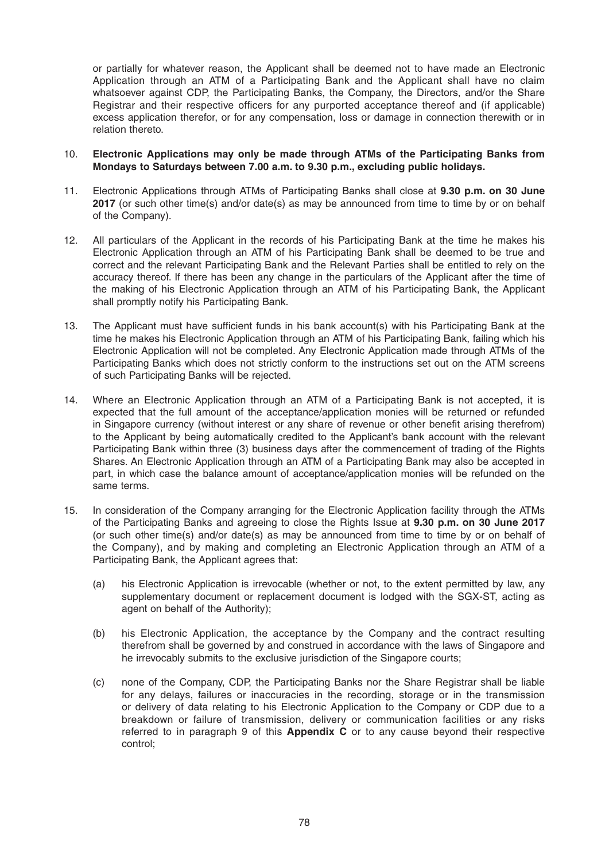or partially for whatever reason, the Applicant shall be deemed not to have made an Electronic Application through an ATM of a Participating Bank and the Applicant shall have no claim whatsoever against CDP, the Participating Banks, the Company, the Directors, and/or the Share Registrar and their respective officers for any purported acceptance thereof and (if applicable) excess application therefor, or for any compensation, loss or damage in connection therewith or in relation thereto.

#### 10. **Electronic Applications may only be made through ATMs of the Participating Banks from Mondays to Saturdays between 7.00 a.m. to 9.30 p.m., excluding public holidays.**

- 11. Electronic Applications through ATMs of Participating Banks shall close at **9.30 p.m. on 30 June 2017** (or such other time(s) and/or date(s) as may be announced from time to time by or on behalf of the Company).
- 12. All particulars of the Applicant in the records of his Participating Bank at the time he makes his Electronic Application through an ATM of his Participating Bank shall be deemed to be true and correct and the relevant Participating Bank and the Relevant Parties shall be entitled to rely on the accuracy thereof. If there has been any change in the particulars of the Applicant after the time of the making of his Electronic Application through an ATM of his Participating Bank, the Applicant shall promptly notify his Participating Bank.
- 13. The Applicant must have sufficient funds in his bank account(s) with his Participating Bank at the time he makes his Electronic Application through an ATM of his Participating Bank, failing which his Electronic Application will not be completed. Any Electronic Application made through ATMs of the Participating Banks which does not strictly conform to the instructions set out on the ATM screens of such Participating Banks will be rejected.
- 14. Where an Electronic Application through an ATM of a Participating Bank is not accepted, it is expected that the full amount of the acceptance/application monies will be returned or refunded in Singapore currency (without interest or any share of revenue or other benefit arising therefrom) to the Applicant by being automatically credited to the Applicant's bank account with the relevant Participating Bank within three (3) business days after the commencement of trading of the Rights Shares. An Electronic Application through an ATM of a Participating Bank may also be accepted in part, in which case the balance amount of acceptance/application monies will be refunded on the same terms.
- 15. In consideration of the Company arranging for the Electronic Application facility through the ATMs of the Participating Banks and agreeing to close the Rights Issue at **9.30 p.m. on 30 June 2017**  (or such other time(s) and/or date(s) as may be announced from time to time by or on behalf of the Company), and by making and completing an Electronic Application through an ATM of a Participating Bank, the Applicant agrees that:
	- (a) his Electronic Application is irrevocable (whether or not, to the extent permitted by law, any supplementary document or replacement document is lodged with the SGX-ST, acting as agent on behalf of the Authority);
	- (b) his Electronic Application, the acceptance by the Company and the contract resulting therefrom shall be governed by and construed in accordance with the laws of Singapore and he irrevocably submits to the exclusive jurisdiction of the Singapore courts;
	- (c) none of the Company, CDP, the Participating Banks nor the Share Registrar shall be liable for any delays, failures or inaccuracies in the recording, storage or in the transmission or delivery of data relating to his Electronic Application to the Company or CDP due to a breakdown or failure of transmission, delivery or communication facilities or any risks referred to in paragraph 9 of this **Appendix C** or to any cause beyond their respective control;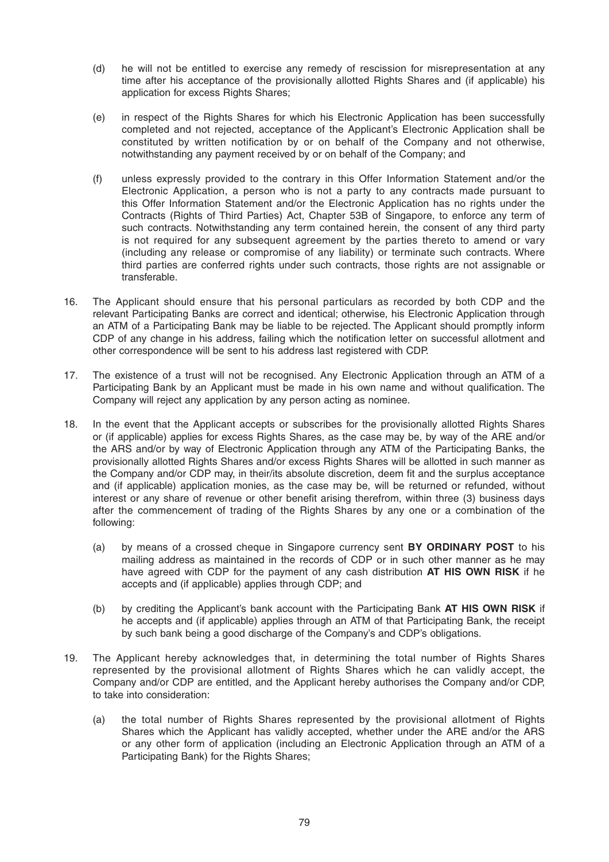- (d) he will not be entitled to exercise any remedy of rescission for misrepresentation at any time after his acceptance of the provisionally allotted Rights Shares and (if applicable) his application for excess Rights Shares;
- (e) in respect of the Rights Shares for which his Electronic Application has been successfully completed and not rejected, acceptance of the Applicant's Electronic Application shall be constituted by written notification by or on behalf of the Company and not otherwise, notwithstanding any payment received by or on behalf of the Company; and
- (f) unless expressly provided to the contrary in this Offer Information Statement and/or the Electronic Application, a person who is not a party to any contracts made pursuant to this Offer Information Statement and/or the Electronic Application has no rights under the Contracts (Rights of Third Parties) Act, Chapter 53B of Singapore, to enforce any term of such contracts. Notwithstanding any term contained herein, the consent of any third party is not required for any subsequent agreement by the parties thereto to amend or vary (including any release or compromise of any liability) or terminate such contracts. Where third parties are conferred rights under such contracts, those rights are not assignable or transferable.
- 16. The Applicant should ensure that his personal particulars as recorded by both CDP and the relevant Participating Banks are correct and identical; otherwise, his Electronic Application through an ATM of a Participating Bank may be liable to be rejected. The Applicant should promptly inform CDP of any change in his address, failing which the notification letter on successful allotment and other correspondence will be sent to his address last registered with CDP.
- 17. The existence of a trust will not be recognised. Any Electronic Application through an ATM of a Participating Bank by an Applicant must be made in his own name and without qualification. The Company will reject any application by any person acting as nominee.
- 18. In the event that the Applicant accepts or subscribes for the provisionally allotted Rights Shares or (if applicable) applies for excess Rights Shares, as the case may be, by way of the ARE and/or the ARS and/or by way of Electronic Application through any ATM of the Participating Banks, the provisionally allotted Rights Shares and/or excess Rights Shares will be allotted in such manner as the Company and/or CDP may, in their/its absolute discretion, deem fit and the surplus acceptance and (if applicable) application monies, as the case may be, will be returned or refunded, without interest or any share of revenue or other benefit arising therefrom, within three (3) business days after the commencement of trading of the Rights Shares by any one or a combination of the following:
	- (a) by means of a crossed cheque in Singapore currency sent **BY ORDINARY POST** to his mailing address as maintained in the records of CDP or in such other manner as he may have agreed with CDP for the payment of any cash distribution **AT HIS OWN RISK** if he accepts and (if applicable) applies through CDP; and
	- (b) by crediting the Applicant's bank account with the Participating Bank **AT HIS OWN RISK** if he accepts and (if applicable) applies through an ATM of that Participating Bank, the receipt by such bank being a good discharge of the Company's and CDP's obligations.
- 19. The Applicant hereby acknowledges that, in determining the total number of Rights Shares represented by the provisional allotment of Rights Shares which he can validly accept, the Company and/or CDP are entitled, and the Applicant hereby authorises the Company and/or CDP, to take into consideration:
	- (a) the total number of Rights Shares represented by the provisional allotment of Rights Shares which the Applicant has validly accepted, whether under the ARE and/or the ARS or any other form of application (including an Electronic Application through an ATM of a Participating Bank) for the Rights Shares;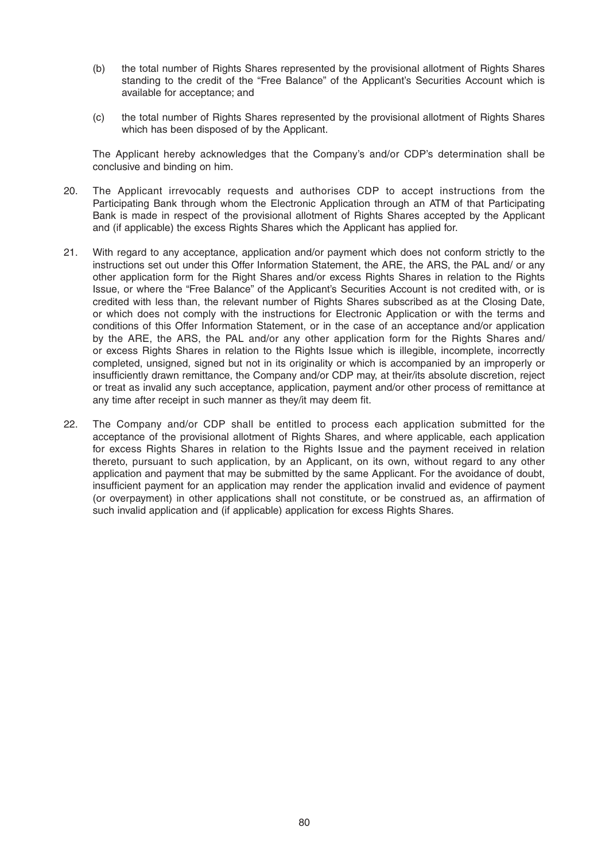- (b) the total number of Rights Shares represented by the provisional allotment of Rights Shares standing to the credit of the "Free Balance" of the Applicant's Securities Account which is available for acceptance; and
- (c) the total number of Rights Shares represented by the provisional allotment of Rights Shares which has been disposed of by the Applicant.

 The Applicant hereby acknowledges that the Company's and/or CDP's determination shall be conclusive and binding on him.

- 20. The Applicant irrevocably requests and authorises CDP to accept instructions from the Participating Bank through whom the Electronic Application through an ATM of that Participating Bank is made in respect of the provisional allotment of Rights Shares accepted by the Applicant and (if applicable) the excess Rights Shares which the Applicant has applied for.
- 21. With regard to any acceptance, application and/or payment which does not conform strictly to the instructions set out under this Offer Information Statement, the ARE, the ARS, the PAL and/ or any other application form for the Right Shares and/or excess Rights Shares in relation to the Rights Issue, or where the "Free Balance" of the Applicant's Securities Account is not credited with, or is credited with less than, the relevant number of Rights Shares subscribed as at the Closing Date, or which does not comply with the instructions for Electronic Application or with the terms and conditions of this Offer Information Statement, or in the case of an acceptance and/or application by the ARE, the ARS, the PAL and/or any other application form for the Rights Shares and/ or excess Rights Shares in relation to the Rights Issue which is illegible, incomplete, incorrectly completed, unsigned, signed but not in its originality or which is accompanied by an improperly or insufficiently drawn remittance, the Company and/or CDP may, at their/its absolute discretion, reject or treat as invalid any such acceptance, application, payment and/or other process of remittance at any time after receipt in such manner as they/it may deem fit.
- 22. The Company and/or CDP shall be entitled to process each application submitted for the acceptance of the provisional allotment of Rights Shares, and where applicable, each application for excess Rights Shares in relation to the Rights Issue and the payment received in relation thereto, pursuant to such application, by an Applicant, on its own, without regard to any other application and payment that may be submitted by the same Applicant. For the avoidance of doubt, insufficient payment for an application may render the application invalid and evidence of payment (or overpayment) in other applications shall not constitute, or be construed as, an affirmation of such invalid application and (if applicable) application for excess Rights Shares.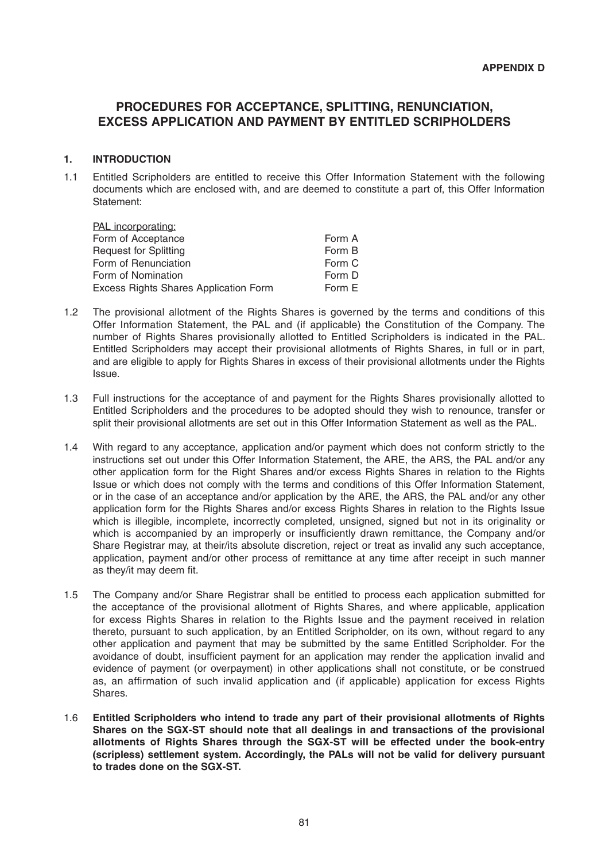# **PROCEDURES FOR ACCEPTANCE, SPLITTING, RENUNCIATION, EXCESS APPLICATION AND PAYMENT BY ENTITLED SCRIPHOLDERS**

# **1. INTRODUCTION**

1.1 Entitled Scripholders are entitled to receive this Offer Information Statement with the following documents which are enclosed with, and are deemed to constitute a part of, this Offer Information Statement:

| PAL incorporating:                    |        |
|---------------------------------------|--------|
| Form of Acceptance                    | Form A |
| <b>Request for Splitting</b>          | Form B |
| Form of Renunciation                  | Form C |
| Form of Nomination                    | Form D |
| Excess Rights Shares Application Form | Form E |

- 1.2 The provisional allotment of the Rights Shares is governed by the terms and conditions of this Offer Information Statement, the PAL and (if applicable) the Constitution of the Company. The number of Rights Shares provisionally allotted to Entitled Scripholders is indicated in the PAL. Entitled Scripholders may accept their provisional allotments of Rights Shares, in full or in part, and are eligible to apply for Rights Shares in excess of their provisional allotments under the Rights Issue.
- 1.3 Full instructions for the acceptance of and payment for the Rights Shares provisionally allotted to Entitled Scripholders and the procedures to be adopted should they wish to renounce, transfer or split their provisional allotments are set out in this Offer Information Statement as well as the PAL.
- 1.4 With regard to any acceptance, application and/or payment which does not conform strictly to the instructions set out under this Offer Information Statement, the ARE, the ARS, the PAL and/or any other application form for the Right Shares and/or excess Rights Shares in relation to the Rights Issue or which does not comply with the terms and conditions of this Offer Information Statement, or in the case of an acceptance and/or application by the ARE, the ARS, the PAL and/or any other application form for the Rights Shares and/or excess Rights Shares in relation to the Rights Issue which is illegible, incomplete, incorrectly completed, unsigned, signed but not in its originality or which is accompanied by an improperly or insufficiently drawn remittance, the Company and/or Share Registrar may, at their/its absolute discretion, reject or treat as invalid any such acceptance, application, payment and/or other process of remittance at any time after receipt in such manner as they/it may deem fit.
- 1.5 The Company and/or Share Registrar shall be entitled to process each application submitted for the acceptance of the provisional allotment of Rights Shares, and where applicable, application for excess Rights Shares in relation to the Rights Issue and the payment received in relation thereto, pursuant to such application, by an Entitled Scripholder, on its own, without regard to any other application and payment that may be submitted by the same Entitled Scripholder. For the avoidance of doubt, insufficient payment for an application may render the application invalid and evidence of payment (or overpayment) in other applications shall not constitute, or be construed as, an affirmation of such invalid application and (if applicable) application for excess Rights Shares.
- 1.6 **Entitled Scripholders who intend to trade any part of their provisional allotments of Rights Shares on the SGX-ST should note that all dealings in and transactions of the provisional allotments of Rights Shares through the SGX-ST will be effected under the book-entry (scripless) settlement system. Accordingly, the PALs will not be valid for delivery pursuant to trades done on the SGX-ST.**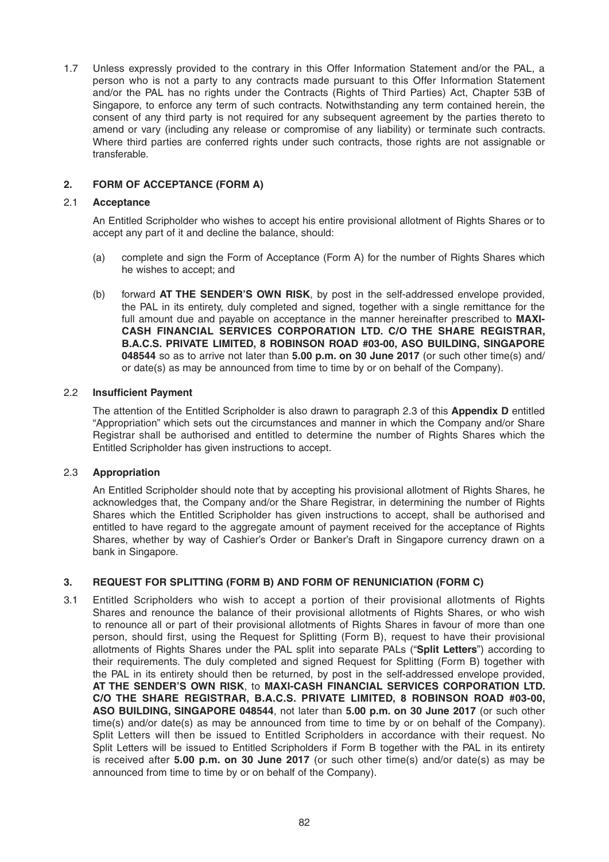1.7 Unless expressly provided to the contrary in this Offer Information Statement and/or the PAL, a person who is not a party to any contracts made pursuant to this Offer Information Statement and/or the PAL has no rights under the Contracts (Rights of Third Parties) Act, Chapter 53B of Singapore, to enforce any term of such contracts. Notwithstanding any term contained herein, the consent of any third party is not required for any subsequent agreement by the parties thereto to amend or vary (including any release or compromise of any liability) or terminate such contracts. Where third parties are conferred rights under such contracts, those rights are not assignable or transferable.

# **2. FORM OF ACCEPTANCE (FORM A)**

#### 2.1 **Acceptance**

 An Entitled Scripholder who wishes to accept his entire provisional allotment of Rights Shares or to accept any part of it and decline the balance, should:

- (a) complete and sign the Form of Acceptance (Form A) for the number of Rights Shares which he wishes to accept; and
- (b) forward **AT THE SENDER'S OWN RISK**, by post in the self-addressed envelope provided, the PAL in its entirety, duly completed and signed, together with a single remittance for the full amount due and payable on acceptance in the manner hereinafter prescribed to **MAXI-CASH FINANCIAL SERVICES CORPORATION LTD. C/O THE SHARE REGISTRAR, B.A.C.S. PRIVATE LIMITED, 8 ROBINSON ROAD #03-00, ASO BUILDING, SINGAPORE 048544** so as to arrive not later than **5.00 p.m. on 30 June 2017** (or such other time(s) and/ or date(s) as may be announced from time to time by or on behalf of the Company).

#### **2.2** Insufficient Payment

 The attention of the Entitled Scripholder is also drawn to paragraph 2.3 of this **Appendix D** entitled "Appropriation" which sets out the circumstances and manner in which the Company and/or Share Registrar shall be authorised and entitled to determine the number of Rights Shares which the Entitled Scripholder has given instructions to accept.

# 2.3 **Appropriation**

 An Entitled Scripholder should note that by accepting his provisional allotment of Rights Shares, he acknowledges that, the Company and/or the Share Registrar, in determining the number of Rights Shares which the Entitled Scripholder has given instructions to accept, shall be authorised and entitled to have regard to the aggregate amount of payment received for the acceptance of Rights Shares, whether by way of Cashier's Order or Banker's Draft in Singapore currency drawn on a bank in Singapore.

# **3. REQUEST FOR SPLITTING (FORM B) AND FORM OF RENUNICIATION (FORM C)**

3.1 Entitled Scripholders who wish to accept a portion of their provisional allotments of Rights Shares and renounce the balance of their provisional allotments of Rights Shares, or who wish to renounce all or part of their provisional allotments of Rights Shares in favour of more than one person, should first, using the Request for Splitting (Form B), request to have their provisional allotments of Rights Shares under the PAL split into separate PALs ("**Split Letters**") according to their requirements. The duly completed and signed Request for Splitting (Form B) together with the PAL in its entirety should then be returned, by post in the self-addressed envelope provided, **AT THE SENDER'S OWN RISK**, to **MAXI-CASH FINANCIAL SERVICES CORPORATION LTD. C/O THE SHARE REGISTRAR, B.A.C.S. PRIVATE LIMITED, 8 ROBINSON ROAD #03-00,**  ASO BUILDING, SINGAPORE 048544, not later than 5.00 p.m. on 30 June 2017 (or such other time(s) and/or date(s) as may be announced from time to time by or on behalf of the Company). Split Letters will then be issued to Entitled Scripholders in accordance with their request. No Split Letters will be issued to Entitled Scripholders if Form B together with the PAL in its entirety is received after **5.00 p.m. on 30 June 2017** (or such other time(s) and/or date(s) as may be announced from time to time by or on behalf of the Company).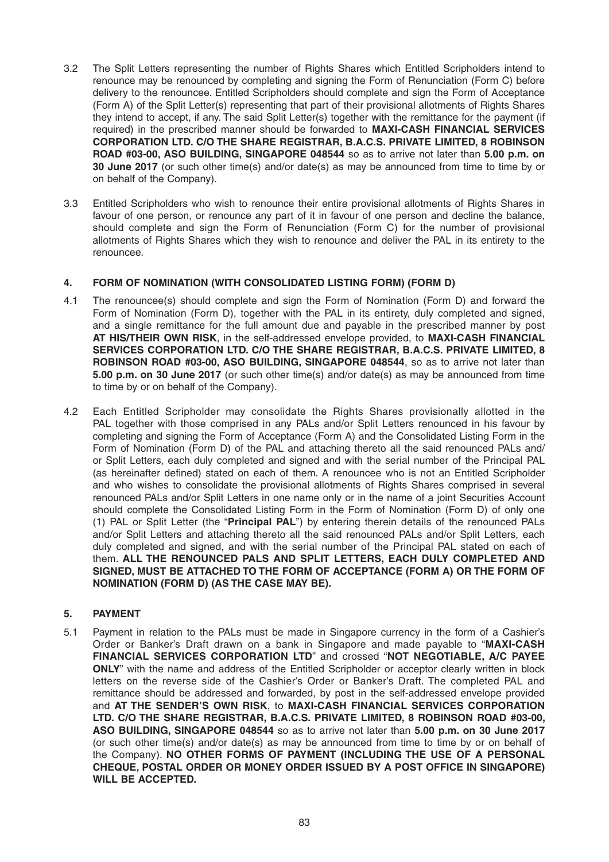- 3.2 The Split Letters representing the number of Rights Shares which Entitled Scripholders intend to renounce may be renounced by completing and signing the Form of Renunciation (Form C) before delivery to the renouncee. Entitled Scripholders should complete and sign the Form of Acceptance (Form A) of the Split Letter(s) representing that part of their provisional allotments of Rights Shares they intend to accept, if any. The said Split Letter(s) together with the remittance for the payment (if required) in the prescribed manner should be forwarded to **MAXI-CASH FINANCIAL SERVICES CORPORATION LTD. C/O THE SHARE REGISTRAR, B.A.C.S. PRIVATE LIMITED, 8 ROBINSON ROAD #03-00, ASO BUILDING, SINGAPORE 048544** so as to arrive not later than **5.00 p.m. on 30 June 2017** (or such other time(s) and/or date(s) as may be announced from time to time by or on behalf of the Company).
- 3.3 Entitled Scripholders who wish to renounce their entire provisional allotments of Rights Shares in favour of one person, or renounce any part of it in favour of one person and decline the balance, should complete and sign the Form of Renunciation (Form C) for the number of provisional allotments of Rights Shares which they wish to renounce and deliver the PAL in its entirety to the renouncee.

# **4. FORM OF NOMINATION (WITH CONSOLIDATED LISTING FORM) (FORM D)**

- 4.1 The renouncee(s) should complete and sign the Form of Nomination (Form D) and forward the Form of Nomination (Form D), together with the PAL in its entirety, duly completed and signed, and a single remittance for the full amount due and payable in the prescribed manner by post **AT HIS/THEIR OWN RISK**, in the self-addressed envelope provided, to **MAXI-CASH FINANCIAL SERVICES CORPORATION LTD. C/O THE SHARE REGISTRAR, B.A.C.S. PRIVATE LIMITED, 8 ROBINSON ROAD #03-00, ASO BUILDING, SINGAPORE 048544**, so as to arrive not later than **5.00 p.m. on 30 June 2017** (or such other time(s) and/or date(s) as may be announced from time to time by or on behalf of the Company).
- 4.2 Each Entitled Scripholder may consolidate the Rights Shares provisionally allotted in the PAL together with those comprised in any PALs and/or Split Letters renounced in his favour by completing and signing the Form of Acceptance (Form A) and the Consolidated Listing Form in the Form of Nomination (Form D) of the PAL and attaching thereto all the said renounced PALs and/ or Split Letters, each duly completed and signed and with the serial number of the Principal PAL (as hereinafter defined) stated on each of them. A renouncee who is not an Entitled Scripholder and who wishes to consolidate the provisional allotments of Rights Shares comprised in several renounced PALs and/or Split Letters in one name only or in the name of a joint Securities Account should complete the Consolidated Listing Form in the Form of Nomination (Form D) of only one (1) PAL or Split Letter (the "**Principal PAL**") by entering therein details of the renounced PALs and/or Split Letters and attaching thereto all the said renounced PALs and/or Split Letters, each duly completed and signed, and with the serial number of the Principal PAL stated on each of them. **ALL THE RENOUNCED PALS AND SPLIT LETTERS, EACH DULY COMPLETED AND SIGNED, MUST BE ATTACHED TO THE FORM OF ACCEPTANCE (FORM A) OR THE FORM OF NOMINATION (FORM D) (AS THE CASE MAY BE).**

# **5. PAYMENT**

5.1 Payment in relation to the PALs must be made in Singapore currency in the form of a Cashier's Order or Banker's Draft drawn on a bank in Singapore and made payable to "**MAXI-CASH FINANCIAL SERVICES CORPORATION LTD**"and crossed "**NOT NEGOTIABLE, A/C PAYEE ONLY**" with the name and address of the Entitled Scripholder or acceptor clearly written in block letters on the reverse side of the Cashier's Order or Banker's Draft. The completed PAL and remittance should be addressed and forwarded, by post in the self-addressed envelope provided and **AT THE SENDER'S OWN RISK**, to **MAXI-CASH FINANCIAL SERVICES CORPORATION LTD. C/O THE SHARE REGISTRAR, B.A.C.S. PRIVATE LIMITED, 8 ROBINSON ROAD #03-00, ASO BUILDING, SINGAPORE 048544** so as to arrive not later than **5.00 p.m. on 30 June 2017**  (or such other time(s) and/or date(s) as may be announced from time to time by or on behalf of the Company). **NO OTHER FORMS OF PAYMENT (INCLUDING THE USE OF A PERSONAL CHEQUE, POSTAL ORDER OR MONEY ORDER ISSUED BY A POST OFFICE IN SINGAPORE) WILL BE ACCEPTED.**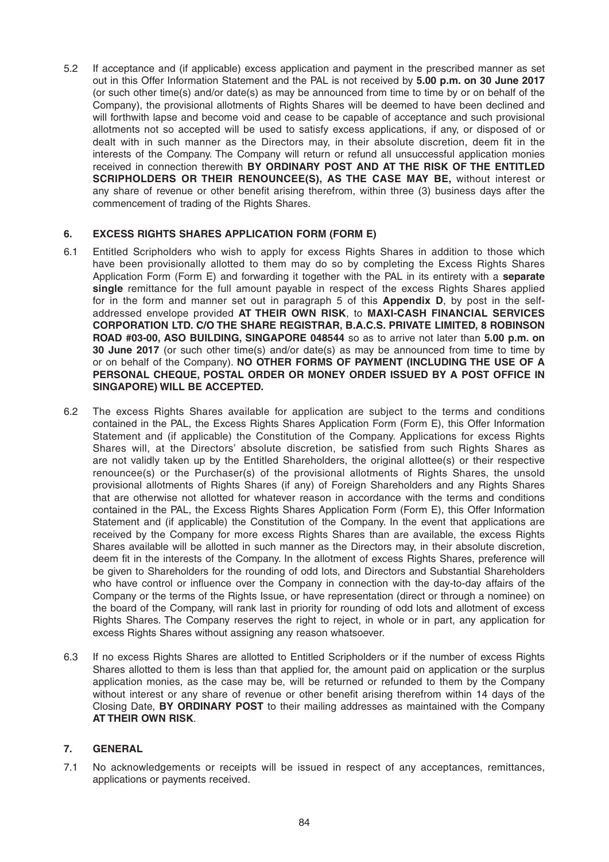5.2 If acceptance and (if applicable) excess application and payment in the prescribed manner as set out in this Offer Information Statement and the PAL is not received by **5.00 p.m. on 30 June 2017**  (or such other time(s) and/or date(s) as may be announced from time to time by or on behalf of the Company), the provisional allotments of Rights Shares will be deemed to have been declined and will forthwith lapse and become void and cease to be capable of acceptance and such provisional allotments not so accepted will be used to satisfy excess applications, if any, or disposed of or dealt with in such manner as the Directors may, in their absolute discretion, deem fit in the interests of the Company. The Company will return or refund all unsuccessful application monies received in connection therewith **BY ORDINARY POST AND AT THE RISK OF THE ENTITLED SCRIPHOLDERS OR THEIR RENOUNCEE(S), AS THE CASE MAY BE,** without interest or any share of revenue or other benefit arising therefrom, within three (3) business days after the commencement of trading of the Rights Shares.

# **6. EXCESS RIGHTS SHARES APPLICATION FORM (FORM E)**

- 6.1 Entitled Scripholders who wish to apply for excess Rights Shares in addition to those which have been provisionally allotted to them may do so by completing the Excess Rights Shares Application Form (Form E) and forwarding it together with the PAL in its entirety with a **separate single** remittance for the full amount payable in respect of the excess Rights Shares applied for in the form and manner set out in paragraph 5 of this **Appendix D**, by post in the selfaddressed envelope provided **AT THEIR OWN RISK**, to **MAXI-CASH FINANCIAL SERVICES CORPORATION LTD. C/O THE SHARE REGISTRAR, B.A.C.S. PRIVATE LIMITED, 8 ROBINSON ROAD #03-00, ASO BUILDING, SINGAPORE 048544** so as to arrive not later than **5.00 p.m. on 30 June 2017** (or such other time(s) and/or date(s) as may be announced from time to time by or on behalf of the Company). **NO OTHER FORMS OF PAYMENT (INCLUDING THE USE OF A PERSONAL CHEQUE, POSTAL ORDER OR MONEY ORDER ISSUED BY A POST OFFICE IN SINGAPORE) WILL BE ACCEPTED.**
- 6.2 The excess Rights Shares available for application are subject to the terms and conditions contained in the PAL, the Excess Rights Shares Application Form (Form E), this Offer Information Statement and (if applicable) the Constitution of the Company. Applications for excess Rights Shares will, at the Directors' absolute discretion, be satisfied from such Rights Shares as are not validly taken up by the Entitled Shareholders, the original allottee(s) or their respective renouncee(s) or the Purchaser(s) of the provisional allotments of Rights Shares, the unsold provisional allotments of Rights Shares (if any) of Foreign Shareholders and any Rights Shares that are otherwise not allotted for whatever reason in accordance with the terms and conditions contained in the PAL, the Excess Rights Shares Application Form (Form E), this Offer Information Statement and (if applicable) the Constitution of the Company. In the event that applications are received by the Company for more excess Rights Shares than are available, the excess Rights Shares available will be allotted in such manner as the Directors may, in their absolute discretion, deem fit in the interests of the Company. In the allotment of excess Rights Shares, preference will be given to Shareholders for the rounding of odd lots, and Directors and Substantial Shareholders who have control or influence over the Company in connection with the day-to-day affairs of the Company or the terms of the Rights Issue, or have representation (direct or through a nominee) on the board of the Company, will rank last in priority for rounding of odd lots and allotment of excess Rights Shares. The Company reserves the right to reject, in whole or in part, any application for excess Rights Shares without assigning any reason whatsoever.
- 6.3 If no excess Rights Shares are allotted to Entitled Scripholders or if the number of excess Rights Shares allotted to them is less than that applied for, the amount paid on application or the surplus application monies, as the case may be, will be returned or refunded to them by the Company without interest or any share of revenue or other benefit arising therefrom within 14 days of the Closing Date, **BY ORDINARY POST** to their mailing addresses as maintained with the Company **AT THEIR OWN RISK**.

# **7. GENERAL**

7.1 No acknowledgements or receipts will be issued in respect of any acceptances, remittances, applications or payments received.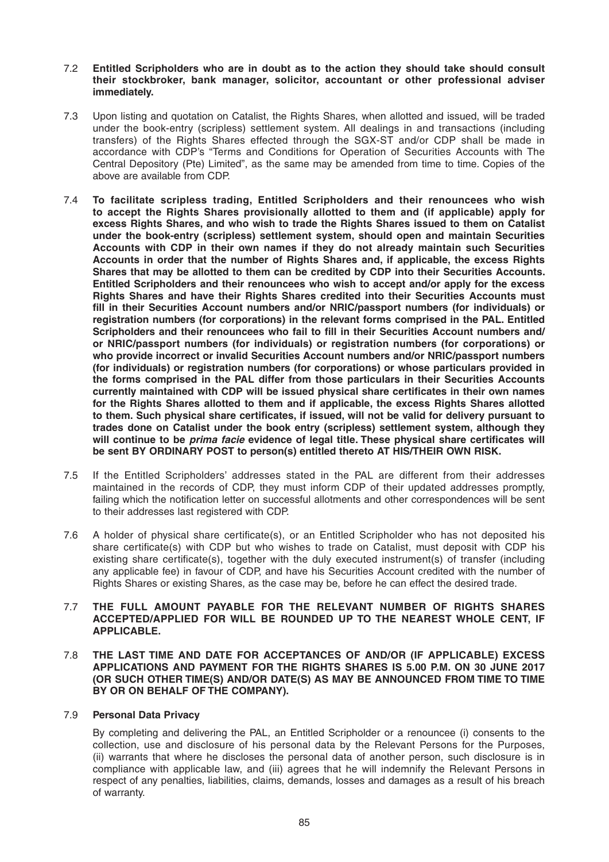#### 7.2 **Entitled Scripholders who are in doubt as to the action they should take should consult their stockbroker, bank manager, solicitor, accountant or other professional adviser immediately.**

- 7.3 Upon listing and quotation on Catalist, the Rights Shares, when allotted and issued, will be traded under the book-entry (scripless) settlement system. All dealings in and transactions (including transfers) of the Rights Shares effected through the SGX-ST and/or CDP shall be made in accordance with CDP's "Terms and Conditions for Operation of Securities Accounts with The Central Depository (Pte) Limited", as the same may be amended from time to time. Copies of the above are available from CDP.
- 7.4 **To facilitate scripless trading, Entitled Scripholders and their renouncees who wish to accept the Rights Shares provisionally allotted to them and (if applicable) apply for excess Rights Shares, and who wish to trade the Rights Shares issued to them on Catalist under the book -entry (scripless) settlement system, should open and maintain Securities Accounts with CDP in their own names if they do not already maintain such Securities Accounts in order that the number of Rights Shares and, if applicable, the excess Rights Shares that may be allotted to them can be credited by CDP into their Securities Accounts. Entitled Scripholders and their renouncees who wish to accept and/or apply for the excess Rights Shares and have their Rights Shares credited into their Securities Accounts must**  fill in their Securities Account numbers and/or NRIC/passport numbers (for individuals) or **registration numbers (for corporations) in the relevant forms comprised in the PAL. Entitled**  Scripholders and their renouncees who fail to fill in their Securities Account numbers and/ **or NRIC/passport numbers (for individuals) or registration numbers (for corporations) or who provide incorrect or invalid Securities Account numbers and/or NRIC/passport numbers (for individuals) or registration numbers (for corporations) or whose particulars provided in the forms comprised in the PAL differ from those particulars in their Securities Accounts**  currently maintained with CDP will be issued physical share certificates in their own names **for the Rights Shares allotted to them and if applicable, the excess Rights Shares allotted**  to them. Such physical share certificates, if issued, will not be valid for delivery pursuant to **trades done on Catalist under the book entry (scripless) settlement system, although they**  will continue to be *prima facie* evidence of legal title. These physical share certificates will **be sent BY ORDINARY POST to person(s) entitled thereto AT HIS/THEIR OWN RISK.**
- 7.5 If the Entitled Scripholders' addresses stated in the PAL are different from their addresses maintained in the records of CDP, they must inform CDP of their updated addresses promptly, failing which the notification letter on successful allotments and other correspondences will be sent to their addresses last registered with CDP.
- 7.6 A holder of physical share certificate(s), or an Entitled Scripholder who has not deposited his share certificate(s) with CDP but who wishes to trade on Catalist, must deposit with CDP his existing share certificate(s), together with the duly executed instrument(s) of transfer (including any applicable fee) in favour of CDP, and have his Securities Account credited with the number of Rights Shares or existing Shares, as the case may be, before he can effect the desired trade.

#### 7.7 **THE FULL AMOUNT PAYABLE FOR THE RELEVANT NUMBER OF RIGHTS SHARES ACCEPTED/APPLIED FOR WILL BE ROUNDED UP TO THE NEAREST WHOLE CENT, IF APPLICABLE.**

#### 7.8 **THE LAST TIME AND DATE FOR ACCEPTANCES OF AND/OR (IF APPLICABLE) EXCESS APPLICATIONS AND PAYMENT FOR THE RIGHTS SHARES IS 5.00 P.M. ON 30 JUNE 2017 (OR SUCH OTHER TIME(S) AND/OR DATE(S) AS MAY BE ANNOUNCED FROM TIME TO TIME BY OR ON BEHALF OF THE COMPANY).**

# 7.9 **Personal Data Privacy**

 By completing and delivering the PAL, an Entitled Scripholder or a renouncee (i) consents to the collection, use and disclosure of his personal data by the Relevant Persons for the Purposes, (ii) warrants that where he discloses the personal data of another person, such disclosure is in compliance with applicable law, and (iii) agrees that he will indemnify the Relevant Persons in respect of any penalties, liabilities, claims, demands, losses and damages as a result of his breach of warranty.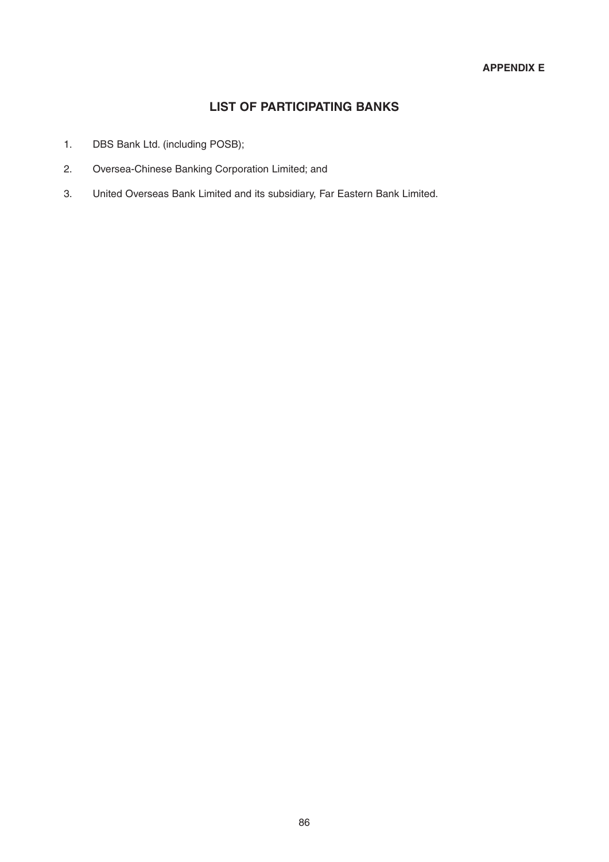# **LIST OF PARTICIPATING BANKS**

- 1. DBS Bank Ltd. (including POSB);
- 2. Oversea -Chinese Banking Corporation Limited; and
- 3. United Overseas Bank Limited and its subsidiary, Far Eastern Bank Limited.